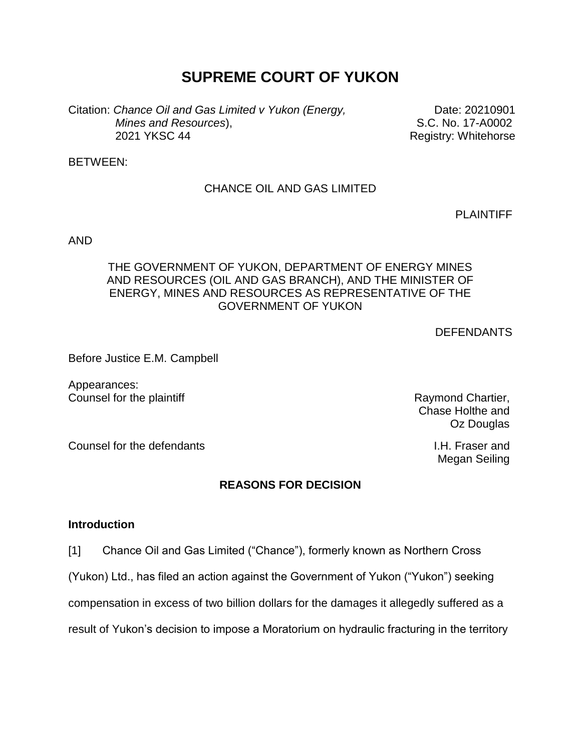# **SUPREME COURT OF YUKON**

Citation: *Chance Oil and Gas Limited v Yukon (Energy, Mines and Resources*), 2021 YKSC 44

Date: 20210901 S.C. No. 17-A0002 Registry: Whitehorse

BETWEEN:

# CHANCE OIL AND GAS LIMITED

PLAINTIFF

AND

# THE GOVERNMENT OF YUKON, DEPARTMENT OF ENERGY MINES AND RESOURCES (OIL AND GAS BRANCH), AND THE MINISTER OF ENERGY, MINES AND RESOURCES AS REPRESENTATIVE OF THE GOVERNMENT OF YUKON

**DEFENDANTS** 

Before Justice E.M. Campbell

Appearances: Counsel for the plaintiff Counsel for the plaintiff Raymond Chartier,

Chase Holthe and Oz Douglas

Megan Seiling

Counsel for the defendants **I.H. Fraser and** 

# **REASONS FOR DECISION**

#### **Introduction**

[1] Chance Oil and Gas Limited ("Chance"), formerly known as Northern Cross

(Yukon) Ltd., has filed an action against the Government of Yukon ("Yukon") seeking

compensation in excess of two billion dollars for the damages it allegedly suffered as a

result of Yukon's decision to impose a Moratorium on hydraulic fracturing in the territory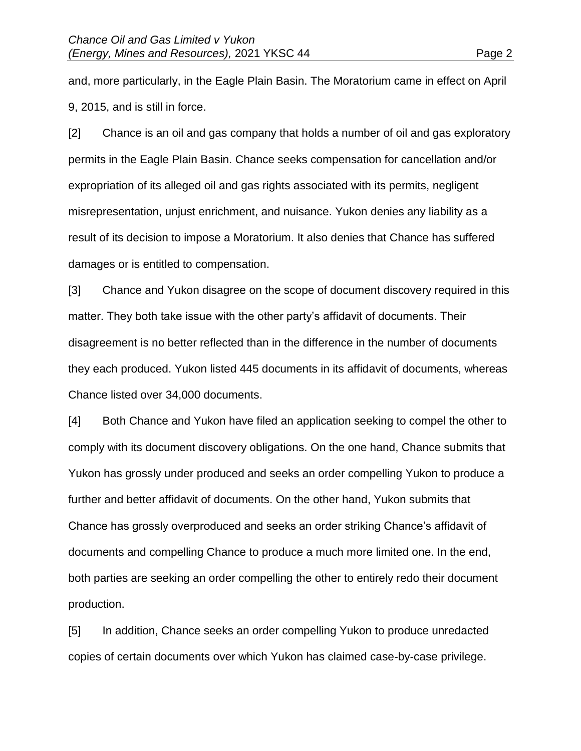and, more particularly, in the Eagle Plain Basin. The Moratorium came in effect on April 9, 2015, and is still in force.

[2] Chance is an oil and gas company that holds a number of oil and gas exploratory permits in the Eagle Plain Basin. Chance seeks compensation for cancellation and/or expropriation of its alleged oil and gas rights associated with its permits, negligent misrepresentation, unjust enrichment, and nuisance. Yukon denies any liability as a result of its decision to impose a Moratorium. It also denies that Chance has suffered damages or is entitled to compensation.

[3] Chance and Yukon disagree on the scope of document discovery required in this matter. They both take issue with the other party's affidavit of documents. Their disagreement is no better reflected than in the difference in the number of documents they each produced. Yukon listed 445 documents in its affidavit of documents, whereas Chance listed over 34,000 documents.

[4] Both Chance and Yukon have filed an application seeking to compel the other to comply with its document discovery obligations. On the one hand, Chance submits that Yukon has grossly under produced and seeks an order compelling Yukon to produce a further and better affidavit of documents. On the other hand, Yukon submits that Chance has grossly overproduced and seeks an order striking Chance's affidavit of documents and compelling Chance to produce a much more limited one. In the end, both parties are seeking an order compelling the other to entirely redo their document production.

[5] In addition, Chance seeks an order compelling Yukon to produce unredacted copies of certain documents over which Yukon has claimed case-by-case privilege.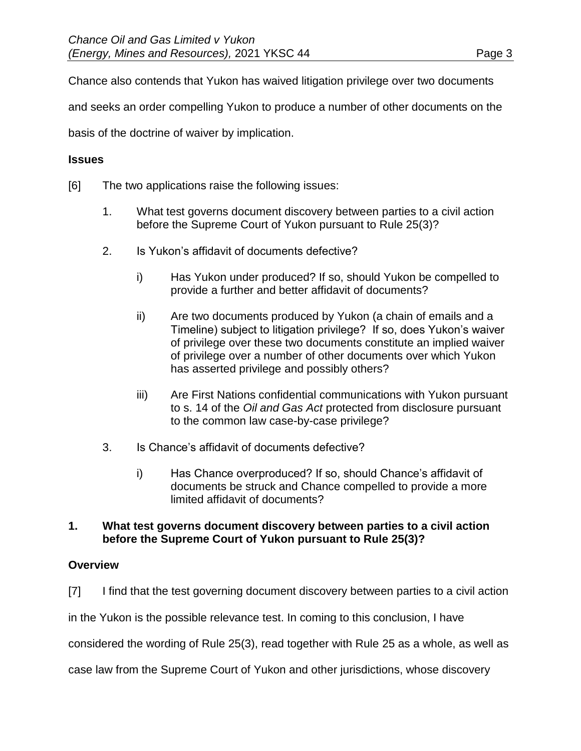Chance also contends that Yukon has waived litigation privilege over two documents

and seeks an order compelling Yukon to produce a number of other documents on the

basis of the doctrine of waiver by implication.

# **Issues**

- [6] The two applications raise the following issues:
	- 1. What test governs document discovery between parties to a civil action before the Supreme Court of Yukon pursuant to Rule 25(3)?
	- 2. Is Yukon's affidavit of documents defective?
		- i) Has Yukon under produced? If so, should Yukon be compelled to provide a further and better affidavit of documents?
		- ii) Are two documents produced by Yukon (a chain of emails and a Timeline) subject to litigation privilege? If so, does Yukon's waiver of privilege over these two documents constitute an implied waiver of privilege over a number of other documents over which Yukon has asserted privilege and possibly others?
		- iii) Are First Nations confidential communications with Yukon pursuant to s. 14 of the *Oil and Gas Act* protected from disclosure pursuant to the common law case-by-case privilege?
	- 3. Is Chance's affidavit of documents defective?
		- i) Has Chance overproduced? If so, should Chance's affidavit of documents be struck and Chance compelled to provide a more limited affidavit of documents?

# **1. What test governs document discovery between parties to a civil action before the Supreme Court of Yukon pursuant to Rule 25(3)?**

# **Overview**

[7] I find that the test governing document discovery between parties to a civil action

in the Yukon is the possible relevance test. In coming to this conclusion, I have

considered the wording of Rule 25(3), read together with Rule 25 as a whole, as well as

case law from the Supreme Court of Yukon and other jurisdictions, whose discovery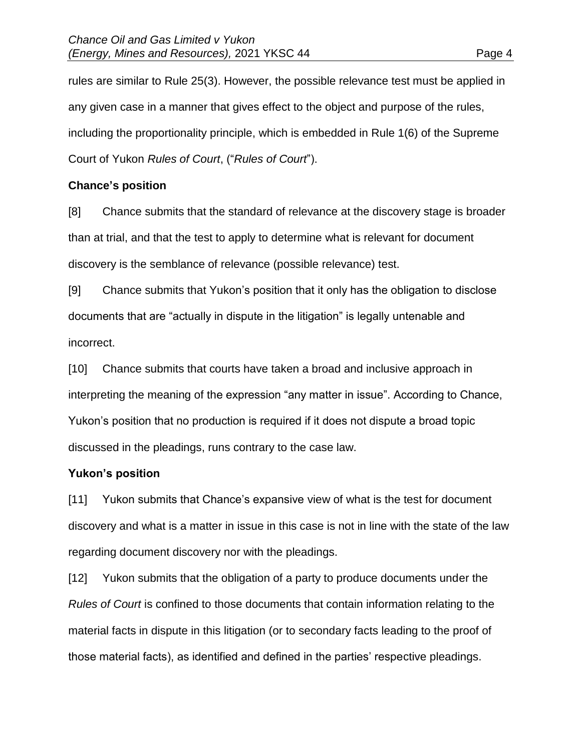rules are similar to Rule 25(3). However, the possible relevance test must be applied in any given case in a manner that gives effect to the object and purpose of the rules, including the proportionality principle, which is embedded in Rule 1(6) of the Supreme Court of Yukon *Rules of Court*, ("*Rules of Court*").

# **Chance's position**

[8] Chance submits that the standard of relevance at the discovery stage is broader than at trial, and that the test to apply to determine what is relevant for document discovery is the semblance of relevance (possible relevance) test.

[9] Chance submits that Yukon's position that it only has the obligation to disclose documents that are "actually in dispute in the litigation" is legally untenable and incorrect.

[10] Chance submits that courts have taken a broad and inclusive approach in interpreting the meaning of the expression "any matter in issue". According to Chance, Yukon's position that no production is required if it does not dispute a broad topic discussed in the pleadings, runs contrary to the case law.

# **Yukon's position**

[11] Yukon submits that Chance's expansive view of what is the test for document discovery and what is a matter in issue in this case is not in line with the state of the law regarding document discovery nor with the pleadings.

[12] Yukon submits that the obligation of a party to produce documents under the *Rules of Court* is confined to those documents that contain information relating to the material facts in dispute in this litigation (or to secondary facts leading to the proof of those material facts), as identified and defined in the parties' respective pleadings.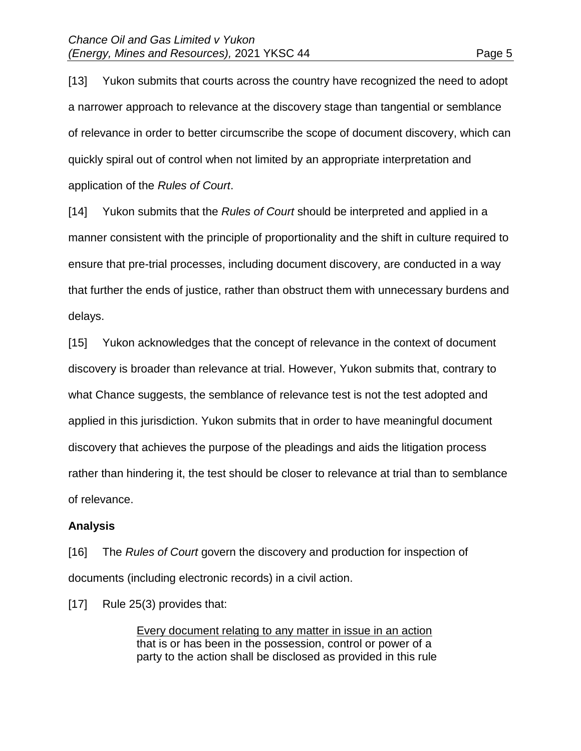[13] Yukon submits that courts across the country have recognized the need to adopt a narrower approach to relevance at the discovery stage than tangential or semblance of relevance in order to better circumscribe the scope of document discovery, which can quickly spiral out of control when not limited by an appropriate interpretation and application of the *Rules of Court*.

[14] Yukon submits that the *Rules of Court* should be interpreted and applied in a manner consistent with the principle of proportionality and the shift in culture required to ensure that pre-trial processes, including document discovery, are conducted in a way that further the ends of justice, rather than obstruct them with unnecessary burdens and delays.

[15] Yukon acknowledges that the concept of relevance in the context of document discovery is broader than relevance at trial. However, Yukon submits that, contrary to what Chance suggests, the semblance of relevance test is not the test adopted and applied in this jurisdiction. Yukon submits that in order to have meaningful document discovery that achieves the purpose of the pleadings and aids the litigation process rather than hindering it, the test should be closer to relevance at trial than to semblance of relevance.

# **Analysis**

[16] The *Rules of Court* govern the discovery and production for inspection of documents (including electronic records) in a civil action.

[17] Rule 25(3) provides that:

Every document relating to any matter in issue in an action that is or has been in the possession, control or power of a party to the action shall be disclosed as provided in this rule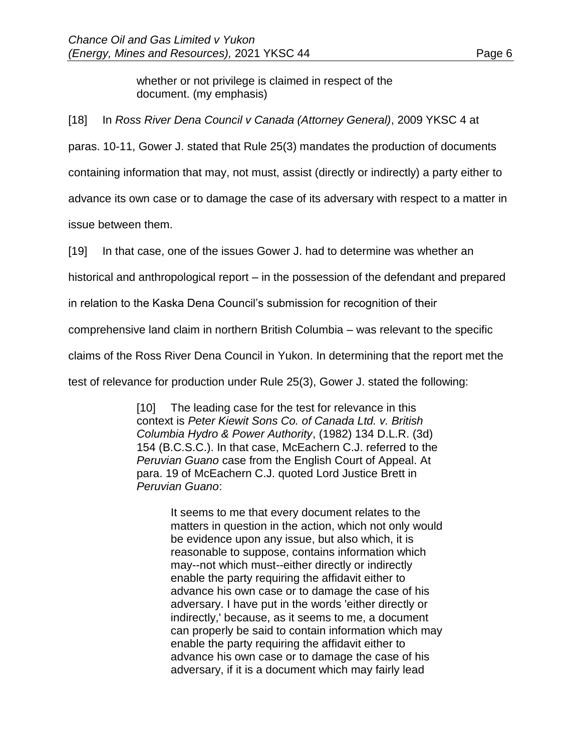whether or not privilege is claimed in respect of the document. (my emphasis)

[18] In *Ross River Dena Council v Canada (Attorney General)*, 2009 YKSC 4 at

paras. 10-11, Gower J. stated that Rule 25(3) mandates the production of documents

containing information that may, not must, assist (directly or indirectly) a party either to

advance its own case or to damage the case of its adversary with respect to a matter in

issue between them.

[19] In that case, one of the issues Gower J. had to determine was whether an

historical and anthropological report – in the possession of the defendant and prepared

in relation to the Kaska Dena Council's submission for recognition of their

comprehensive land claim in northern British Columbia – was relevant to the specific

claims of the Ross River Dena Council in Yukon. In determining that the report met the

test of relevance for production under Rule 25(3), Gower J. stated the following:

[10] The leading case for the test for relevance in this context is *Peter Kiewit Sons Co. of Canada Ltd. v. British Columbia Hydro & Power Authority*, (1982) 134 D.L.R. (3d) 154 (B.C.S.C.). In that case, McEachern C.J. referred to the *Peruvian Guano* case from the English Court of Appeal. At para. 19 of McEachern C.J. quoted Lord Justice Brett in *Peruvian Guano*:

> It seems to me that every document relates to the matters in question in the action, which not only would be evidence upon any issue, but also which, it is reasonable to suppose, contains information which may--not which must--either directly or indirectly enable the party requiring the affidavit either to advance his own case or to damage the case of his adversary. I have put in the words 'either directly or indirectly,' because, as it seems to me, a document can properly be said to contain information which may enable the party requiring the affidavit either to advance his own case or to damage the case of his adversary, if it is a document which may fairly lead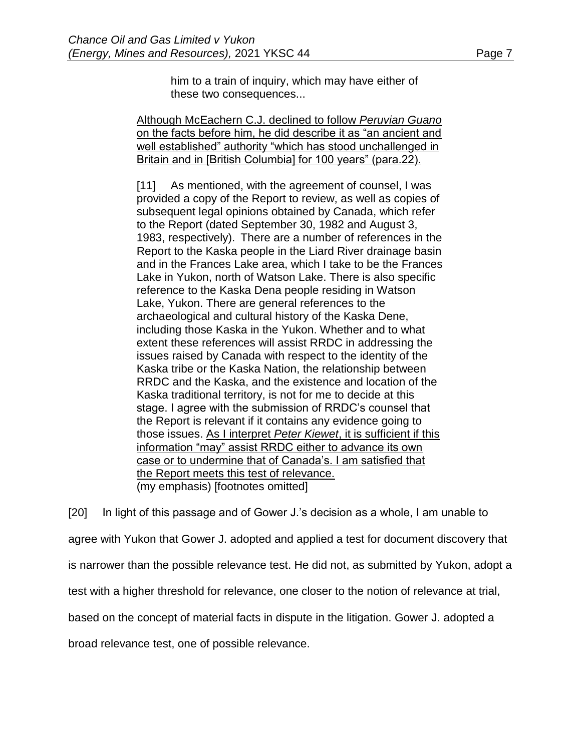him to a train of inquiry, which may have either of

these two consequences...

Although McEachern C.J. declined to follow *Peruvian Guano* on the facts before him, he did describe it as "an ancient and well established" authority "which has stood unchallenged in Britain and in [British Columbia] for 100 years" (para.22).

[11] As mentioned, with the agreement of counsel, I was provided a copy of the Report to review, as well as copies of subsequent legal opinions obtained by Canada, which refer to the Report (dated September 30, 1982 and August 3, 1983, respectively). There are a number of references in the Report to the Kaska people in the Liard River drainage basin and in the Frances Lake area, which I take to be the Frances Lake in Yukon, north of Watson Lake. There is also specific reference to the Kaska Dena people residing in Watson Lake, Yukon. There are general references to the archaeological and cultural history of the Kaska Dene, including those Kaska in the Yukon. Whether and to what extent these references will assist RRDC in addressing the issues raised by Canada with respect to the identity of the Kaska tribe or the Kaska Nation, the relationship between RRDC and the Kaska, and the existence and location of the Kaska traditional territory, is not for me to decide at this stage. I agree with the submission of RRDC's counsel that the Report is relevant if it contains any evidence going to those issues. As I interpret *Peter Kiewet*, it is sufficient if this information "may" assist RRDC either to advance its own case or to undermine that of Canada's. I am satisfied that the Report meets this test of relevance. (my emphasis) [footnotes omitted]

[20] In light of this passage and of Gower J.'s decision as a whole, I am unable to agree with Yukon that Gower J. adopted and applied a test for document discovery that is narrower than the possible relevance test. He did not, as submitted by Yukon, adopt a test with a higher threshold for relevance, one closer to the notion of relevance at trial, based on the concept of material facts in dispute in the litigation. Gower J. adopted a broad relevance test, one of possible relevance.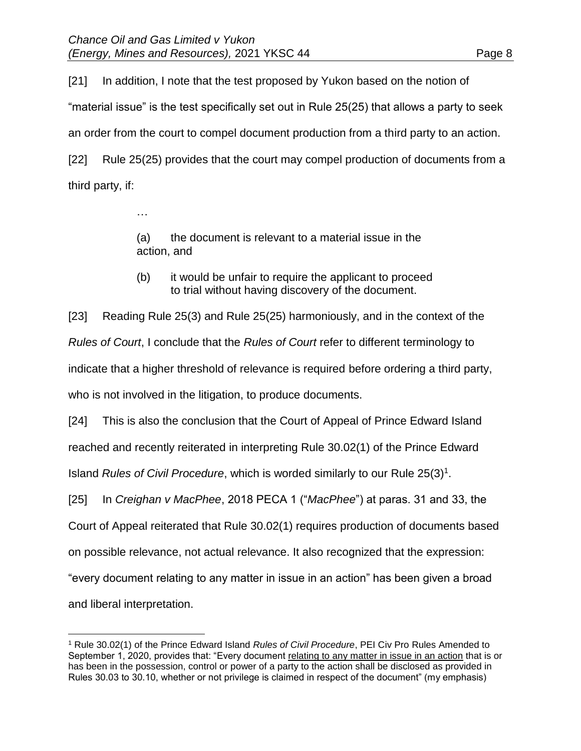…

[21] In addition, I note that the test proposed by Yukon based on the notion of "material issue" is the test specifically set out in Rule 25(25) that allows a party to seek an order from the court to compel document production from a third party to an action. [22] Rule 25(25) provides that the court may compel production of documents from a third party, if:

> (a) the document is relevant to a material issue in the action, and

(b) it would be unfair to require the applicant to proceed to trial without having discovery of the document.

[23] Reading Rule 25(3) and Rule 25(25) harmoniously, and in the context of the *Rules of Court*, I conclude that the *Rules of Court* refer to different terminology to indicate that a higher threshold of relevance is required before ordering a third party, who is not involved in the litigation, to produce documents.

[24] This is also the conclusion that the Court of Appeal of Prince Edward Island reached and recently reiterated in interpreting Rule 30.02(1) of the Prince Edward Island *Rules of Civil Procedure*, which is worded similarly to our Rule 25(3)<sup>1</sup>.

[25] In *Creighan v MacPhee*, 2018 PECA 1 ("*MacPhee*") at paras. 31 and 33, the

Court of Appeal reiterated that Rule 30.02(1) requires production of documents based

on possible relevance, not actual relevance. It also recognized that the expression:

"every document relating to any matter in issue in an action" has been given a broad

and liberal interpretation.

 $\overline{a}$ 

<sup>1</sup> Rule 30.02(1) of the Prince Edward Island *Rules of Civil Procedure*, PEI Civ Pro Rules Amended to September 1, 2020, provides that: "Every document relating to any matter in issue in an action that is or has been in the possession, control or power of a party to the action shall be disclosed as provided in Rules 30.03 to 30.10, whether or not privilege is claimed in respect of the document" (my emphasis)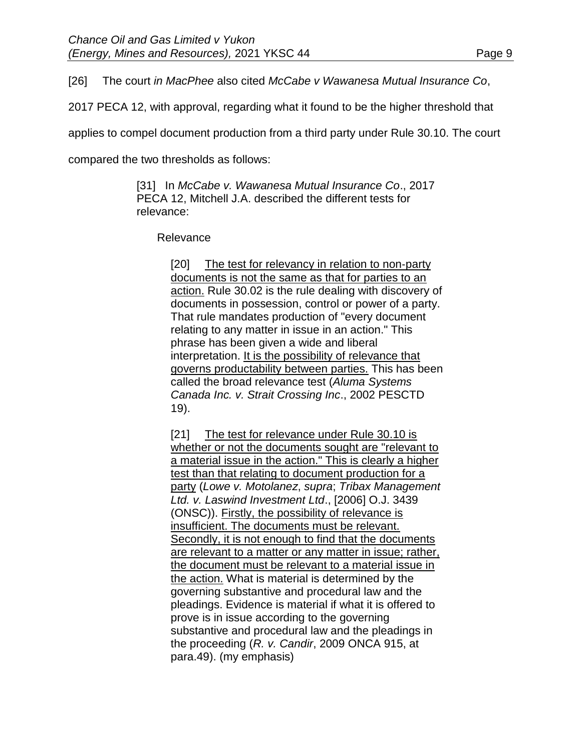[26] The court *in MacPhee* also cited *McCabe v Wawanesa Mutual Insurance Co*,

2017 PECA 12, with approval, regarding what it found to be the higher threshold that

applies to compel document production from a third party under Rule 30.10. The court

compared the two thresholds as follows:

[31] In *McCabe v. Wawanesa Mutual Insurance Co*., 2017 PECA 12, Mitchell J.A. described the different tests for relevance:

Relevance

[20] The test for relevancy in relation to non-party documents is not the same as that for parties to an action. Rule 30.02 is the rule dealing with discovery of documents in possession, control or power of a party. That rule mandates production of "every document relating to any matter in issue in an action." This phrase has been given a wide and liberal interpretation. It is the possibility of relevance that governs productability between parties. This has been called the broad relevance test (*Aluma Systems Canada Inc. v. Strait Crossing Inc*., 2002 PESCTD 19).

[21] The test for relevance under Rule 30.10 is whether or not the documents sought are "relevant to a material issue in the action." This is clearly a higher test than that relating to document production for a party (*Lowe v. Motolanez*, *supra*; *Tribax Management Ltd. v. Laswind Investment Ltd*., [2006] O.J. 3439 (ONSC)). Firstly, the possibility of relevance is insufficient. The documents must be relevant. Secondly, it is not enough to find that the documents are relevant to a matter or any matter in issue; rather, the document must be relevant to a material issue in the action. What is material is determined by the governing substantive and procedural law and the pleadings. Evidence is material if what it is offered to prove is in issue according to the governing substantive and procedural law and the pleadings in the proceeding (*R. v. Candir*, 2009 ONCA 915, at para.49). (my emphasis)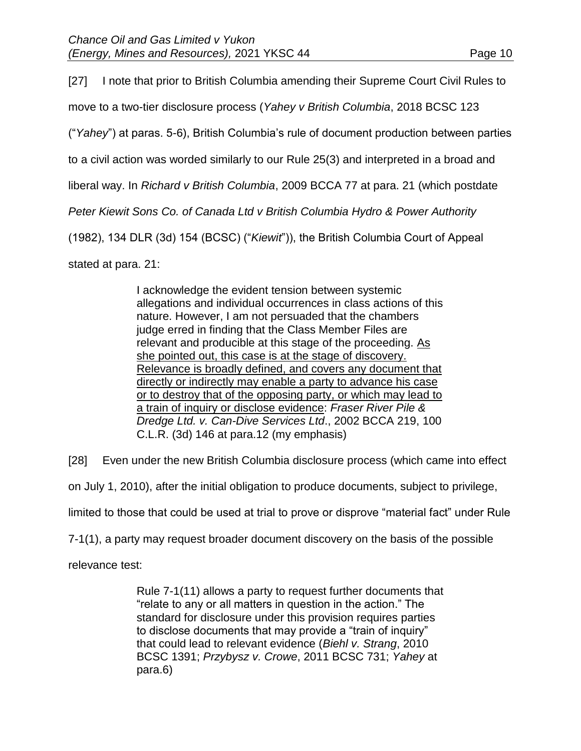[27] I note that prior to British Columbia amending their Supreme Court Civil Rules to move to a two-tier disclosure process (*Yahey v British Columbia*, 2018 BCSC 123 ("*Yahey*") at paras. 5-6), British Columbia's rule of document production between parties to a civil action was worded similarly to our Rule 25(3) and interpreted in a broad and liberal way. In *Richard v British Columbia*, 2009 BCCA 77 at para. 21 (which postdate *Peter Kiewit Sons Co. of Canada Ltd v British Columbia Hydro & Power Authority* (1982), 134 DLR (3d) 154 (BCSC) ("*Kiewit*")), the British Columbia Court of Appeal stated at para. 21:

> I acknowledge the evident tension between systemic allegations and individual occurrences in class actions of this nature. However, I am not persuaded that the chambers judge erred in finding that the Class Member Files are relevant and producible at this stage of the proceeding. As she pointed out, this case is at the stage of discovery. Relevance is broadly defined, and covers any document that directly or indirectly may enable a party to advance his case or to destroy that of the opposing party, or which may lead to a train of inquiry or disclose evidence: *Fraser River Pile & Dredge Ltd. v. Can-Dive Services Ltd*., 2002 BCCA 219, 100 C.L.R. (3d) 146 at para.12 (my emphasis)

[28] Even under the new British Columbia disclosure process (which came into effect

on July 1, 2010), after the initial obligation to produce documents, subject to privilege,

limited to those that could be used at trial to prove or disprove "material fact" under Rule

7-1(1), a party may request broader document discovery on the basis of the possible

relevance test:

Rule 7-1(11) allows a party to request further documents that "relate to any or all matters in question in the action." The standard for disclosure under this provision requires parties to disclose documents that may provide a "train of inquiry" that could lead to relevant evidence (*Biehl v. Strang*, 2010 BCSC 1391; *Przybysz v. Crowe*, 2011 BCSC 731; *Yahey* at para.6)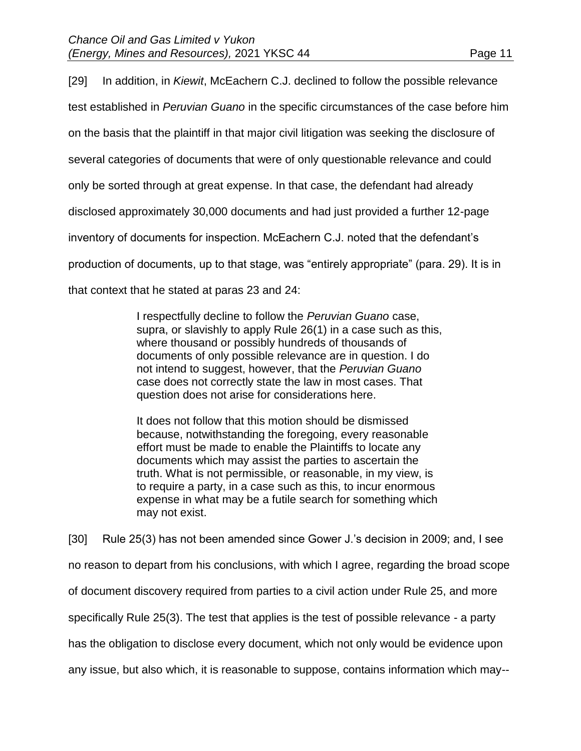[29] In addition, in *Kiewit*, McEachern C.J. declined to follow the possible relevance test established in *Peruvian Guano* in the specific circumstances of the case before him on the basis that the plaintiff in that major civil litigation was seeking the disclosure of several categories of documents that were of only questionable relevance and could only be sorted through at great expense. In that case, the defendant had already disclosed approximately 30,000 documents and had just provided a further 12-page inventory of documents for inspection. McEachern C.J. noted that the defendant's production of documents, up to that stage, was "entirely appropriate" (para. 29). It is in that context that he stated at paras 23 and 24:

> I respectfully decline to follow the *Peruvian Guano* case, supra, or slavishly to apply Rule 26(1) in a case such as this, where thousand or possibly hundreds of thousands of documents of only possible relevance are in question. I do not intend to suggest, however, that the *Peruvian Guano* case does not correctly state the law in most cases. That question does not arise for considerations here.

It does not follow that this motion should be dismissed because, notwithstanding the foregoing, every reasonable effort must be made to enable the Plaintiffs to locate any documents which may assist the parties to ascertain the truth. What is not permissible, or reasonable, in my view, is to require a party, in a case such as this, to incur enormous expense in what may be a futile search for something which may not exist.

[30] Rule 25(3) has not been amended since Gower J.'s decision in 2009; and, I see no reason to depart from his conclusions, with which I agree, regarding the broad scope of document discovery required from parties to a civil action under Rule 25, and more specifically Rule 25(3). The test that applies is the test of possible relevance - a party has the obligation to disclose every document, which not only would be evidence upon any issue, but also which, it is reasonable to suppose, contains information which may--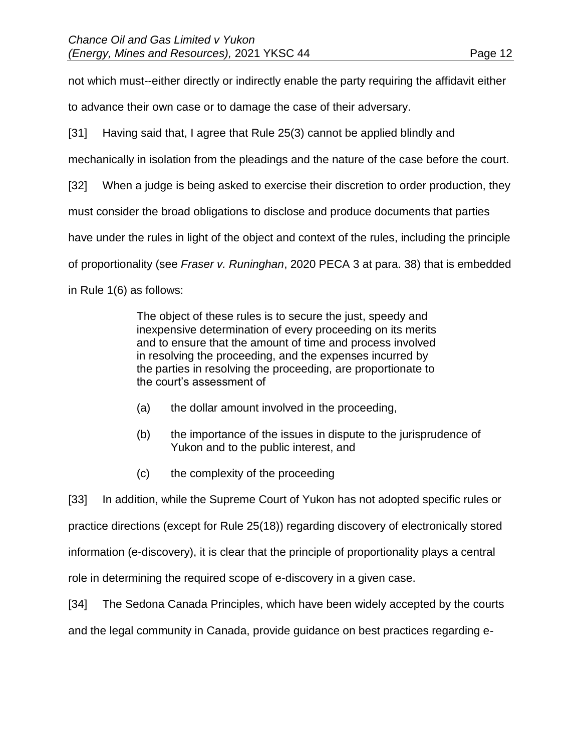not which must--either directly or indirectly enable the party requiring the affidavit either

to advance their own case or to damage the case of their adversary.

[31] Having said that, I agree that Rule 25(3) cannot be applied blindly and

mechanically in isolation from the pleadings and the nature of the case before the court.

[32] When a judge is being asked to exercise their discretion to order production, they

must consider the broad obligations to disclose and produce documents that parties

have under the rules in light of the object and context of the rules, including the principle

of proportionality (see *Fraser v. Runinghan*, 2020 PECA 3 at para. 38) that is embedded

in Rule 1(6) as follows:

The object of these rules is to secure the just, speedy and inexpensive determination of every proceeding on its merits and to ensure that the amount of time and process involved in resolving the proceeding, and the expenses incurred by the parties in resolving the proceeding, are proportionate to the court's assessment of

- (a) the dollar amount involved in the proceeding,
- (b) the importance of the issues in dispute to the jurisprudence of Yukon and to the public interest, and
- (c) the complexity of the proceeding

[33] In addition, while the Supreme Court of Yukon has not adopted specific rules or practice directions (except for Rule 25(18)) regarding discovery of electronically stored information (e-discovery), it is clear that the principle of proportionality plays a central role in determining the required scope of e-discovery in a given case.

[34] The Sedona Canada Principles, which have been widely accepted by the courts

and the legal community in Canada, provide guidance on best practices regarding e-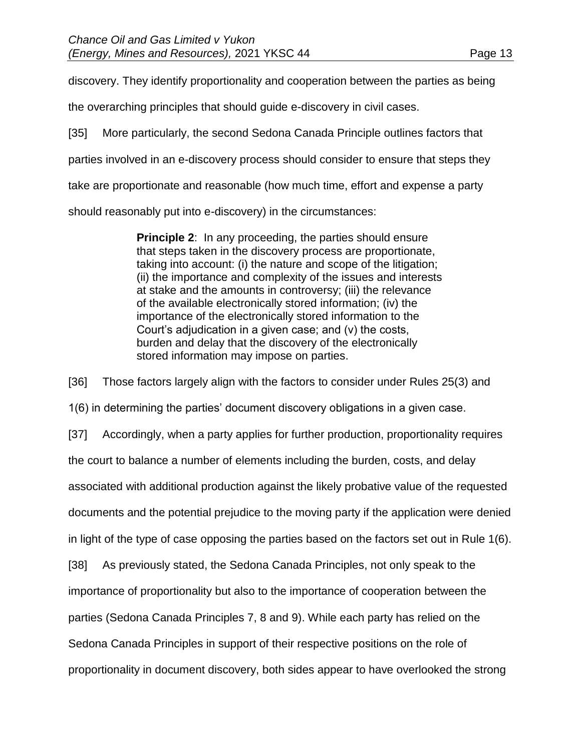discovery. They identify proportionality and cooperation between the parties as being

the overarching principles that should guide e-discovery in civil cases.

[35] More particularly, the second Sedona Canada Principle outlines factors that

parties involved in an e-discovery process should consider to ensure that steps they

take are proportionate and reasonable (how much time, effort and expense a party

should reasonably put into e-discovery) in the circumstances:

**Principle 2:** In any proceeding, the parties should ensure that steps taken in the discovery process are proportionate, taking into account: (i) the nature and scope of the litigation; (ii) the importance and complexity of the issues and interests at stake and the amounts in controversy; (iii) the relevance of the available electronically stored information; (iv) the importance of the electronically stored information to the Court's adjudication in a given case; and (v) the costs, burden and delay that the discovery of the electronically stored information may impose on parties.

[36] Those factors largely align with the factors to consider under Rules 25(3) and

1(6) in determining the parties' document discovery obligations in a given case.

[37] Accordingly, when a party applies for further production, proportionality requires

the court to balance a number of elements including the burden, costs, and delay

associated with additional production against the likely probative value of the requested

documents and the potential prejudice to the moving party if the application were denied

in light of the type of case opposing the parties based on the factors set out in Rule 1(6).

[38] As previously stated, the Sedona Canada Principles, not only speak to the

importance of proportionality but also to the importance of cooperation between the

parties (Sedona Canada Principles 7, 8 and 9). While each party has relied on the

Sedona Canada Principles in support of their respective positions on the role of

proportionality in document discovery, both sides appear to have overlooked the strong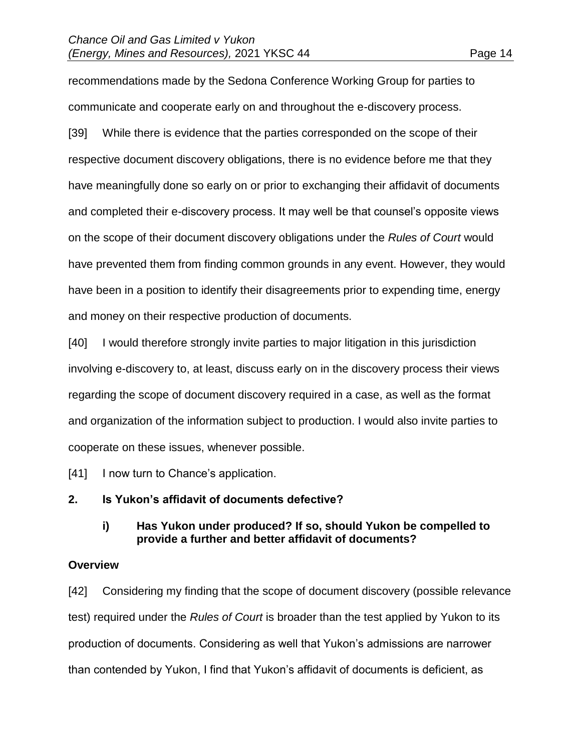recommendations made by the Sedona Conference Working Group for parties to communicate and cooperate early on and throughout the e-discovery process.

[39] While there is evidence that the parties corresponded on the scope of their respective document discovery obligations, there is no evidence before me that they have meaningfully done so early on or prior to exchanging their affidavit of documents and completed their e-discovery process. It may well be that counsel's opposite views on the scope of their document discovery obligations under the *Rules of Court* would have prevented them from finding common grounds in any event. However, they would have been in a position to identify their disagreements prior to expending time, energy and money on their respective production of documents.

[40] I would therefore strongly invite parties to major litigation in this jurisdiction involving e-discovery to, at least, discuss early on in the discovery process their views regarding the scope of document discovery required in a case, as well as the format and organization of the information subject to production. I would also invite parties to cooperate on these issues, whenever possible.

[41] I now turn to Chance's application.

# **2. Is Yukon's affidavit of documents defective?**

## **i) Has Yukon under produced? If so, should Yukon be compelled to provide a further and better affidavit of documents?**

#### **Overview**

[42] Considering my finding that the scope of document discovery (possible relevance test) required under the *Rules of Court* is broader than the test applied by Yukon to its production of documents. Considering as well that Yukon's admissions are narrower than contended by Yukon, I find that Yukon's affidavit of documents is deficient, as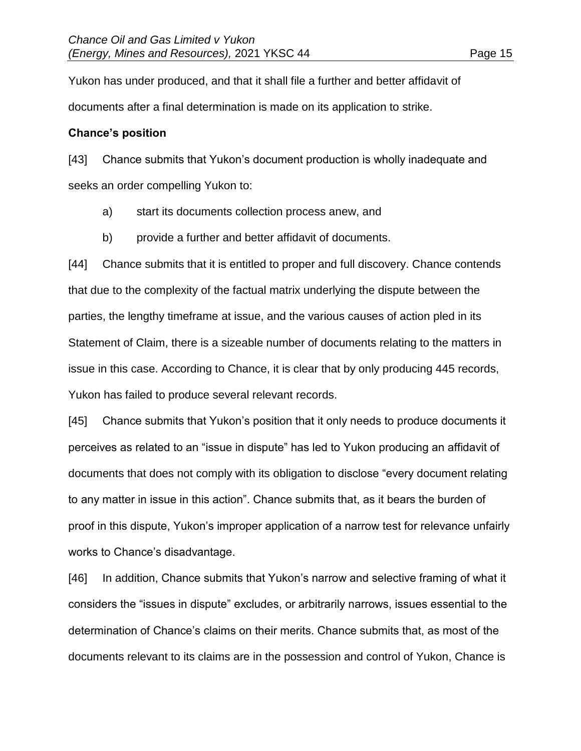Yukon has under produced, and that it shall file a further and better affidavit of documents after a final determination is made on its application to strike.

## **Chance's position**

[43] Chance submits that Yukon's document production is wholly inadequate and seeks an order compelling Yukon to:

- a) start its documents collection process anew, and
- b) provide a further and better affidavit of documents.

[44] Chance submits that it is entitled to proper and full discovery. Chance contends that due to the complexity of the factual matrix underlying the dispute between the parties, the lengthy timeframe at issue, and the various causes of action pled in its Statement of Claim, there is a sizeable number of documents relating to the matters in issue in this case. According to Chance, it is clear that by only producing 445 records, Yukon has failed to produce several relevant records.

[45] Chance submits that Yukon's position that it only needs to produce documents it perceives as related to an "issue in dispute" has led to Yukon producing an affidavit of documents that does not comply with its obligation to disclose "every document relating to any matter in issue in this action". Chance submits that, as it bears the burden of proof in this dispute, Yukon's improper application of a narrow test for relevance unfairly works to Chance's disadvantage.

[46] In addition, Chance submits that Yukon's narrow and selective framing of what it considers the "issues in dispute" excludes, or arbitrarily narrows, issues essential to the determination of Chance's claims on their merits. Chance submits that, as most of the documents relevant to its claims are in the possession and control of Yukon, Chance is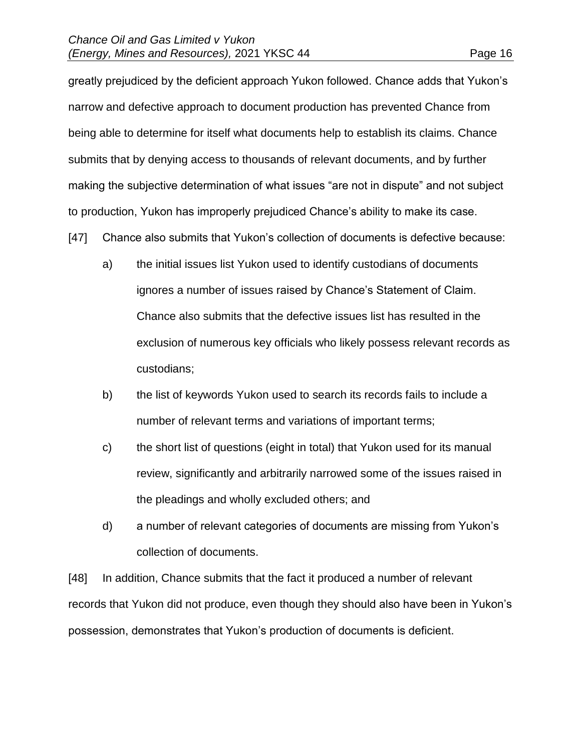greatly prejudiced by the deficient approach Yukon followed. Chance adds that Yukon's narrow and defective approach to document production has prevented Chance from being able to determine for itself what documents help to establish its claims. Chance submits that by denying access to thousands of relevant documents, and by further making the subjective determination of what issues "are not in dispute" and not subject to production, Yukon has improperly prejudiced Chance's ability to make its case.

- [47] Chance also submits that Yukon's collection of documents is defective because:
	- a) the initial issues list Yukon used to identify custodians of documents ignores a number of issues raised by Chance's Statement of Claim. Chance also submits that the defective issues list has resulted in the exclusion of numerous key officials who likely possess relevant records as custodians;
	- b) the list of keywords Yukon used to search its records fails to include a number of relevant terms and variations of important terms;
	- c) the short list of questions (eight in total) that Yukon used for its manual review, significantly and arbitrarily narrowed some of the issues raised in the pleadings and wholly excluded others; and
	- d) a number of relevant categories of documents are missing from Yukon's collection of documents.

[48] In addition, Chance submits that the fact it produced a number of relevant records that Yukon did not produce, even though they should also have been in Yukon's possession, demonstrates that Yukon's production of documents is deficient.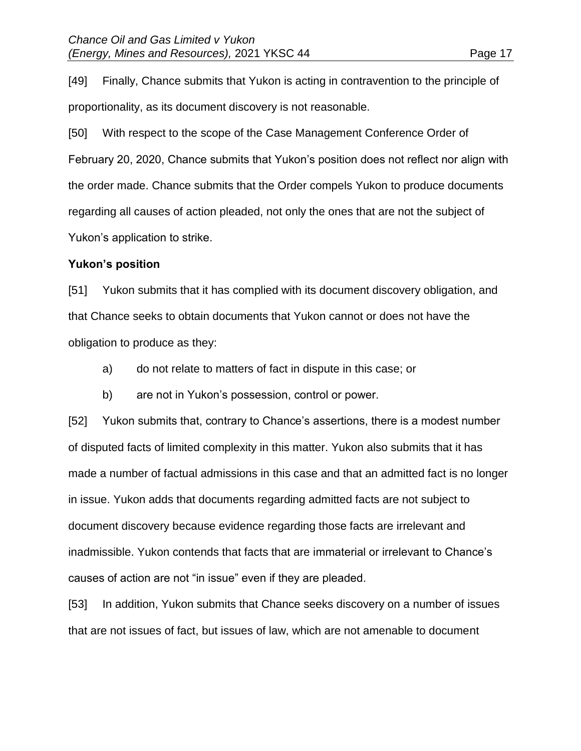[49] Finally, Chance submits that Yukon is acting in contravention to the principle of proportionality, as its document discovery is not reasonable.

[50] With respect to the scope of the Case Management Conference Order of February 20, 2020, Chance submits that Yukon's position does not reflect nor align with the order made. Chance submits that the Order compels Yukon to produce documents regarding all causes of action pleaded, not only the ones that are not the subject of Yukon's application to strike.

# **Yukon's position**

[51] Yukon submits that it has complied with its document discovery obligation, and that Chance seeks to obtain documents that Yukon cannot or does not have the obligation to produce as they:

- a) do not relate to matters of fact in dispute in this case; or
- b) are not in Yukon's possession, control or power.

[52] Yukon submits that, contrary to Chance's assertions, there is a modest number of disputed facts of limited complexity in this matter. Yukon also submits that it has made a number of factual admissions in this case and that an admitted fact is no longer in issue. Yukon adds that documents regarding admitted facts are not subject to document discovery because evidence regarding those facts are irrelevant and inadmissible. Yukon contends that facts that are immaterial or irrelevant to Chance's causes of action are not "in issue" even if they are pleaded.

[53] In addition, Yukon submits that Chance seeks discovery on a number of issues that are not issues of fact, but issues of law, which are not amenable to document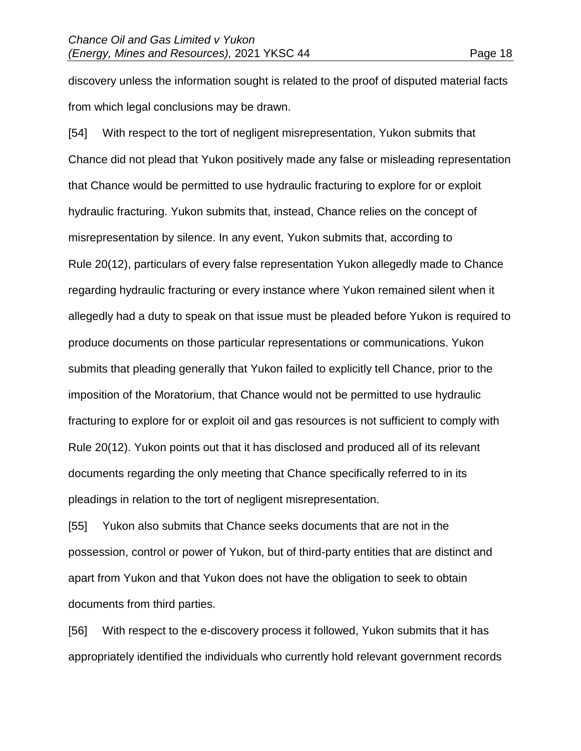discovery unless the information sought is related to the proof of disputed material facts from which legal conclusions may be drawn.

[54] With respect to the tort of negligent misrepresentation, Yukon submits that Chance did not plead that Yukon positively made any false or misleading representation that Chance would be permitted to use hydraulic fracturing to explore for or exploit hydraulic fracturing. Yukon submits that, instead, Chance relies on the concept of misrepresentation by silence. In any event, Yukon submits that, according to Rule 20(12), particulars of every false representation Yukon allegedly made to Chance regarding hydraulic fracturing or every instance where Yukon remained silent when it allegedly had a duty to speak on that issue must be pleaded before Yukon is required to produce documents on those particular representations or communications. Yukon submits that pleading generally that Yukon failed to explicitly tell Chance, prior to the imposition of the Moratorium, that Chance would not be permitted to use hydraulic fracturing to explore for or exploit oil and gas resources is not sufficient to comply with Rule 20(12). Yukon points out that it has disclosed and produced all of its relevant documents regarding the only meeting that Chance specifically referred to in its pleadings in relation to the tort of negligent misrepresentation.

[55] Yukon also submits that Chance seeks documents that are not in the possession, control or power of Yukon, but of third-party entities that are distinct and apart from Yukon and that Yukon does not have the obligation to seek to obtain documents from third parties.

[56] With respect to the e-discovery process it followed, Yukon submits that it has appropriately identified the individuals who currently hold relevant government records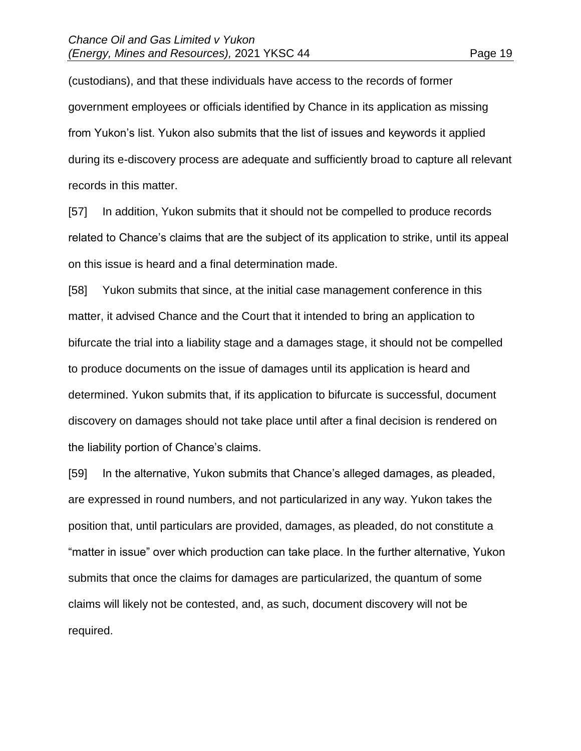(custodians), and that these individuals have access to the records of former government employees or officials identified by Chance in its application as missing from Yukon's list. Yukon also submits that the list of issues and keywords it applied during its e-discovery process are adequate and sufficiently broad to capture all relevant records in this matter.

[57] In addition, Yukon submits that it should not be compelled to produce records related to Chance's claims that are the subject of its application to strike, until its appeal on this issue is heard and a final determination made.

[58] Yukon submits that since, at the initial case management conference in this matter, it advised Chance and the Court that it intended to bring an application to bifurcate the trial into a liability stage and a damages stage, it should not be compelled to produce documents on the issue of damages until its application is heard and determined. Yukon submits that, if its application to bifurcate is successful, document discovery on damages should not take place until after a final decision is rendered on the liability portion of Chance's claims.

[59] In the alternative, Yukon submits that Chance's alleged damages, as pleaded, are expressed in round numbers, and not particularized in any way. Yukon takes the position that, until particulars are provided, damages, as pleaded, do not constitute a "matter in issue" over which production can take place. In the further alternative, Yukon submits that once the claims for damages are particularized, the quantum of some claims will likely not be contested, and, as such, document discovery will not be required.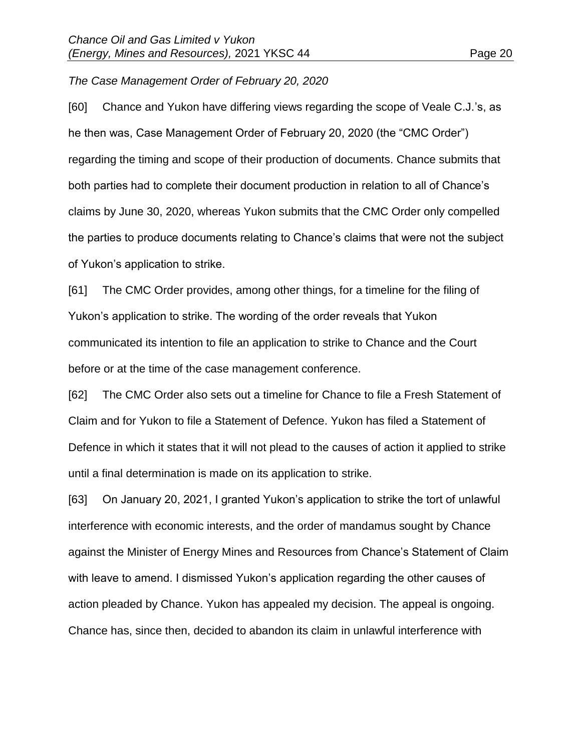### *The Case Management Order of February 20, 2020*

[60] Chance and Yukon have differing views regarding the scope of Veale C.J.'s, as he then was, Case Management Order of February 20, 2020 (the "CMC Order") regarding the timing and scope of their production of documents. Chance submits that both parties had to complete their document production in relation to all of Chance's claims by June 30, 2020, whereas Yukon submits that the CMC Order only compelled the parties to produce documents relating to Chance's claims that were not the subject of Yukon's application to strike.

[61] The CMC Order provides, among other things, for a timeline for the filing of Yukon's application to strike. The wording of the order reveals that Yukon communicated its intention to file an application to strike to Chance and the Court before or at the time of the case management conference.

[62] The CMC Order also sets out a timeline for Chance to file a Fresh Statement of Claim and for Yukon to file a Statement of Defence. Yukon has filed a Statement of Defence in which it states that it will not plead to the causes of action it applied to strike until a final determination is made on its application to strike.

[63] On January 20, 2021, I granted Yukon's application to strike the tort of unlawful interference with economic interests, and the order of mandamus sought by Chance against the Minister of Energy Mines and Resources from Chance's Statement of Claim with leave to amend. I dismissed Yukon's application regarding the other causes of action pleaded by Chance. Yukon has appealed my decision. The appeal is ongoing. Chance has, since then, decided to abandon its claim in unlawful interference with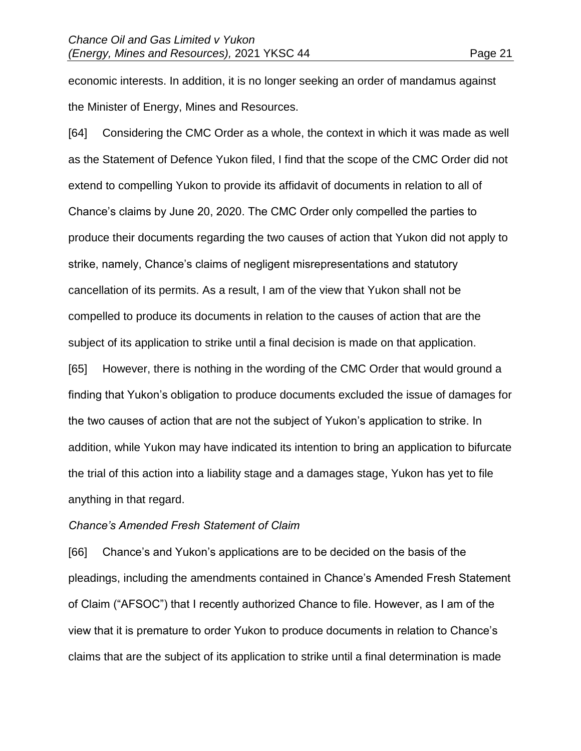economic interests. In addition, it is no longer seeking an order of mandamus against the Minister of Energy, Mines and Resources.

[64] Considering the CMC Order as a whole, the context in which it was made as well as the Statement of Defence Yukon filed, I find that the scope of the CMC Order did not extend to compelling Yukon to provide its affidavit of documents in relation to all of Chance's claims by June 20, 2020. The CMC Order only compelled the parties to produce their documents regarding the two causes of action that Yukon did not apply to strike, namely, Chance's claims of negligent misrepresentations and statutory cancellation of its permits. As a result, I am of the view that Yukon shall not be compelled to produce its documents in relation to the causes of action that are the subject of its application to strike until a final decision is made on that application. [65] However, there is nothing in the wording of the CMC Order that would ground a finding that Yukon's obligation to produce documents excluded the issue of damages for the two causes of action that are not the subject of Yukon's application to strike. In addition, while Yukon may have indicated its intention to bring an application to bifurcate the trial of this action into a liability stage and a damages stage, Yukon has yet to file

anything in that regard.

#### *Chance's Amended Fresh Statement of Claim*

[66] Chance's and Yukon's applications are to be decided on the basis of the pleadings, including the amendments contained in Chance's Amended Fresh Statement of Claim ("AFSOC") that I recently authorized Chance to file. However, as I am of the view that it is premature to order Yukon to produce documents in relation to Chance's claims that are the subject of its application to strike until a final determination is made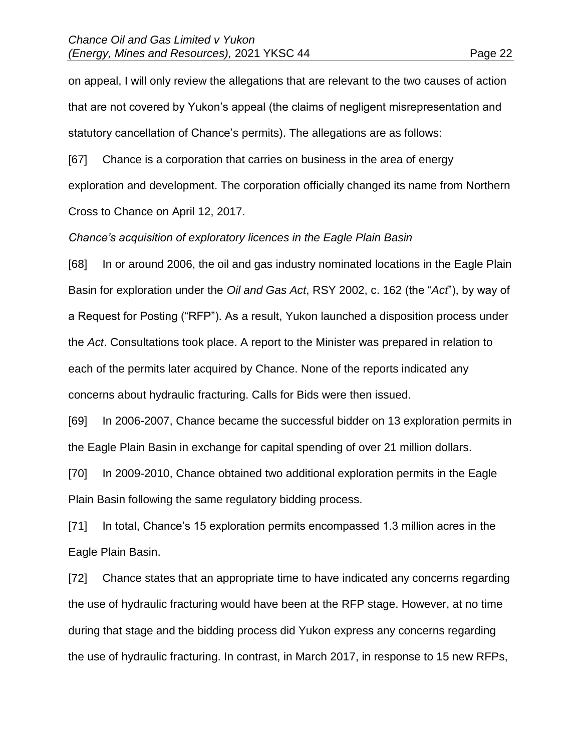on appeal, I will only review the allegations that are relevant to the two causes of action that are not covered by Yukon's appeal (the claims of negligent misrepresentation and statutory cancellation of Chance's permits). The allegations are as follows:

[67] Chance is a corporation that carries on business in the area of energy exploration and development. The corporation officially changed its name from Northern Cross to Chance on April 12, 2017.

*Chance's acquisition of exploratory licences in the Eagle Plain Basin*

[68] In or around 2006, the oil and gas industry nominated locations in the Eagle Plain Basin for exploration under the *Oil and Gas Act*, RSY 2002, c. 162 (the "*Act*"), by way of a Request for Posting ("RFP"). As a result, Yukon launched a disposition process under the *Act*. Consultations took place. A report to the Minister was prepared in relation to each of the permits later acquired by Chance. None of the reports indicated any concerns about hydraulic fracturing. Calls for Bids were then issued.

[69] In 2006-2007, Chance became the successful bidder on 13 exploration permits in the Eagle Plain Basin in exchange for capital spending of over 21 million dollars.

[70] In 2009-2010, Chance obtained two additional exploration permits in the Eagle Plain Basin following the same regulatory bidding process.

[71] In total, Chance's 15 exploration permits encompassed 1.3 million acres in the Eagle Plain Basin.

[72] Chance states that an appropriate time to have indicated any concerns regarding the use of hydraulic fracturing would have been at the RFP stage. However, at no time during that stage and the bidding process did Yukon express any concerns regarding the use of hydraulic fracturing. In contrast, in March 2017, in response to 15 new RFPs,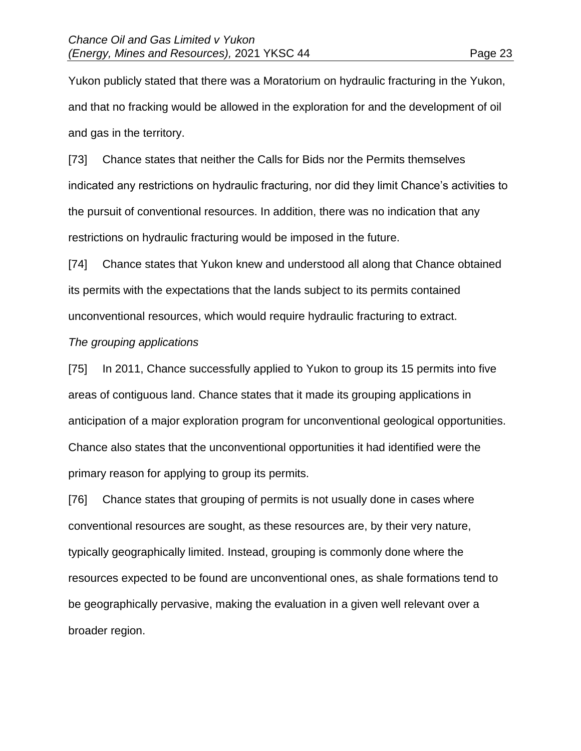Yukon publicly stated that there was a Moratorium on hydraulic fracturing in the Yukon, and that no fracking would be allowed in the exploration for and the development of oil and gas in the territory.

[73] Chance states that neither the Calls for Bids nor the Permits themselves indicated any restrictions on hydraulic fracturing, nor did they limit Chance's activities to the pursuit of conventional resources. In addition, there was no indication that any restrictions on hydraulic fracturing would be imposed in the future.

[74] Chance states that Yukon knew and understood all along that Chance obtained its permits with the expectations that the lands subject to its permits contained unconventional resources, which would require hydraulic fracturing to extract.

#### *The grouping applications*

[75] In 2011, Chance successfully applied to Yukon to group its 15 permits into five areas of contiguous land. Chance states that it made its grouping applications in anticipation of a major exploration program for unconventional geological opportunities. Chance also states that the unconventional opportunities it had identified were the primary reason for applying to group its permits.

[76] Chance states that grouping of permits is not usually done in cases where conventional resources are sought, as these resources are, by their very nature, typically geographically limited. Instead, grouping is commonly done where the resources expected to be found are unconventional ones, as shale formations tend to be geographically pervasive, making the evaluation in a given well relevant over a broader region.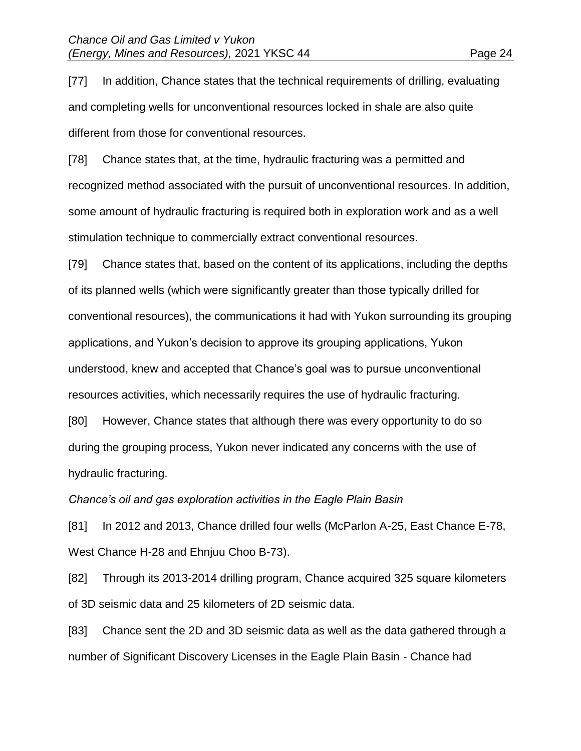[77] In addition, Chance states that the technical requirements of drilling, evaluating and completing wells for unconventional resources locked in shale are also quite different from those for conventional resources.

[78] Chance states that, at the time, hydraulic fracturing was a permitted and recognized method associated with the pursuit of unconventional resources. In addition, some amount of hydraulic fracturing is required both in exploration work and as a well stimulation technique to commercially extract conventional resources.

[79] Chance states that, based on the content of its applications, including the depths of its planned wells (which were significantly greater than those typically drilled for conventional resources), the communications it had with Yukon surrounding its grouping applications, and Yukon's decision to approve its grouping applications, Yukon understood, knew and accepted that Chance's goal was to pursue unconventional resources activities, which necessarily requires the use of hydraulic fracturing.

[80] However, Chance states that although there was every opportunity to do so during the grouping process, Yukon never indicated any concerns with the use of hydraulic fracturing.

*Chance's oil and gas exploration activities in the Eagle Plain Basin*

[81] In 2012 and 2013, Chance drilled four wells (McParlon A-25, East Chance E-78, West Chance H-28 and Ehnjuu Choo B-73).

[82] Through its 2013-2014 drilling program, Chance acquired 325 square kilometers of 3D seismic data and 25 kilometers of 2D seismic data.

[83] Chance sent the 2D and 3D seismic data as well as the data gathered through a number of Significant Discovery Licenses in the Eagle Plain Basin - Chance had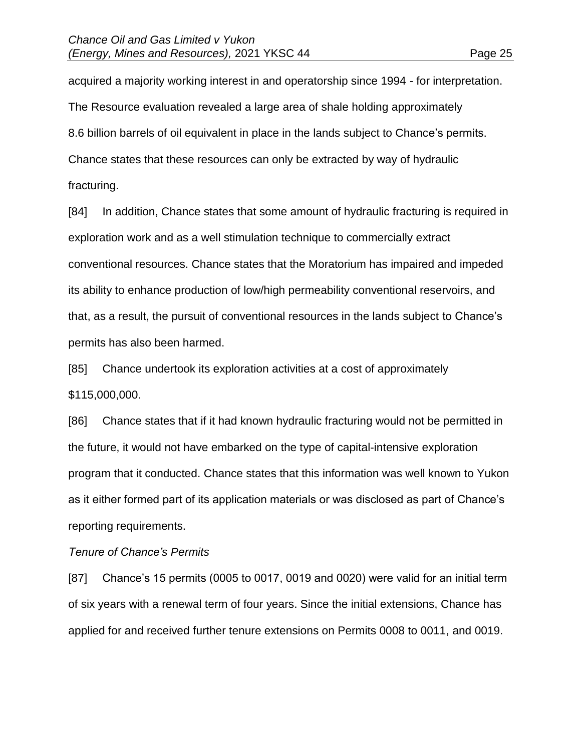acquired a majority working interest in and operatorship since 1994 - for interpretation. The Resource evaluation revealed a large area of shale holding approximately 8.6 billion barrels of oil equivalent in place in the lands subject to Chance's permits. Chance states that these resources can only be extracted by way of hydraulic fracturing.

[84] In addition, Chance states that some amount of hydraulic fracturing is required in exploration work and as a well stimulation technique to commercially extract conventional resources. Chance states that the Moratorium has impaired and impeded its ability to enhance production of low/high permeability conventional reservoirs, and that, as a result, the pursuit of conventional resources in the lands subject to Chance's permits has also been harmed.

[85] Chance undertook its exploration activities at a cost of approximately \$115,000,000.

[86] Chance states that if it had known hydraulic fracturing would not be permitted in the future, it would not have embarked on the type of capital-intensive exploration program that it conducted. Chance states that this information was well known to Yukon as it either formed part of its application materials or was disclosed as part of Chance's reporting requirements.

#### *Tenure of Chance's Permits*

[87] Chance's 15 permits (0005 to 0017, 0019 and 0020) were valid for an initial term of six years with a renewal term of four years. Since the initial extensions, Chance has applied for and received further tenure extensions on Permits 0008 to 0011, and 0019.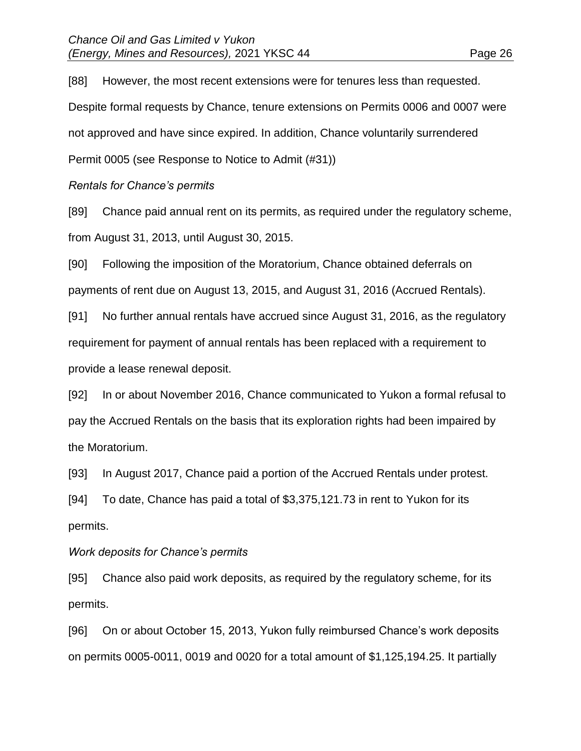[88] However, the most recent extensions were for tenures less than requested. Despite formal requests by Chance, tenure extensions on Permits 0006 and 0007 were not approved and have since expired. In addition, Chance voluntarily surrendered Permit 0005 (see Response to Notice to Admit (#31))

*Rentals for Chance's permits*

[89] Chance paid annual rent on its permits, as required under the regulatory scheme, from August 31, 2013, until August 30, 2015.

[90] Following the imposition of the Moratorium, Chance obtained deferrals on payments of rent due on August 13, 2015, and August 31, 2016 (Accrued Rentals).

[91] No further annual rentals have accrued since August 31, 2016, as the regulatory requirement for payment of annual rentals has been replaced with a requirement to provide a lease renewal deposit.

[92] In or about November 2016, Chance communicated to Yukon a formal refusal to pay the Accrued Rentals on the basis that its exploration rights had been impaired by the Moratorium.

[93] In August 2017, Chance paid a portion of the Accrued Rentals under protest.

[94] To date, Chance has paid a total of \$3,375,121.73 in rent to Yukon for its permits.

#### *Work deposits for Chance's permits*

[95] Chance also paid work deposits, as required by the regulatory scheme, for its permits.

[96] On or about October 15, 2013, Yukon fully reimbursed Chance's work deposits on permits 0005-0011, 0019 and 0020 for a total amount of \$1,125,194.25. It partially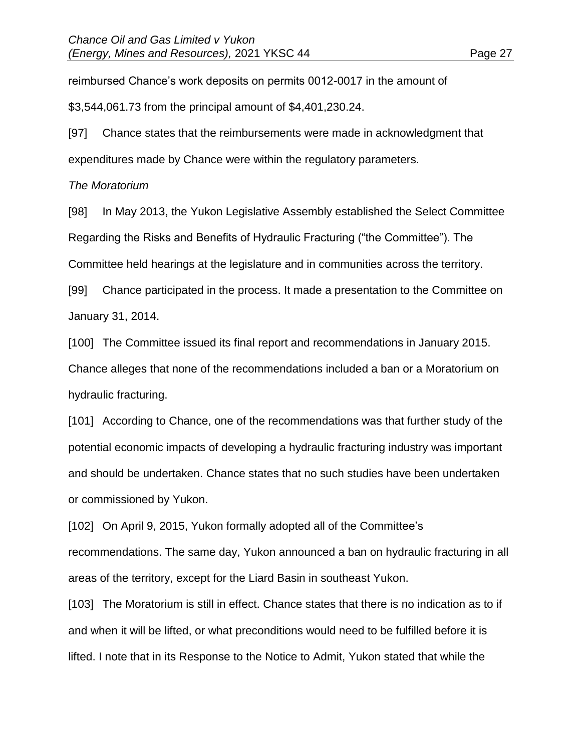reimbursed Chance's work deposits on permits 0012-0017 in the amount of

\$3,544,061.73 from the principal amount of \$4,401,230.24.

[97] Chance states that the reimbursements were made in acknowledgment that expenditures made by Chance were within the regulatory parameters.

# *The Moratorium*

[98] In May 2013, the Yukon Legislative Assembly established the Select Committee Regarding the Risks and Benefits of Hydraulic Fracturing ("the Committee"). The Committee held hearings at the legislature and in communities across the territory.

[99] Chance participated in the process. It made a presentation to the Committee on January 31, 2014.

[100] The Committee issued its final report and recommendations in January 2015.

Chance alleges that none of the recommendations included a ban or a Moratorium on hydraulic fracturing.

[101] According to Chance, one of the recommendations was that further study of the potential economic impacts of developing a hydraulic fracturing industry was important and should be undertaken. Chance states that no such studies have been undertaken or commissioned by Yukon.

[102] On April 9, 2015, Yukon formally adopted all of the Committee's recommendations. The same day, Yukon announced a ban on hydraulic fracturing in all areas of the territory, except for the Liard Basin in southeast Yukon.

[103] The Moratorium is still in effect. Chance states that there is no indication as to if and when it will be lifted, or what preconditions would need to be fulfilled before it is lifted. I note that in its Response to the Notice to Admit, Yukon stated that while the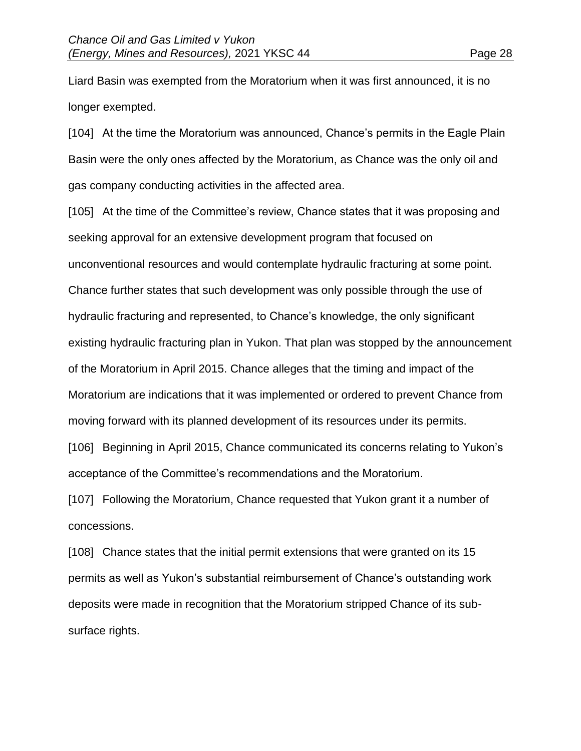Liard Basin was exempted from the Moratorium when it was first announced, it is no longer exempted.

[104] At the time the Moratorium was announced, Chance's permits in the Eagle Plain Basin were the only ones affected by the Moratorium, as Chance was the only oil and gas company conducting activities in the affected area.

[105] At the time of the Committee's review, Chance states that it was proposing and seeking approval for an extensive development program that focused on unconventional resources and would contemplate hydraulic fracturing at some point. Chance further states that such development was only possible through the use of hydraulic fracturing and represented, to Chance's knowledge, the only significant existing hydraulic fracturing plan in Yukon. That plan was stopped by the announcement of the Moratorium in April 2015. Chance alleges that the timing and impact of the Moratorium are indications that it was implemented or ordered to prevent Chance from moving forward with its planned development of its resources under its permits. [106] Beginning in April 2015, Chance communicated its concerns relating to Yukon's

[107] Following the Moratorium, Chance requested that Yukon grant it a number of concessions.

acceptance of the Committee's recommendations and the Moratorium.

[108] Chance states that the initial permit extensions that were granted on its 15 permits as well as Yukon's substantial reimbursement of Chance's outstanding work deposits were made in recognition that the Moratorium stripped Chance of its subsurface rights.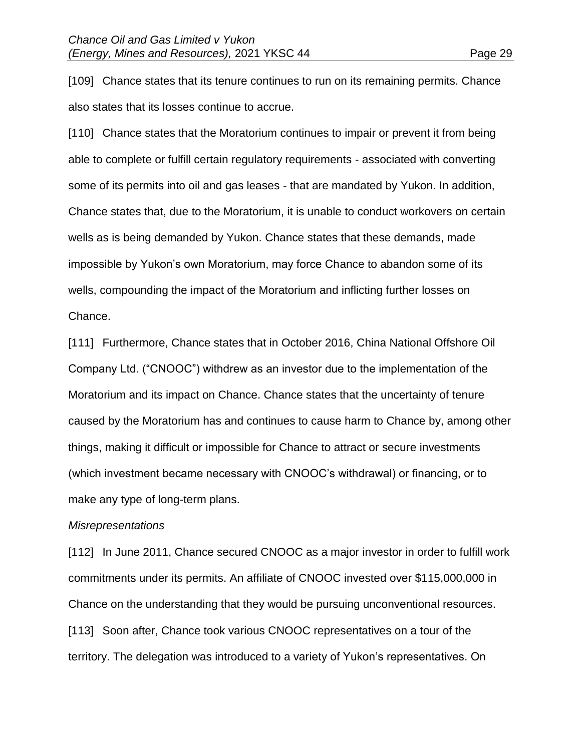[109] Chance states that its tenure continues to run on its remaining permits. Chance also states that its losses continue to accrue.

[110] Chance states that the Moratorium continues to impair or prevent it from being able to complete or fulfill certain regulatory requirements - associated with converting some of its permits into oil and gas leases - that are mandated by Yukon. In addition, Chance states that, due to the Moratorium, it is unable to conduct workovers on certain wells as is being demanded by Yukon. Chance states that these demands, made impossible by Yukon's own Moratorium, may force Chance to abandon some of its wells, compounding the impact of the Moratorium and inflicting further losses on Chance.

[111] Furthermore, Chance states that in October 2016, China National Offshore Oil Company Ltd. ("CNOOC") withdrew as an investor due to the implementation of the Moratorium and its impact on Chance. Chance states that the uncertainty of tenure caused by the Moratorium has and continues to cause harm to Chance by, among other things, making it difficult or impossible for Chance to attract or secure investments (which investment became necessary with CNOOC's withdrawal) or financing, or to make any type of long-term plans.

#### *Misrepresentations*

[112] In June 2011, Chance secured CNOOC as a major investor in order to fulfill work commitments under its permits. An affiliate of CNOOC invested over \$115,000,000 in Chance on the understanding that they would be pursuing unconventional resources. [113] Soon after, Chance took various CNOOC representatives on a tour of the territory. The delegation was introduced to a variety of Yukon's representatives. On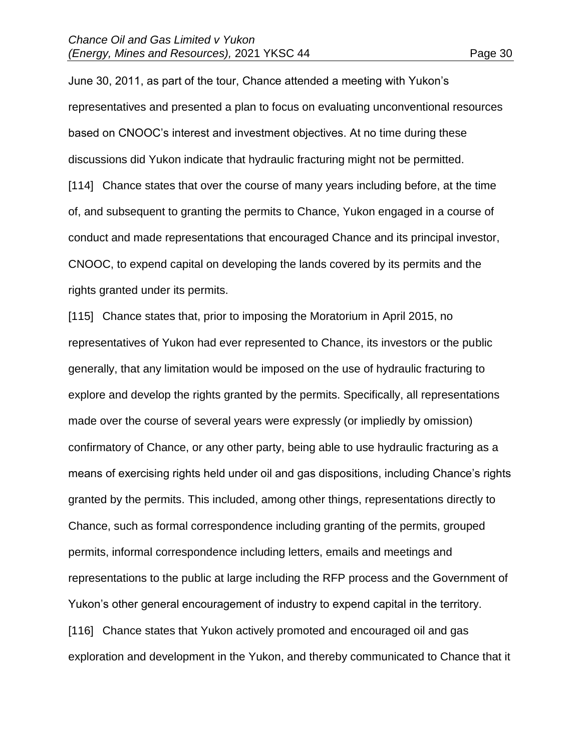June 30, 2011, as part of the tour, Chance attended a meeting with Yukon's representatives and presented a plan to focus on evaluating unconventional resources based on CNOOC's interest and investment objectives. At no time during these discussions did Yukon indicate that hydraulic fracturing might not be permitted. [114] Chance states that over the course of many years including before, at the time of, and subsequent to granting the permits to Chance, Yukon engaged in a course of conduct and made representations that encouraged Chance and its principal investor, CNOOC, to expend capital on developing the lands covered by its permits and the rights granted under its permits.

[115] Chance states that, prior to imposing the Moratorium in April 2015, no representatives of Yukon had ever represented to Chance, its investors or the public generally, that any limitation would be imposed on the use of hydraulic fracturing to explore and develop the rights granted by the permits. Specifically, all representations made over the course of several years were expressly (or impliedly by omission) confirmatory of Chance, or any other party, being able to use hydraulic fracturing as a means of exercising rights held under oil and gas dispositions, including Chance's rights granted by the permits. This included, among other things, representations directly to Chance, such as formal correspondence including granting of the permits, grouped permits, informal correspondence including letters, emails and meetings and representations to the public at large including the RFP process and the Government of Yukon's other general encouragement of industry to expend capital in the territory. [116] Chance states that Yukon actively promoted and encouraged oil and gas exploration and development in the Yukon, and thereby communicated to Chance that it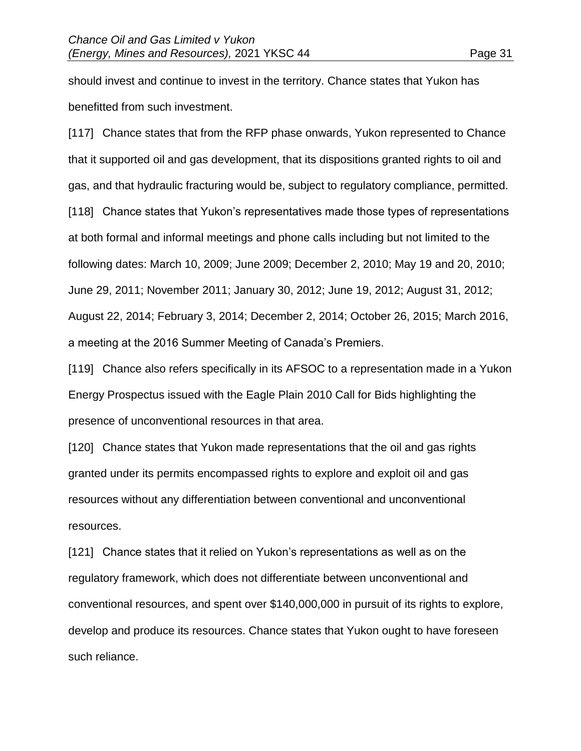should invest and continue to invest in the territory. Chance states that Yukon has benefitted from such investment.

[117] Chance states that from the RFP phase onwards, Yukon represented to Chance that it supported oil and gas development, that its dispositions granted rights to oil and gas, and that hydraulic fracturing would be, subject to regulatory compliance, permitted. [118] Chance states that Yukon's representatives made those types of representations at both formal and informal meetings and phone calls including but not limited to the following dates: March 10, 2009; June 2009; December 2, 2010; May 19 and 20, 2010; June 29, 2011; November 2011; January 30, 2012; June 19, 2012; August 31, 2012; August 22, 2014; February 3, 2014; December 2, 2014; October 26, 2015; March 2016, a meeting at the 2016 Summer Meeting of Canada's Premiers.

[119] Chance also refers specifically in its AFSOC to a representation made in a Yukon Energy Prospectus issued with the Eagle Plain 2010 Call for Bids highlighting the presence of unconventional resources in that area.

[120] Chance states that Yukon made representations that the oil and gas rights granted under its permits encompassed rights to explore and exploit oil and gas resources without any differentiation between conventional and unconventional resources.

[121] Chance states that it relied on Yukon's representations as well as on the regulatory framework, which does not differentiate between unconventional and conventional resources, and spent over \$140,000,000 in pursuit of its rights to explore, develop and produce its resources. Chance states that Yukon ought to have foreseen such reliance.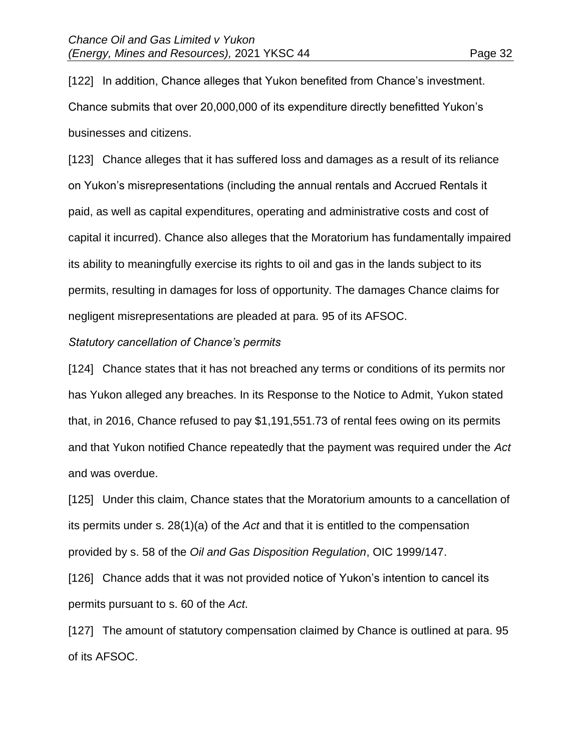[122] In addition, Chance alleges that Yukon benefited from Chance's investment. Chance submits that over 20,000,000 of its expenditure directly benefitted Yukon's businesses and citizens.

[123] Chance alleges that it has suffered loss and damages as a result of its reliance on Yukon's misrepresentations (including the annual rentals and Accrued Rentals it paid, as well as capital expenditures, operating and administrative costs and cost of capital it incurred). Chance also alleges that the Moratorium has fundamentally impaired its ability to meaningfully exercise its rights to oil and gas in the lands subject to its permits, resulting in damages for loss of opportunity. The damages Chance claims for negligent misrepresentations are pleaded at para. 95 of its AFSOC.

#### *Statutory cancellation of Chance's permits*

[124] Chance states that it has not breached any terms or conditions of its permits nor has Yukon alleged any breaches. In its Response to the Notice to Admit, Yukon stated that, in 2016, Chance refused to pay \$1,191,551.73 of rental fees owing on its permits and that Yukon notified Chance repeatedly that the payment was required under the *Act* and was overdue.

[125] Under this claim, Chance states that the Moratorium amounts to a cancellation of its permits under s. 28(1)(a) of the *Act* and that it is entitled to the compensation provided by s. 58 of the *Oil and Gas Disposition Regulation*, OIC 1999/147.

[126] Chance adds that it was not provided notice of Yukon's intention to cancel its permits pursuant to s. 60 of the *Act*.

[127] The amount of statutory compensation claimed by Chance is outlined at para. 95 of its AFSOC.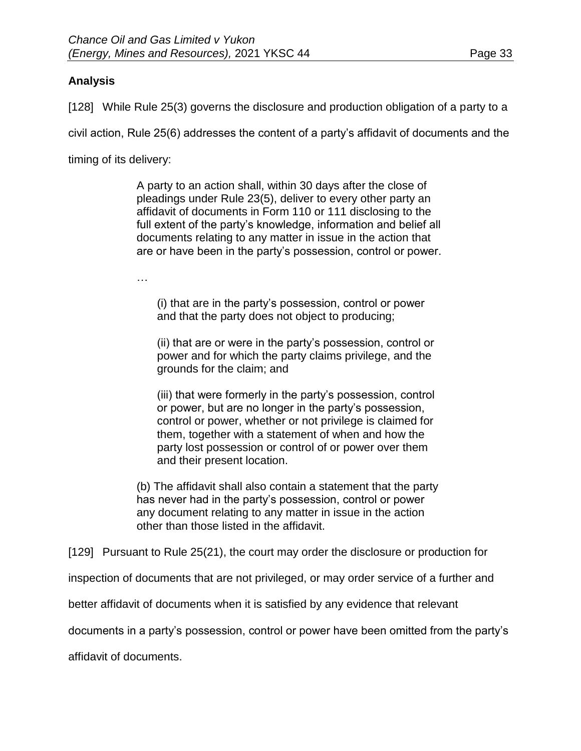# **Analysis**

[128] While Rule 25(3) governs the disclosure and production obligation of a party to a

civil action, Rule 25(6) addresses the content of a party's affidavit of documents and the

timing of its delivery:

A party to an action shall, within 30 days after the close of pleadings under Rule 23(5), deliver to every other party an affidavit of documents in Form 110 or 111 disclosing to the full extent of the party's knowledge, information and belief all documents relating to any matter in issue in the action that are or have been in the party's possession, control or power.

…

(i) that are in the party's possession, control or power and that the party does not object to producing;

(ii) that are or were in the party's possession, control or power and for which the party claims privilege, and the grounds for the claim; and

(iii) that were formerly in the party's possession, control or power, but are no longer in the party's possession, control or power, whether or not privilege is claimed for them, together with a statement of when and how the party lost possession or control of or power over them and their present location.

(b) The affidavit shall also contain a statement that the party has never had in the party's possession, control or power any document relating to any matter in issue in the action other than those listed in the affidavit.

[129] Pursuant to Rule 25(21), the court may order the disclosure or production for

inspection of documents that are not privileged, or may order service of a further and

better affidavit of documents when it is satisfied by any evidence that relevant

documents in a party's possession, control or power have been omitted from the party's

affidavit of documents.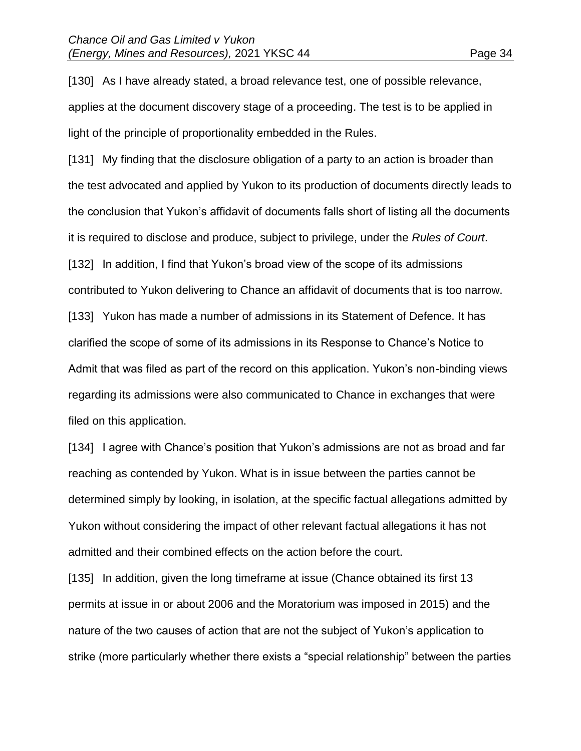[130] As I have already stated, a broad relevance test, one of possible relevance, applies at the document discovery stage of a proceeding. The test is to be applied in light of the principle of proportionality embedded in the Rules.

[131] My finding that the disclosure obligation of a party to an action is broader than the test advocated and applied by Yukon to its production of documents directly leads to the conclusion that Yukon's affidavit of documents falls short of listing all the documents it is required to disclose and produce, subject to privilege, under the *Rules of Court*. [132] In addition, I find that Yukon's broad view of the scope of its admissions contributed to Yukon delivering to Chance an affidavit of documents that is too narrow. [133] Yukon has made a number of admissions in its Statement of Defence. It has clarified the scope of some of its admissions in its Response to Chance's Notice to Admit that was filed as part of the record on this application. Yukon's non-binding views regarding its admissions were also communicated to Chance in exchanges that were filed on this application.

[134] I agree with Chance's position that Yukon's admissions are not as broad and far reaching as contended by Yukon. What is in issue between the parties cannot be determined simply by looking, in isolation, at the specific factual allegations admitted by Yukon without considering the impact of other relevant factual allegations it has not admitted and their combined effects on the action before the court.

[135] In addition, given the long timeframe at issue (Chance obtained its first 13 permits at issue in or about 2006 and the Moratorium was imposed in 2015) and the nature of the two causes of action that are not the subject of Yukon's application to strike (more particularly whether there exists a "special relationship" between the parties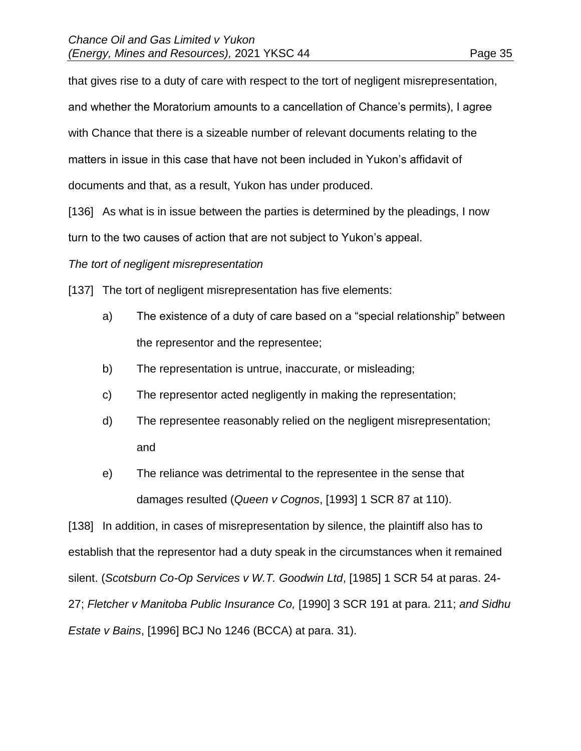that gives rise to a duty of care with respect to the tort of negligent misrepresentation, and whether the Moratorium amounts to a cancellation of Chance's permits), I agree with Chance that there is a sizeable number of relevant documents relating to the matters in issue in this case that have not been included in Yukon's affidavit of documents and that, as a result, Yukon has under produced.

[136] As what is in issue between the parties is determined by the pleadings, I now turn to the two causes of action that are not subject to Yukon's appeal.

## *The tort of negligent misrepresentation*

[137] The tort of negligent misrepresentation has five elements:

- a) The existence of a duty of care based on a "special relationship" between the representor and the representee;
- b) The representation is untrue, inaccurate, or misleading;
- c) The representor acted negligently in making the representation;
- d) The representee reasonably relied on the negligent misrepresentation; and
- e) The reliance was detrimental to the representee in the sense that damages resulted (*Queen v Cognos*, [1993] 1 SCR 87 at 110).

[138] In addition, in cases of misrepresentation by silence, the plaintiff also has to establish that the representor had a duty speak in the circumstances when it remained silent. (*Scotsburn Co-Op Services v W.T. Goodwin Ltd*, [1985] 1 SCR 54 at paras. 24- 27; *Fletcher v Manitoba Public Insurance Co,* [1990] 3 SCR 191 at para. 211; *and Sidhu Estate v Bains*, [1996] BCJ No 1246 (BCCA) at para. 31).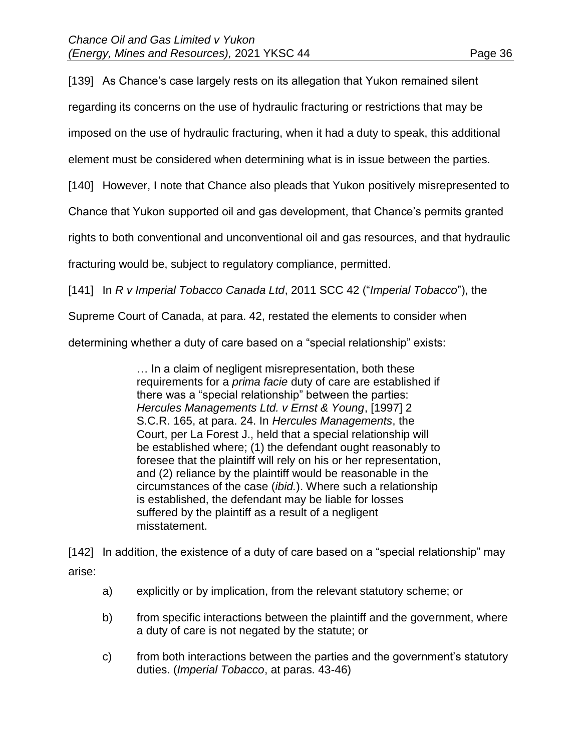[139] As Chance's case largely rests on its allegation that Yukon remained silent

regarding its concerns on the use of hydraulic fracturing or restrictions that may be

imposed on the use of hydraulic fracturing, when it had a duty to speak, this additional

element must be considered when determining what is in issue between the parties.

[140] However, I note that Chance also pleads that Yukon positively misrepresented to

Chance that Yukon supported oil and gas development, that Chance's permits granted

rights to both conventional and unconventional oil and gas resources, and that hydraulic

fracturing would be, subject to regulatory compliance, permitted.

[141] In *R v Imperial Tobacco Canada Ltd*, 2011 SCC 42 ("*Imperial Tobacco*"), the

Supreme Court of Canada, at para. 42, restated the elements to consider when

determining whether a duty of care based on a "special relationship" exists:

… In a claim of negligent misrepresentation, both these requirements for a *prima facie* duty of care are established if there was a "special relationship" between the parties: *Hercules Managements Ltd. v Ernst & Young*, [1997] 2 S.C.R. 165, at para. 24. In *Hercules Managements*, the Court, per La Forest J., held that a special relationship will be established where; (1) the defendant ought reasonably to foresee that the plaintiff will rely on his or her representation, and (2) reliance by the plaintiff would be reasonable in the circumstances of the case (*ibid.*). Where such a relationship is established, the defendant may be liable for losses suffered by the plaintiff as a result of a negligent misstatement.

[142] In addition, the existence of a duty of care based on a "special relationship" may arise:

- a) explicitly or by implication, from the relevant statutory scheme; or
- b) from specific interactions between the plaintiff and the government, where a duty of care is not negated by the statute; or
- c) from both interactions between the parties and the government's statutory duties. (*Imperial Tobacco*, at paras. 43-46)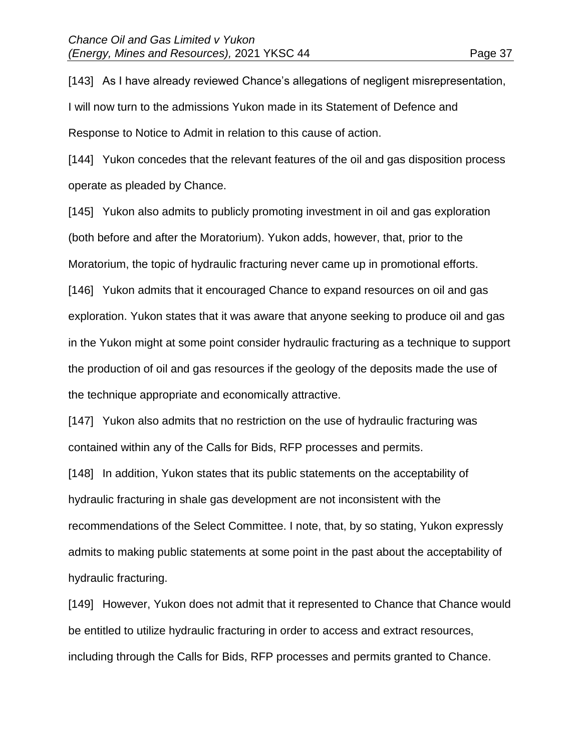[143] As I have already reviewed Chance's allegations of negligent misrepresentation, I will now turn to the admissions Yukon made in its Statement of Defence and Response to Notice to Admit in relation to this cause of action.

[144] Yukon concedes that the relevant features of the oil and gas disposition process operate as pleaded by Chance.

[145] Yukon also admits to publicly promoting investment in oil and gas exploration (both before and after the Moratorium). Yukon adds, however, that, prior to the Moratorium, the topic of hydraulic fracturing never came up in promotional efforts.

[146] Yukon admits that it encouraged Chance to expand resources on oil and gas exploration. Yukon states that it was aware that anyone seeking to produce oil and gas in the Yukon might at some point consider hydraulic fracturing as a technique to support the production of oil and gas resources if the geology of the deposits made the use of the technique appropriate and economically attractive.

[147] Yukon also admits that no restriction on the use of hydraulic fracturing was contained within any of the Calls for Bids, RFP processes and permits.

[148] In addition, Yukon states that its public statements on the acceptability of hydraulic fracturing in shale gas development are not inconsistent with the recommendations of the Select Committee. I note, that, by so stating, Yukon expressly admits to making public statements at some point in the past about the acceptability of hydraulic fracturing.

[149] However, Yukon does not admit that it represented to Chance that Chance would be entitled to utilize hydraulic fracturing in order to access and extract resources, including through the Calls for Bids, RFP processes and permits granted to Chance.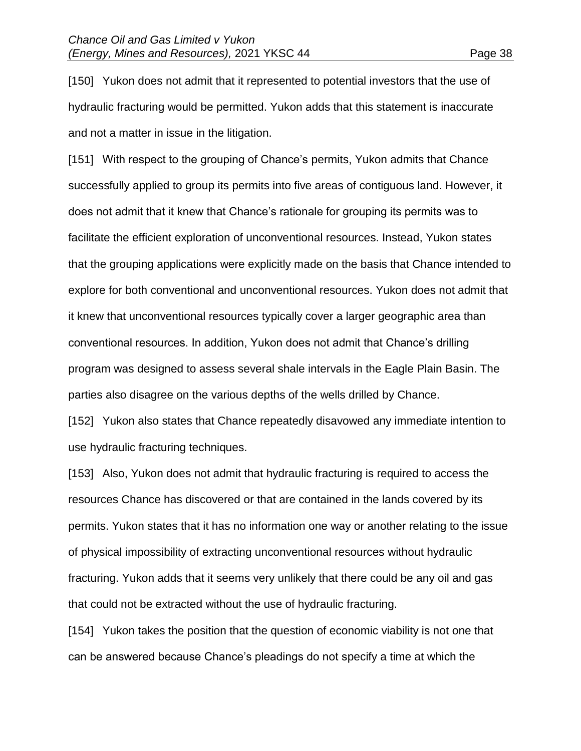[150] Yukon does not admit that it represented to potential investors that the use of hydraulic fracturing would be permitted. Yukon adds that this statement is inaccurate and not a matter in issue in the litigation.

[151] With respect to the grouping of Chance's permits, Yukon admits that Chance successfully applied to group its permits into five areas of contiguous land. However, it does not admit that it knew that Chance's rationale for grouping its permits was to facilitate the efficient exploration of unconventional resources. Instead, Yukon states that the grouping applications were explicitly made on the basis that Chance intended to explore for both conventional and unconventional resources. Yukon does not admit that it knew that unconventional resources typically cover a larger geographic area than conventional resources. In addition, Yukon does not admit that Chance's drilling program was designed to assess several shale intervals in the Eagle Plain Basin. The parties also disagree on the various depths of the wells drilled by Chance.

[152] Yukon also states that Chance repeatedly disavowed any immediate intention to use hydraulic fracturing techniques.

[153] Also, Yukon does not admit that hydraulic fracturing is required to access the resources Chance has discovered or that are contained in the lands covered by its permits. Yukon states that it has no information one way or another relating to the issue of physical impossibility of extracting unconventional resources without hydraulic fracturing. Yukon adds that it seems very unlikely that there could be any oil and gas that could not be extracted without the use of hydraulic fracturing.

[154] Yukon takes the position that the question of economic viability is not one that can be answered because Chance's pleadings do not specify a time at which the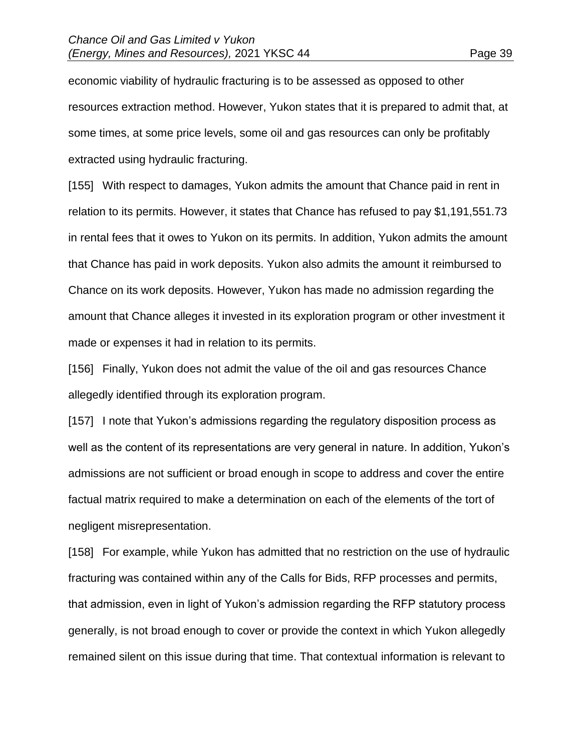economic viability of hydraulic fracturing is to be assessed as opposed to other resources extraction method. However, Yukon states that it is prepared to admit that, at some times, at some price levels, some oil and gas resources can only be profitably extracted using hydraulic fracturing.

[155] With respect to damages, Yukon admits the amount that Chance paid in rent in relation to its permits. However, it states that Chance has refused to pay \$1,191,551.73 in rental fees that it owes to Yukon on its permits. In addition, Yukon admits the amount that Chance has paid in work deposits. Yukon also admits the amount it reimbursed to Chance on its work deposits. However, Yukon has made no admission regarding the amount that Chance alleges it invested in its exploration program or other investment it made or expenses it had in relation to its permits.

[156] Finally, Yukon does not admit the value of the oil and gas resources Chance allegedly identified through its exploration program.

[157] I note that Yukon's admissions regarding the regulatory disposition process as well as the content of its representations are very general in nature. In addition, Yukon's admissions are not sufficient or broad enough in scope to address and cover the entire factual matrix required to make a determination on each of the elements of the tort of negligent misrepresentation.

[158] For example, while Yukon has admitted that no restriction on the use of hydraulic fracturing was contained within any of the Calls for Bids, RFP processes and permits, that admission, even in light of Yukon's admission regarding the RFP statutory process generally, is not broad enough to cover or provide the context in which Yukon allegedly remained silent on this issue during that time. That contextual information is relevant to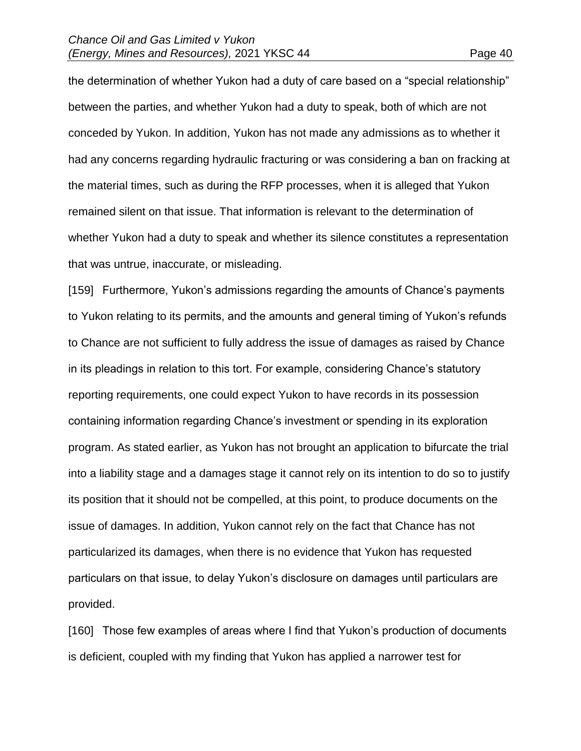the determination of whether Yukon had a duty of care based on a "special relationship" between the parties, and whether Yukon had a duty to speak, both of which are not conceded by Yukon. In addition, Yukon has not made any admissions as to whether it had any concerns regarding hydraulic fracturing or was considering a ban on fracking at the material times, such as during the RFP processes, when it is alleged that Yukon remained silent on that issue. That information is relevant to the determination of whether Yukon had a duty to speak and whether its silence constitutes a representation that was untrue, inaccurate, or misleading.

[159] Furthermore, Yukon's admissions regarding the amounts of Chance's payments to Yukon relating to its permits, and the amounts and general timing of Yukon's refunds to Chance are not sufficient to fully address the issue of damages as raised by Chance in its pleadings in relation to this tort. For example, considering Chance's statutory reporting requirements, one could expect Yukon to have records in its possession containing information regarding Chance's investment or spending in its exploration program. As stated earlier, as Yukon has not brought an application to bifurcate the trial into a liability stage and a damages stage it cannot rely on its intention to do so to justify its position that it should not be compelled, at this point, to produce documents on the issue of damages. In addition, Yukon cannot rely on the fact that Chance has not particularized its damages, when there is no evidence that Yukon has requested particulars on that issue, to delay Yukon's disclosure on damages until particulars are provided.

[160] Those few examples of areas where I find that Yukon's production of documents is deficient, coupled with my finding that Yukon has applied a narrower test for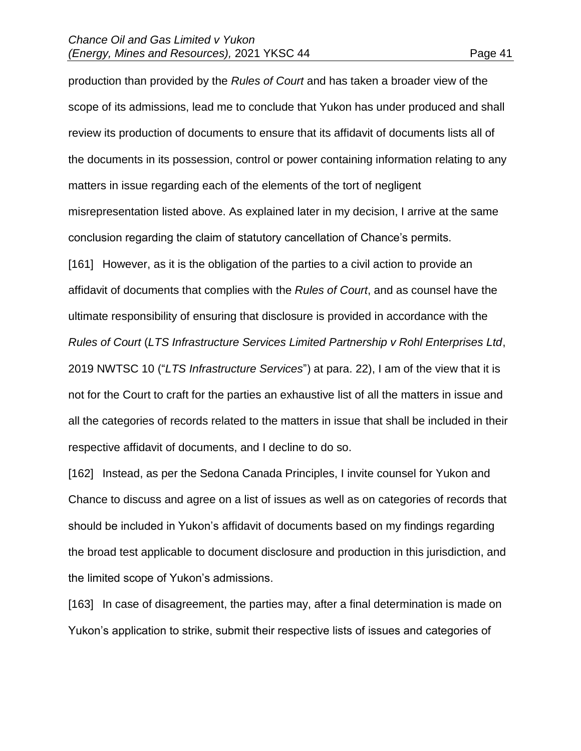production than provided by the *Rules of Court* and has taken a broader view of the scope of its admissions, lead me to conclude that Yukon has under produced and shall review its production of documents to ensure that its affidavit of documents lists all of the documents in its possession, control or power containing information relating to any matters in issue regarding each of the elements of the tort of negligent misrepresentation listed above. As explained later in my decision, I arrive at the same conclusion regarding the claim of statutory cancellation of Chance's permits. [161] However, as it is the obligation of the parties to a civil action to provide an affidavit of documents that complies with the *Rules of Court*, and as counsel have the ultimate responsibility of ensuring that disclosure is provided in accordance with the *Rules of Court* (*LTS Infrastructure Services Limited Partnership v Rohl Enterprises Ltd*, 2019 NWTSC 10 ("*LTS Infrastructure Services*") at para. 22), I am of the view that it is not for the Court to craft for the parties an exhaustive list of all the matters in issue and all the categories of records related to the matters in issue that shall be included in their respective affidavit of documents, and I decline to do so.

[162] Instead, as per the Sedona Canada Principles, I invite counsel for Yukon and Chance to discuss and agree on a list of issues as well as on categories of records that should be included in Yukon's affidavit of documents based on my findings regarding the broad test applicable to document disclosure and production in this jurisdiction, and the limited scope of Yukon's admissions.

[163] In case of disagreement, the parties may, after a final determination is made on Yukon's application to strike, submit their respective lists of issues and categories of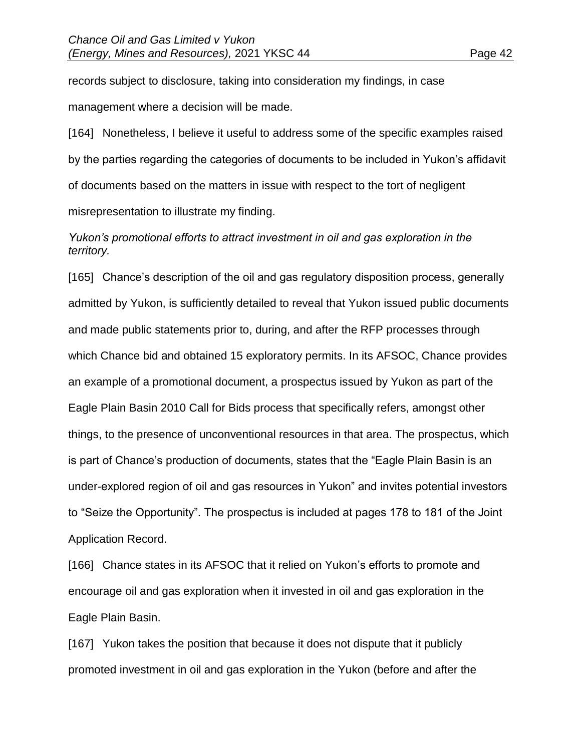records subject to disclosure, taking into consideration my findings, in case management where a decision will be made.

[164] Nonetheless, I believe it useful to address some of the specific examples raised by the parties regarding the categories of documents to be included in Yukon's affidavit of documents based on the matters in issue with respect to the tort of negligent misrepresentation to illustrate my finding.

# *Yukon's promotional efforts to attract investment in oil and gas exploration in the territory.*

[165] Chance's description of the oil and gas regulatory disposition process, generally admitted by Yukon, is sufficiently detailed to reveal that Yukon issued public documents and made public statements prior to, during, and after the RFP processes through which Chance bid and obtained 15 exploratory permits. In its AFSOC, Chance provides an example of a promotional document, a prospectus issued by Yukon as part of the Eagle Plain Basin 2010 Call for Bids process that specifically refers, amongst other things, to the presence of unconventional resources in that area. The prospectus, which is part of Chance's production of documents, states that the "Eagle Plain Basin is an under-explored region of oil and gas resources in Yukon" and invites potential investors to "Seize the Opportunity". The prospectus is included at pages 178 to 181 of the Joint Application Record.

[166] Chance states in its AFSOC that it relied on Yukon's efforts to promote and encourage oil and gas exploration when it invested in oil and gas exploration in the Eagle Plain Basin.

[167] Yukon takes the position that because it does not dispute that it publicly promoted investment in oil and gas exploration in the Yukon (before and after the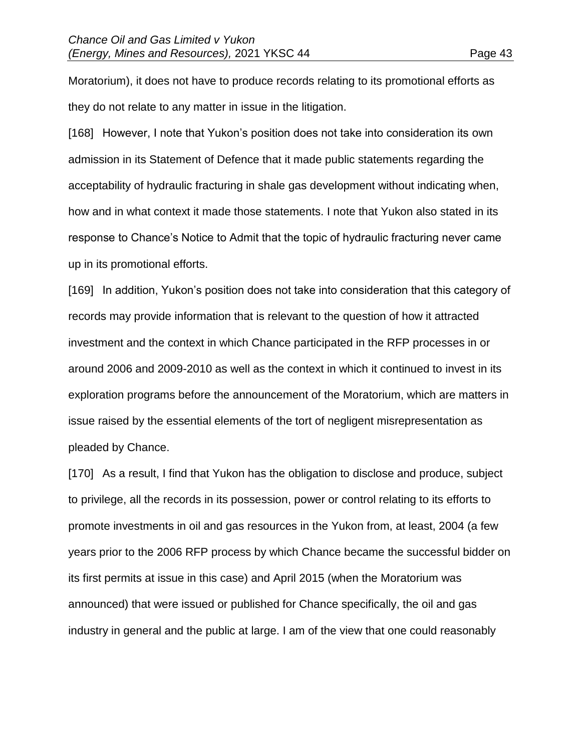Moratorium), it does not have to produce records relating to its promotional efforts as they do not relate to any matter in issue in the litigation.

[168] However, I note that Yukon's position does not take into consideration its own admission in its Statement of Defence that it made public statements regarding the acceptability of hydraulic fracturing in shale gas development without indicating when, how and in what context it made those statements. I note that Yukon also stated in its response to Chance's Notice to Admit that the topic of hydraulic fracturing never came up in its promotional efforts.

[169] In addition, Yukon's position does not take into consideration that this category of records may provide information that is relevant to the question of how it attracted investment and the context in which Chance participated in the RFP processes in or around 2006 and 2009-2010 as well as the context in which it continued to invest in its exploration programs before the announcement of the Moratorium, which are matters in issue raised by the essential elements of the tort of negligent misrepresentation as pleaded by Chance.

[170] As a result, I find that Yukon has the obligation to disclose and produce, subject to privilege, all the records in its possession, power or control relating to its efforts to promote investments in oil and gas resources in the Yukon from, at least, 2004 (a few years prior to the 2006 RFP process by which Chance became the successful bidder on its first permits at issue in this case) and April 2015 (when the Moratorium was announced) that were issued or published for Chance specifically, the oil and gas industry in general and the public at large. I am of the view that one could reasonably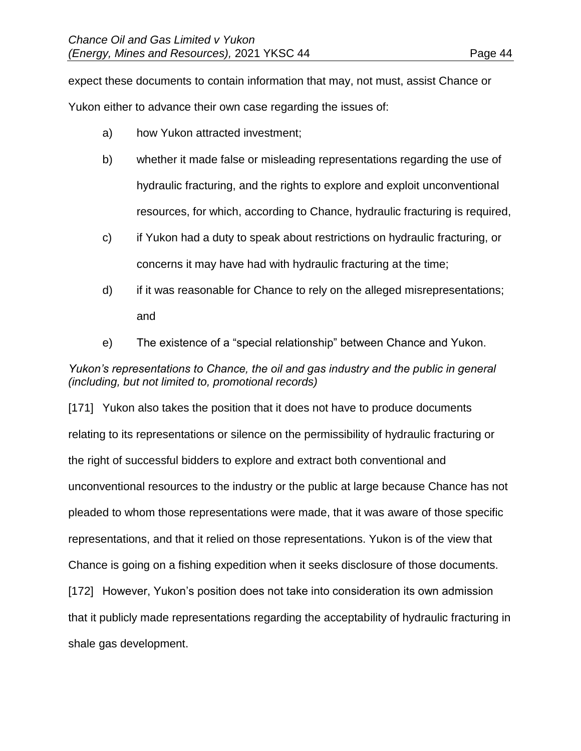expect these documents to contain information that may, not must, assist Chance or Yukon either to advance their own case regarding the issues of:

- a) how Yukon attracted investment;
- b) whether it made false or misleading representations regarding the use of hydraulic fracturing, and the rights to explore and exploit unconventional resources, for which, according to Chance, hydraulic fracturing is required,
- c) if Yukon had a duty to speak about restrictions on hydraulic fracturing, or concerns it may have had with hydraulic fracturing at the time;
- d) if it was reasonable for Chance to rely on the alleged misrepresentations; and
- e) The existence of a "special relationship" between Chance and Yukon.

# *Yukon's representations to Chance, the oil and gas industry and the public in general (including, but not limited to, promotional records)*

[171] Yukon also takes the position that it does not have to produce documents relating to its representations or silence on the permissibility of hydraulic fracturing or the right of successful bidders to explore and extract both conventional and unconventional resources to the industry or the public at large because Chance has not pleaded to whom those representations were made, that it was aware of those specific representations, and that it relied on those representations. Yukon is of the view that Chance is going on a fishing expedition when it seeks disclosure of those documents. [172] However, Yukon's position does not take into consideration its own admission that it publicly made representations regarding the acceptability of hydraulic fracturing in shale gas development.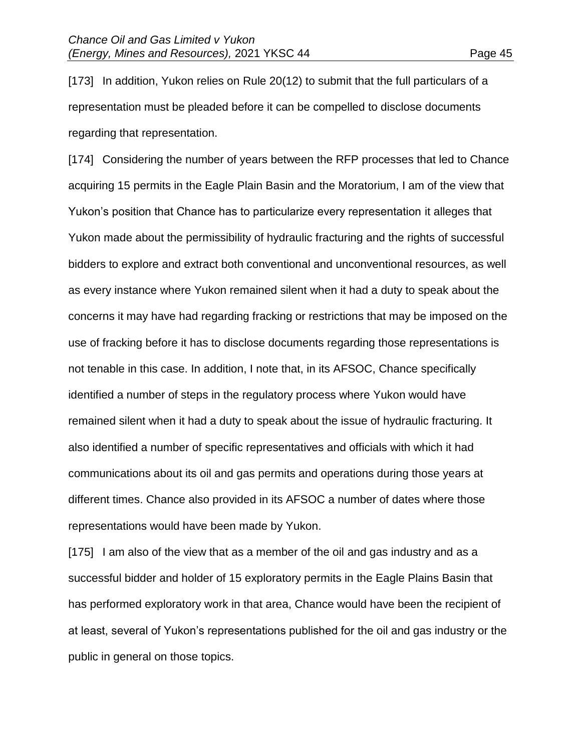[173] In addition, Yukon relies on Rule 20(12) to submit that the full particulars of a representation must be pleaded before it can be compelled to disclose documents regarding that representation.

[174] Considering the number of years between the RFP processes that led to Chance acquiring 15 permits in the Eagle Plain Basin and the Moratorium, I am of the view that Yukon's position that Chance has to particularize every representation it alleges that Yukon made about the permissibility of hydraulic fracturing and the rights of successful bidders to explore and extract both conventional and unconventional resources, as well as every instance where Yukon remained silent when it had a duty to speak about the concerns it may have had regarding fracking or restrictions that may be imposed on the use of fracking before it has to disclose documents regarding those representations is not tenable in this case. In addition, I note that, in its AFSOC, Chance specifically identified a number of steps in the regulatory process where Yukon would have remained silent when it had a duty to speak about the issue of hydraulic fracturing. It also identified a number of specific representatives and officials with which it had communications about its oil and gas permits and operations during those years at different times. Chance also provided in its AFSOC a number of dates where those representations would have been made by Yukon.

[175] I am also of the view that as a member of the oil and gas industry and as a successful bidder and holder of 15 exploratory permits in the Eagle Plains Basin that has performed exploratory work in that area, Chance would have been the recipient of at least, several of Yukon's representations published for the oil and gas industry or the public in general on those topics.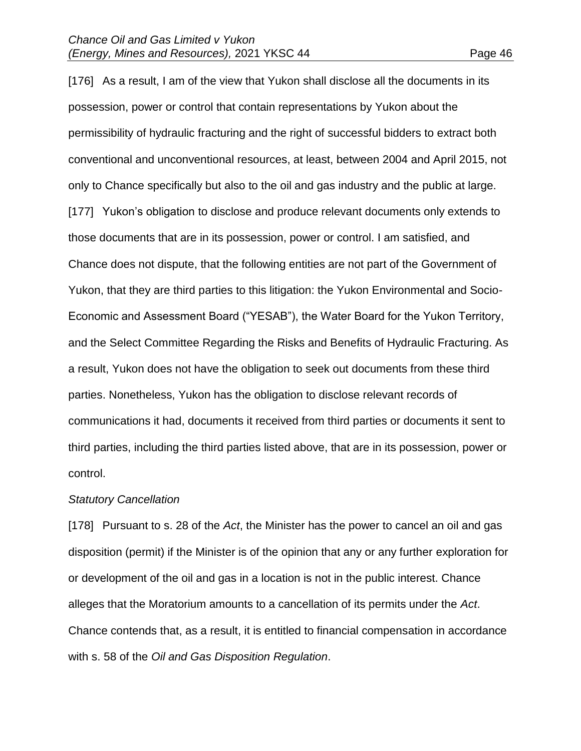[176] As a result, I am of the view that Yukon shall disclose all the documents in its possession, power or control that contain representations by Yukon about the permissibility of hydraulic fracturing and the right of successful bidders to extract both conventional and unconventional resources, at least, between 2004 and April 2015, not only to Chance specifically but also to the oil and gas industry and the public at large. [177] Yukon's obligation to disclose and produce relevant documents only extends to those documents that are in its possession, power or control. I am satisfied, and Chance does not dispute, that the following entities are not part of the Government of Yukon, that they are third parties to this litigation: the Yukon Environmental and Socio-Economic and Assessment Board ("YESAB"), the Water Board for the Yukon Territory, and the Select Committee Regarding the Risks and Benefits of Hydraulic Fracturing. As a result, Yukon does not have the obligation to seek out documents from these third parties. Nonetheless, Yukon has the obligation to disclose relevant records of communications it had, documents it received from third parties or documents it sent to third parties, including the third parties listed above, that are in its possession, power or control.

#### *Statutory Cancellation*

[178] Pursuant to s. 28 of the *Act*, the Minister has the power to cancel an oil and gas disposition (permit) if the Minister is of the opinion that any or any further exploration for or development of the oil and gas in a location is not in the public interest. Chance alleges that the Moratorium amounts to a cancellation of its permits under the *Act*. Chance contends that, as a result, it is entitled to financial compensation in accordance with s. 58 of the *Oil and Gas Disposition Regulation*.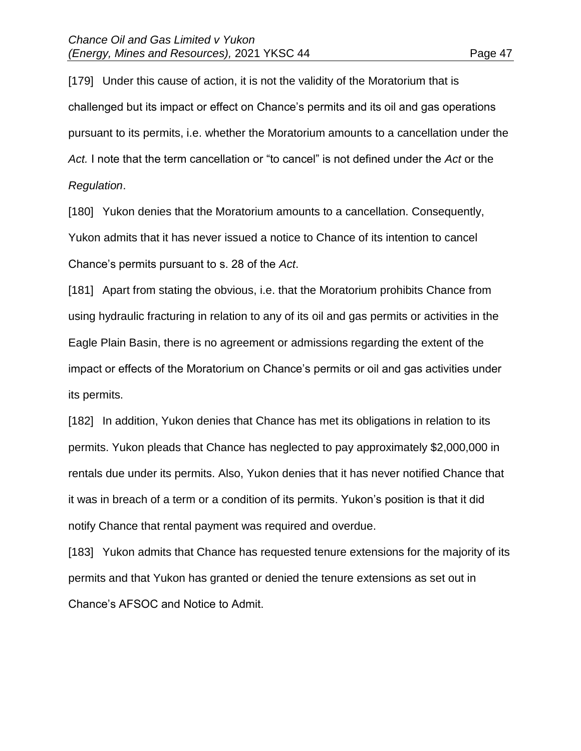[179] Under this cause of action, it is not the validity of the Moratorium that is challenged but its impact or effect on Chance's permits and its oil and gas operations pursuant to its permits, i.e. whether the Moratorium amounts to a cancellation under the *Act.* I note that the term cancellation or "to cancel" is not defined under the *Act* or the *Regulation*.

[180] Yukon denies that the Moratorium amounts to a cancellation. Consequently, Yukon admits that it has never issued a notice to Chance of its intention to cancel Chance's permits pursuant to s. 28 of the *Act*.

[181] Apart from stating the obvious, i.e. that the Moratorium prohibits Chance from using hydraulic fracturing in relation to any of its oil and gas permits or activities in the Eagle Plain Basin, there is no agreement or admissions regarding the extent of the impact or effects of the Moratorium on Chance's permits or oil and gas activities under its permits.

[182] In addition, Yukon denies that Chance has met its obligations in relation to its permits. Yukon pleads that Chance has neglected to pay approximately \$2,000,000 in rentals due under its permits. Also, Yukon denies that it has never notified Chance that it was in breach of a term or a condition of its permits. Yukon's position is that it did notify Chance that rental payment was required and overdue.

[183] Yukon admits that Chance has requested tenure extensions for the majority of its permits and that Yukon has granted or denied the tenure extensions as set out in Chance's AFSOC and Notice to Admit.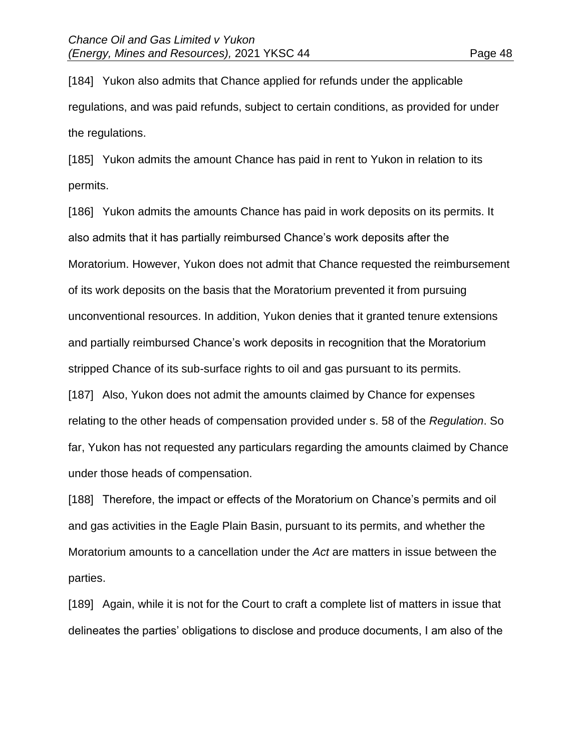[184] Yukon also admits that Chance applied for refunds under the applicable regulations, and was paid refunds, subject to certain conditions, as provided for under the regulations.

[185] Yukon admits the amount Chance has paid in rent to Yukon in relation to its permits.

[186] Yukon admits the amounts Chance has paid in work deposits on its permits. It also admits that it has partially reimbursed Chance's work deposits after the Moratorium. However, Yukon does not admit that Chance requested the reimbursement of its work deposits on the basis that the Moratorium prevented it from pursuing unconventional resources. In addition, Yukon denies that it granted tenure extensions and partially reimbursed Chance's work deposits in recognition that the Moratorium stripped Chance of its sub-surface rights to oil and gas pursuant to its permits. [187] Also, Yukon does not admit the amounts claimed by Chance for expenses relating to the other heads of compensation provided under s. 58 of the *Regulation*. So far, Yukon has not requested any particulars regarding the amounts claimed by Chance under those heads of compensation.

[188] Therefore, the impact or effects of the Moratorium on Chance's permits and oil and gas activities in the Eagle Plain Basin, pursuant to its permits, and whether the Moratorium amounts to a cancellation under the *Act* are matters in issue between the parties.

[189] Again, while it is not for the Court to craft a complete list of matters in issue that delineates the parties' obligations to disclose and produce documents, I am also of the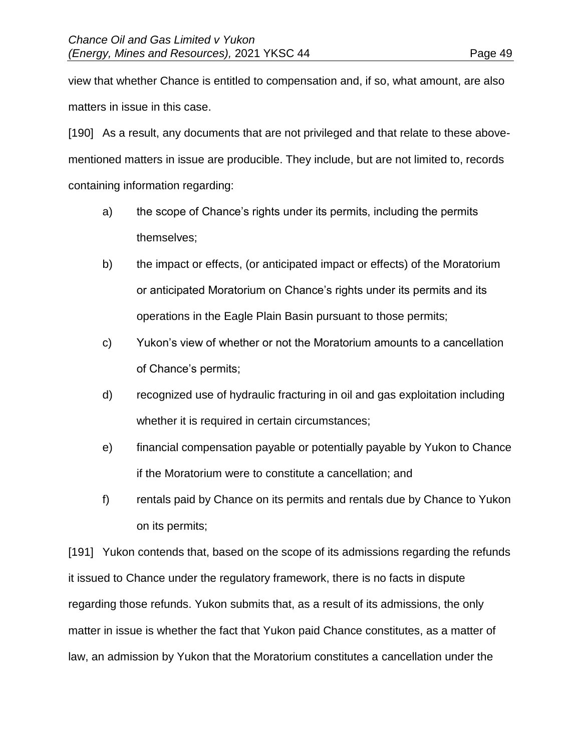view that whether Chance is entitled to compensation and, if so, what amount, are also matters in issue in this case.

[190] As a result, any documents that are not privileged and that relate to these abovementioned matters in issue are producible. They include, but are not limited to, records containing information regarding:

- a) the scope of Chance's rights under its permits, including the permits themselves;
- b) the impact or effects, (or anticipated impact or effects) of the Moratorium or anticipated Moratorium on Chance's rights under its permits and its operations in the Eagle Plain Basin pursuant to those permits;
- c) Yukon's view of whether or not the Moratorium amounts to a cancellation of Chance's permits;
- d) recognized use of hydraulic fracturing in oil and gas exploitation including whether it is required in certain circumstances;
- e) financial compensation payable or potentially payable by Yukon to Chance if the Moratorium were to constitute a cancellation; and
- f) rentals paid by Chance on its permits and rentals due by Chance to Yukon on its permits;

[191] Yukon contends that, based on the scope of its admissions regarding the refunds it issued to Chance under the regulatory framework, there is no facts in dispute regarding those refunds. Yukon submits that, as a result of its admissions, the only matter in issue is whether the fact that Yukon paid Chance constitutes, as a matter of law, an admission by Yukon that the Moratorium constitutes a cancellation under the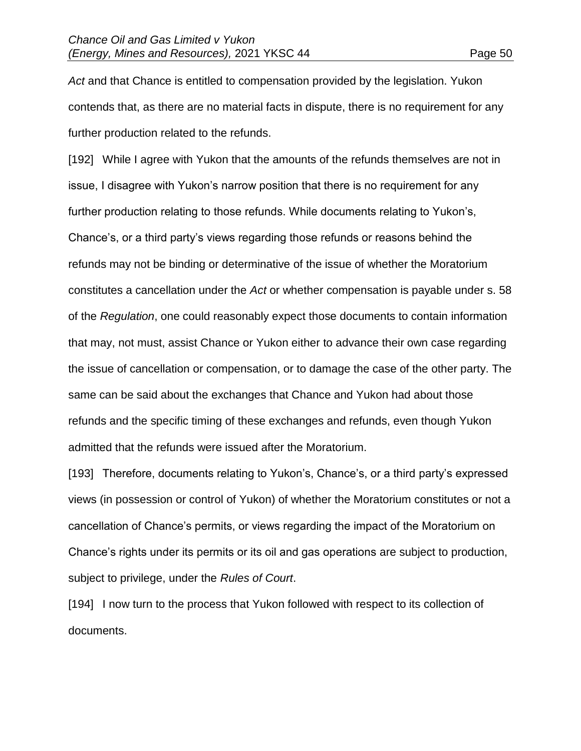*Act* and that Chance is entitled to compensation provided by the legislation. Yukon contends that, as there are no material facts in dispute, there is no requirement for any further production related to the refunds.

[192] While I agree with Yukon that the amounts of the refunds themselves are not in issue, I disagree with Yukon's narrow position that there is no requirement for any further production relating to those refunds. While documents relating to Yukon's, Chance's, or a third party's views regarding those refunds or reasons behind the refunds may not be binding or determinative of the issue of whether the Moratorium constitutes a cancellation under the *Act* or whether compensation is payable under s. 58 of the *Regulation*, one could reasonably expect those documents to contain information that may, not must, assist Chance or Yukon either to advance their own case regarding the issue of cancellation or compensation, or to damage the case of the other party. The same can be said about the exchanges that Chance and Yukon had about those refunds and the specific timing of these exchanges and refunds, even though Yukon admitted that the refunds were issued after the Moratorium.

[193] Therefore, documents relating to Yukon's, Chance's, or a third party's expressed views (in possession or control of Yukon) of whether the Moratorium constitutes or not a cancellation of Chance's permits, or views regarding the impact of the Moratorium on Chance's rights under its permits or its oil and gas operations are subject to production, subject to privilege, under the *Rules of Court*.

[194] I now turn to the process that Yukon followed with respect to its collection of documents.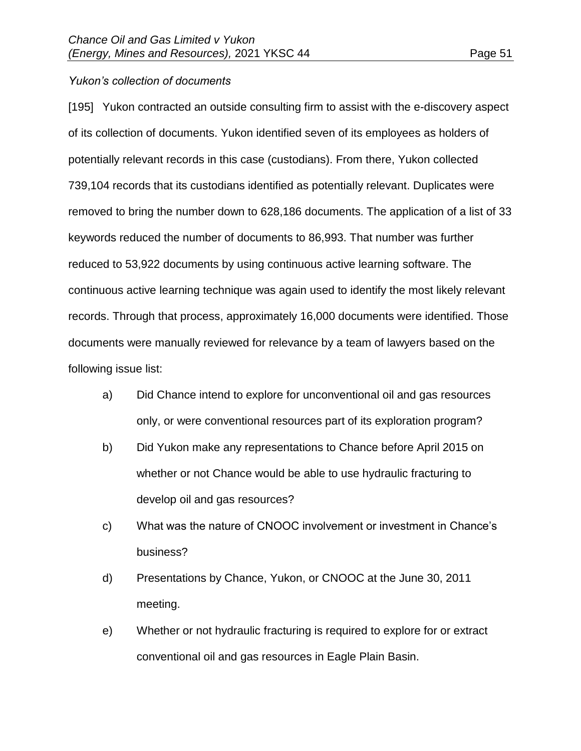### *Yukon's collection of documents*

[195] Yukon contracted an outside consulting firm to assist with the e-discovery aspect of its collection of documents. Yukon identified seven of its employees as holders of potentially relevant records in this case (custodians). From there, Yukon collected 739,104 records that its custodians identified as potentially relevant. Duplicates were removed to bring the number down to 628,186 documents. The application of a list of 33 keywords reduced the number of documents to 86,993. That number was further reduced to 53,922 documents by using continuous active learning software. The continuous active learning technique was again used to identify the most likely relevant records. Through that process, approximately 16,000 documents were identified. Those documents were manually reviewed for relevance by a team of lawyers based on the following issue list:

- a) Did Chance intend to explore for unconventional oil and gas resources only, or were conventional resources part of its exploration program?
- b) Did Yukon make any representations to Chance before April 2015 on whether or not Chance would be able to use hydraulic fracturing to develop oil and gas resources?
- c) What was the nature of CNOOC involvement or investment in Chance's business?
- d) Presentations by Chance, Yukon, or CNOOC at the June 30, 2011 meeting.
- e) Whether or not hydraulic fracturing is required to explore for or extract conventional oil and gas resources in Eagle Plain Basin.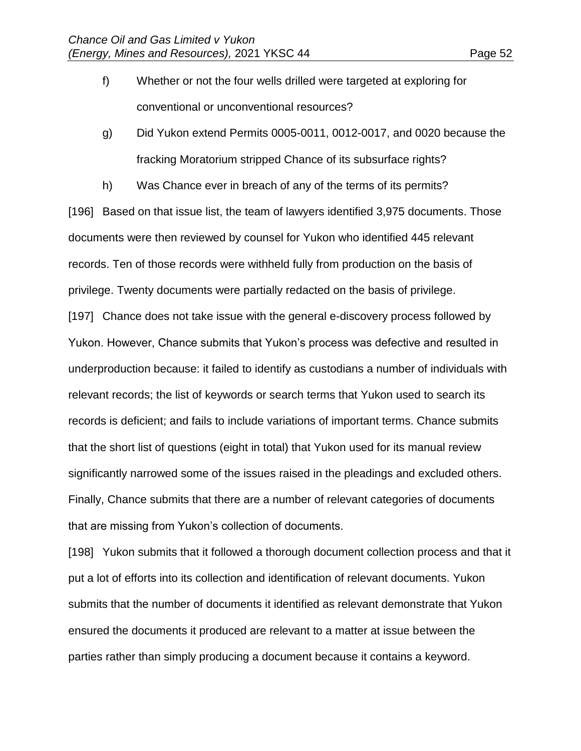- f) Whether or not the four wells drilled were targeted at exploring for conventional or unconventional resources?
- g) Did Yukon extend Permits 0005-0011, 0012-0017, and 0020 because the fracking Moratorium stripped Chance of its subsurface rights?
- h) Was Chance ever in breach of any of the terms of its permits?

[196] Based on that issue list, the team of lawyers identified 3,975 documents. Those documents were then reviewed by counsel for Yukon who identified 445 relevant records. Ten of those records were withheld fully from production on the basis of privilege. Twenty documents were partially redacted on the basis of privilege.

[197] Chance does not take issue with the general e-discovery process followed by Yukon. However, Chance submits that Yukon's process was defective and resulted in underproduction because: it failed to identify as custodians a number of individuals with relevant records; the list of keywords or search terms that Yukon used to search its records is deficient; and fails to include variations of important terms. Chance submits that the short list of questions (eight in total) that Yukon used for its manual review significantly narrowed some of the issues raised in the pleadings and excluded others. Finally, Chance submits that there are a number of relevant categories of documents that are missing from Yukon's collection of documents.

[198] Yukon submits that it followed a thorough document collection process and that it put a lot of efforts into its collection and identification of relevant documents. Yukon submits that the number of documents it identified as relevant demonstrate that Yukon ensured the documents it produced are relevant to a matter at issue between the parties rather than simply producing a document because it contains a keyword.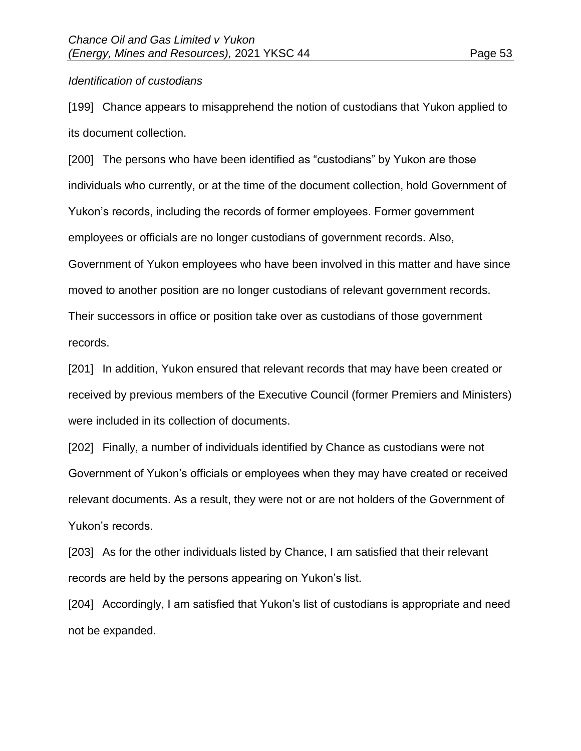### *Identification of custodians*

[199] Chance appears to misapprehend the notion of custodians that Yukon applied to its document collection.

[200] The persons who have been identified as "custodians" by Yukon are those individuals who currently, or at the time of the document collection, hold Government of Yukon's records, including the records of former employees. Former government employees or officials are no longer custodians of government records. Also, Government of Yukon employees who have been involved in this matter and have since moved to another position are no longer custodians of relevant government records. Their successors in office or position take over as custodians of those government records.

[201] In addition, Yukon ensured that relevant records that may have been created or received by previous members of the Executive Council (former Premiers and Ministers) were included in its collection of documents.

[202] Finally, a number of individuals identified by Chance as custodians were not Government of Yukon's officials or employees when they may have created or received relevant documents. As a result, they were not or are not holders of the Government of Yukon's records.

[203] As for the other individuals listed by Chance, I am satisfied that their relevant records are held by the persons appearing on Yukon's list.

[204] Accordingly, I am satisfied that Yukon's list of custodians is appropriate and need not be expanded.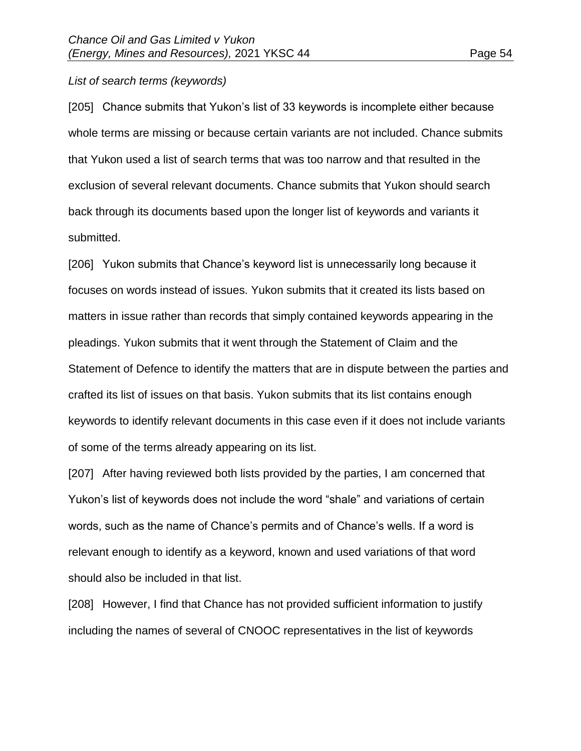#### *List of search terms (keywords)*

[205] Chance submits that Yukon's list of 33 keywords is incomplete either because whole terms are missing or because certain variants are not included. Chance submits that Yukon used a list of search terms that was too narrow and that resulted in the exclusion of several relevant documents. Chance submits that Yukon should search back through its documents based upon the longer list of keywords and variants it submitted.

[206] Yukon submits that Chance's keyword list is unnecessarily long because it focuses on words instead of issues. Yukon submits that it created its lists based on matters in issue rather than records that simply contained keywords appearing in the pleadings. Yukon submits that it went through the Statement of Claim and the Statement of Defence to identify the matters that are in dispute between the parties and crafted its list of issues on that basis. Yukon submits that its list contains enough keywords to identify relevant documents in this case even if it does not include variants of some of the terms already appearing on its list.

[207] After having reviewed both lists provided by the parties, I am concerned that Yukon's list of keywords does not include the word "shale" and variations of certain words, such as the name of Chance's permits and of Chance's wells. If a word is relevant enough to identify as a keyword, known and used variations of that word should also be included in that list.

[208] However, I find that Chance has not provided sufficient information to justify including the names of several of CNOOC representatives in the list of keywords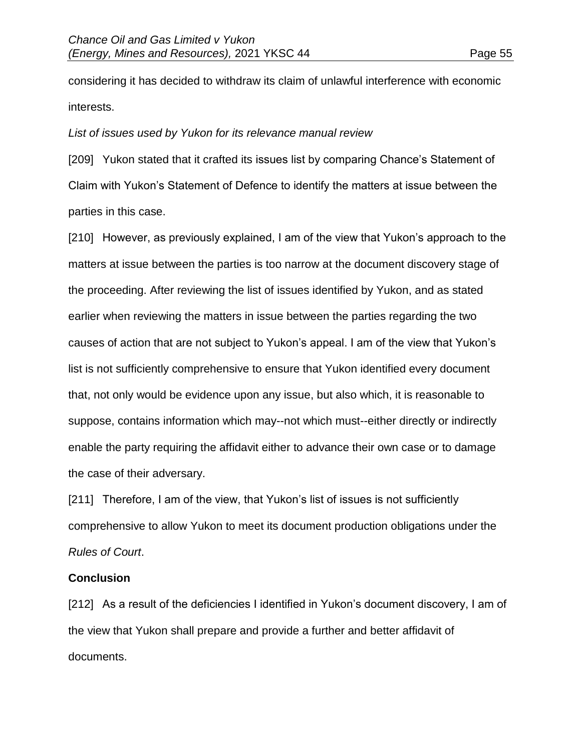considering it has decided to withdraw its claim of unlawful interference with economic interests.

### *List of issues used by Yukon for its relevance manual review*

[209] Yukon stated that it crafted its issues list by comparing Chance's Statement of Claim with Yukon's Statement of Defence to identify the matters at issue between the parties in this case.

[210] However, as previously explained, I am of the view that Yukon's approach to the matters at issue between the parties is too narrow at the document discovery stage of the proceeding. After reviewing the list of issues identified by Yukon, and as stated earlier when reviewing the matters in issue between the parties regarding the two causes of action that are not subject to Yukon's appeal. I am of the view that Yukon's list is not sufficiently comprehensive to ensure that Yukon identified every document that, not only would be evidence upon any issue, but also which, it is reasonable to suppose, contains information which may--not which must--either directly or indirectly enable the party requiring the affidavit either to advance their own case or to damage the case of their adversary.

[211] Therefore, I am of the view, that Yukon's list of issues is not sufficiently comprehensive to allow Yukon to meet its document production obligations under the *Rules of Court*.

### **Conclusion**

[212] As a result of the deficiencies I identified in Yukon's document discovery, I am of the view that Yukon shall prepare and provide a further and better affidavit of documents.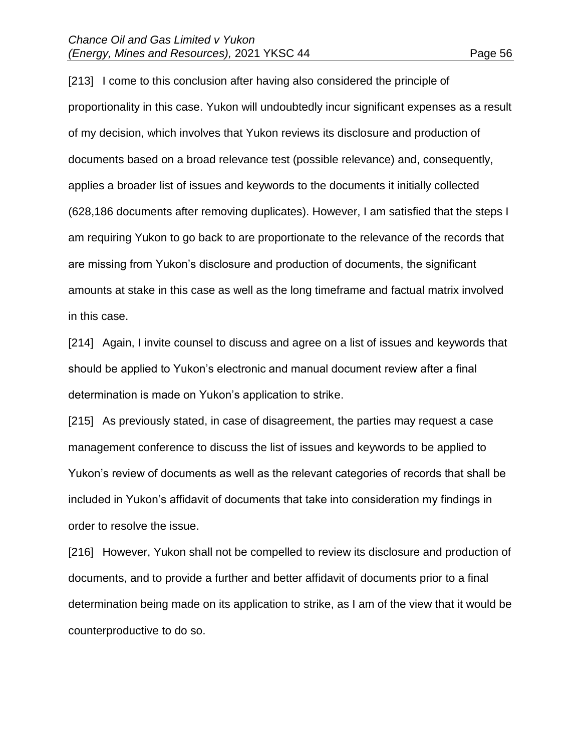[213] I come to this conclusion after having also considered the principle of proportionality in this case. Yukon will undoubtedly incur significant expenses as a result of my decision, which involves that Yukon reviews its disclosure and production of documents based on a broad relevance test (possible relevance) and, consequently, applies a broader list of issues and keywords to the documents it initially collected (628,186 documents after removing duplicates). However, I am satisfied that the steps I am requiring Yukon to go back to are proportionate to the relevance of the records that are missing from Yukon's disclosure and production of documents, the significant amounts at stake in this case as well as the long timeframe and factual matrix involved in this case.

[214] Again, I invite counsel to discuss and agree on a list of issues and keywords that should be applied to Yukon's electronic and manual document review after a final determination is made on Yukon's application to strike.

[215] As previously stated, in case of disagreement, the parties may request a case management conference to discuss the list of issues and keywords to be applied to Yukon's review of documents as well as the relevant categories of records that shall be included in Yukon's affidavit of documents that take into consideration my findings in order to resolve the issue.

[216] However, Yukon shall not be compelled to review its disclosure and production of documents, and to provide a further and better affidavit of documents prior to a final determination being made on its application to strike, as I am of the view that it would be counterproductive to do so.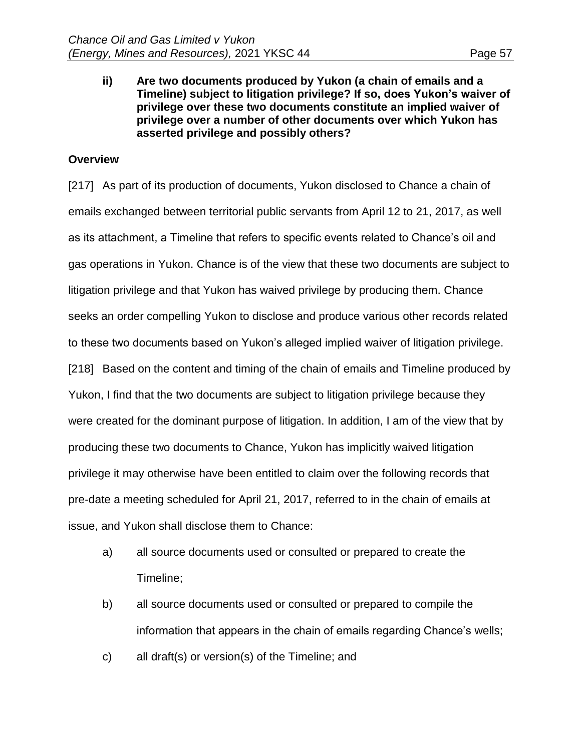**ii) Are two documents produced by Yukon (a chain of emails and a Timeline) subject to litigation privilege? If so, does Yukon's waiver of privilege over these two documents constitute an implied waiver of privilege over a number of other documents over which Yukon has asserted privilege and possibly others?**

# **Overview**

[217] As part of its production of documents, Yukon disclosed to Chance a chain of emails exchanged between territorial public servants from April 12 to 21, 2017, as well as its attachment, a Timeline that refers to specific events related to Chance's oil and gas operations in Yukon. Chance is of the view that these two documents are subject to litigation privilege and that Yukon has waived privilege by producing them. Chance seeks an order compelling Yukon to disclose and produce various other records related to these two documents based on Yukon's alleged implied waiver of litigation privilege. [218] Based on the content and timing of the chain of emails and Timeline produced by Yukon, I find that the two documents are subject to litigation privilege because they were created for the dominant purpose of litigation. In addition, I am of the view that by producing these two documents to Chance, Yukon has implicitly waived litigation privilege it may otherwise have been entitled to claim over the following records that pre-date a meeting scheduled for April 21, 2017, referred to in the chain of emails at issue, and Yukon shall disclose them to Chance:

- a) all source documents used or consulted or prepared to create the Timeline;
- b) all source documents used or consulted or prepared to compile the information that appears in the chain of emails regarding Chance's wells;
- c) all draft(s) or version(s) of the Timeline; and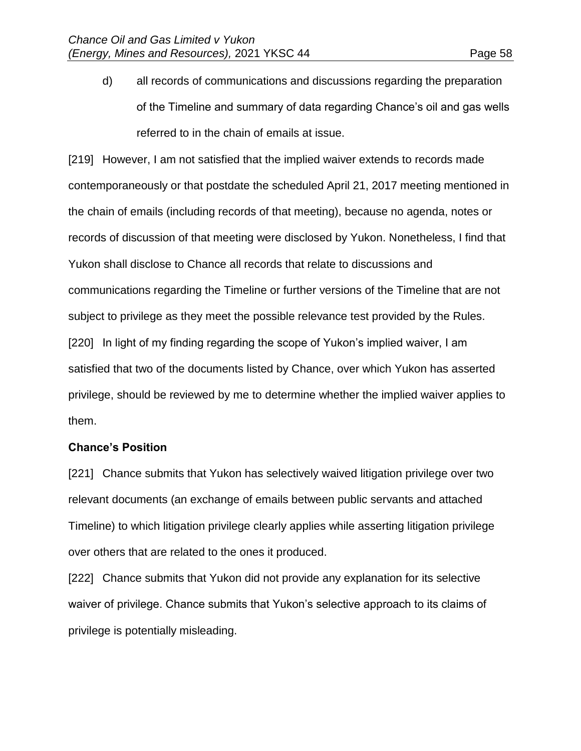d) all records of communications and discussions regarding the preparation of the Timeline and summary of data regarding Chance's oil and gas wells referred to in the chain of emails at issue.

[219] However, I am not satisfied that the implied waiver extends to records made contemporaneously or that postdate the scheduled April 21, 2017 meeting mentioned in the chain of emails (including records of that meeting), because no agenda, notes or records of discussion of that meeting were disclosed by Yukon. Nonetheless, I find that Yukon shall disclose to Chance all records that relate to discussions and communications regarding the Timeline or further versions of the Timeline that are not subject to privilege as they meet the possible relevance test provided by the Rules. [220] In light of my finding regarding the scope of Yukon's implied waiver, I am satisfied that two of the documents listed by Chance, over which Yukon has asserted privilege, should be reviewed by me to determine whether the implied waiver applies to them.

### **Chance's Position**

[221] Chance submits that Yukon has selectively waived litigation privilege over two relevant documents (an exchange of emails between public servants and attached Timeline) to which litigation privilege clearly applies while asserting litigation privilege over others that are related to the ones it produced.

[222] Chance submits that Yukon did not provide any explanation for its selective waiver of privilege. Chance submits that Yukon's selective approach to its claims of privilege is potentially misleading.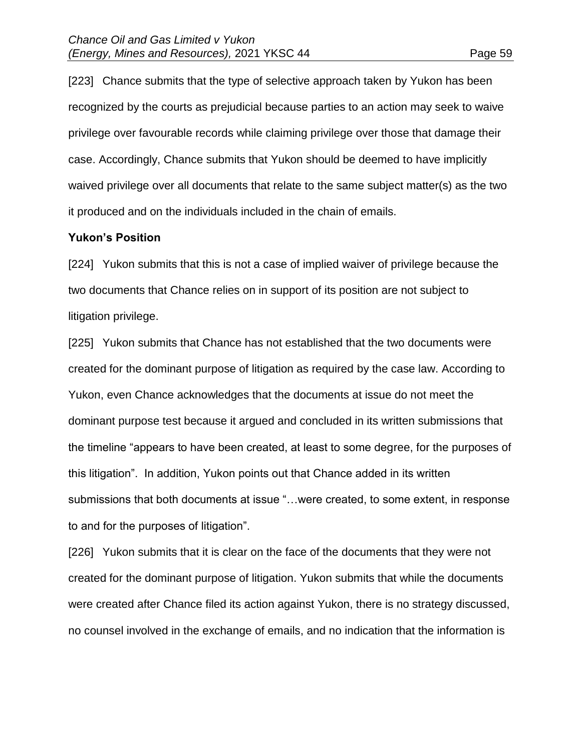[223] Chance submits that the type of selective approach taken by Yukon has been recognized by the courts as prejudicial because parties to an action may seek to waive privilege over favourable records while claiming privilege over those that damage their case. Accordingly, Chance submits that Yukon should be deemed to have implicitly waived privilege over all documents that relate to the same subject matter(s) as the two it produced and on the individuals included in the chain of emails.

#### **Yukon's Position**

[224] Yukon submits that this is not a case of implied waiver of privilege because the two documents that Chance relies on in support of its position are not subject to litigation privilege.

[225] Yukon submits that Chance has not established that the two documents were created for the dominant purpose of litigation as required by the case law. According to Yukon, even Chance acknowledges that the documents at issue do not meet the dominant purpose test because it argued and concluded in its written submissions that the timeline "appears to have been created, at least to some degree, for the purposes of this litigation". In addition, Yukon points out that Chance added in its written submissions that both documents at issue "…were created, to some extent, in response to and for the purposes of litigation".

[226] Yukon submits that it is clear on the face of the documents that they were not created for the dominant purpose of litigation. Yukon submits that while the documents were created after Chance filed its action against Yukon, there is no strategy discussed, no counsel involved in the exchange of emails, and no indication that the information is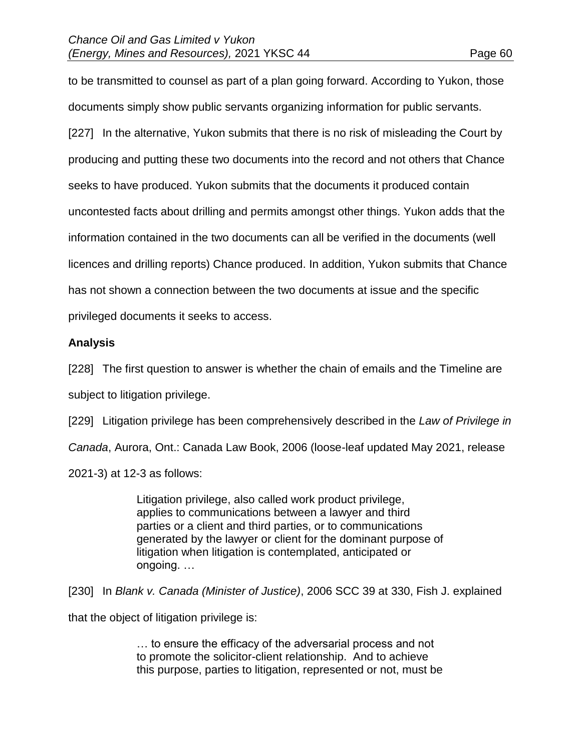to be transmitted to counsel as part of a plan going forward. According to Yukon, those documents simply show public servants organizing information for public servants. [227] In the alternative, Yukon submits that there is no risk of misleading the Court by producing and putting these two documents into the record and not others that Chance seeks to have produced. Yukon submits that the documents it produced contain uncontested facts about drilling and permits amongst other things. Yukon adds that the information contained in the two documents can all be verified in the documents (well licences and drilling reports) Chance produced. In addition, Yukon submits that Chance has not shown a connection between the two documents at issue and the specific

privileged documents it seeks to access.

### **Analysis**

[228] The first question to answer is whether the chain of emails and the Timeline are

subject to litigation privilege.

[229] Litigation privilege has been comprehensively described in the *Law of Privilege in* 

*Canada*, Aurora, Ont.: Canada Law Book, 2006 (loose-leaf updated May 2021, release

2021-3) at 12-3 as follows:

Litigation privilege, also called work product privilege, applies to communications between a lawyer and third parties or a client and third parties, or to communications generated by the lawyer or client for the dominant purpose of litigation when litigation is contemplated, anticipated or ongoing. …

[230] In *Blank v. Canada (Minister of Justice)*, 2006 SCC 39 at 330, Fish J. explained

that the object of litigation privilege is:

… to ensure the efficacy of the adversarial process and not to promote the solicitor-client relationship. And to achieve this purpose, parties to litigation, represented or not, must be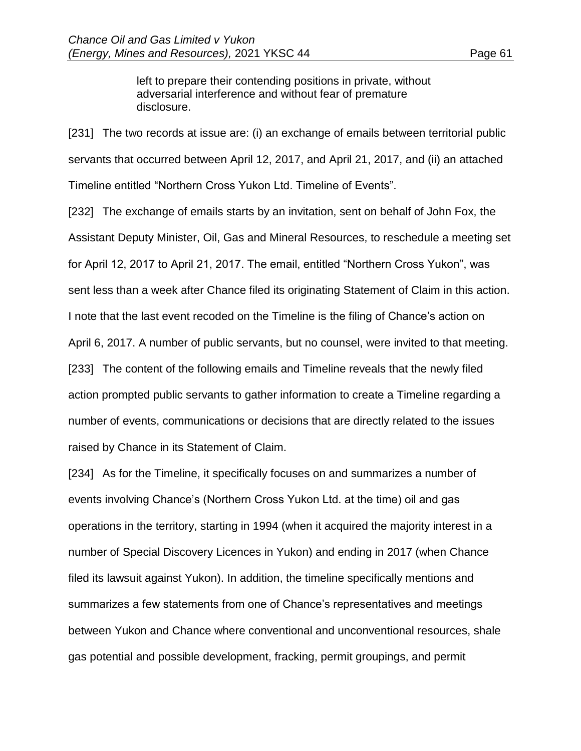left to prepare their contending positions in private, without adversarial interference and without fear of premature disclosure.

[231] The two records at issue are: (i) an exchange of emails between territorial public servants that occurred between April 12, 2017, and April 21, 2017, and (ii) an attached Timeline entitled "Northern Cross Yukon Ltd. Timeline of Events".

[232] The exchange of emails starts by an invitation, sent on behalf of John Fox, the Assistant Deputy Minister, Oil, Gas and Mineral Resources, to reschedule a meeting set for April 12, 2017 to April 21, 2017. The email, entitled "Northern Cross Yukon", was sent less than a week after Chance filed its originating Statement of Claim in this action. I note that the last event recoded on the Timeline is the filing of Chance's action on April 6, 2017. A number of public servants, but no counsel, were invited to that meeting. [233] The content of the following emails and Timeline reveals that the newly filed action prompted public servants to gather information to create a Timeline regarding a number of events, communications or decisions that are directly related to the issues raised by Chance in its Statement of Claim.

[234] As for the Timeline, it specifically focuses on and summarizes a number of events involving Chance's (Northern Cross Yukon Ltd. at the time) oil and gas operations in the territory, starting in 1994 (when it acquired the majority interest in a number of Special Discovery Licences in Yukon) and ending in 2017 (when Chance filed its lawsuit against Yukon). In addition, the timeline specifically mentions and summarizes a few statements from one of Chance's representatives and meetings between Yukon and Chance where conventional and unconventional resources, shale gas potential and possible development, fracking, permit groupings, and permit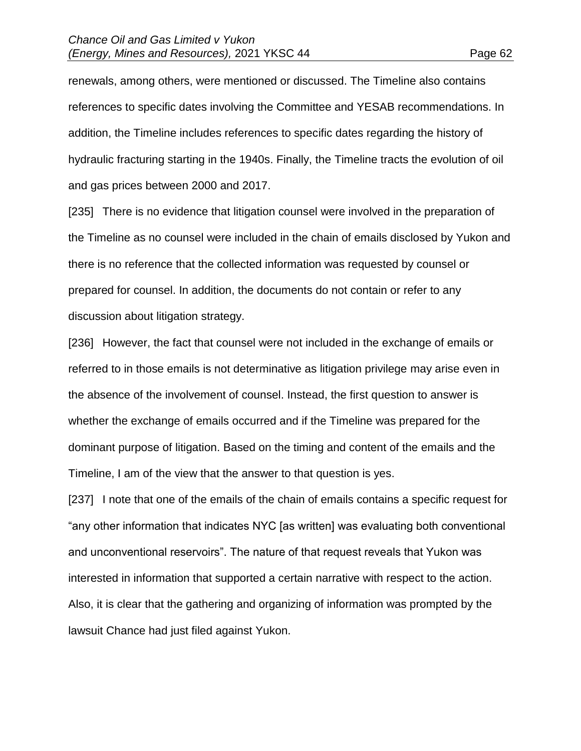renewals, among others, were mentioned or discussed. The Timeline also contains references to specific dates involving the Committee and YESAB recommendations. In addition, the Timeline includes references to specific dates regarding the history of hydraulic fracturing starting in the 1940s. Finally, the Timeline tracts the evolution of oil and gas prices between 2000 and 2017.

[235] There is no evidence that litigation counsel were involved in the preparation of the Timeline as no counsel were included in the chain of emails disclosed by Yukon and there is no reference that the collected information was requested by counsel or prepared for counsel. In addition, the documents do not contain or refer to any discussion about litigation strategy.

[236] However, the fact that counsel were not included in the exchange of emails or referred to in those emails is not determinative as litigation privilege may arise even in the absence of the involvement of counsel. Instead, the first question to answer is whether the exchange of emails occurred and if the Timeline was prepared for the dominant purpose of litigation. Based on the timing and content of the emails and the Timeline, I am of the view that the answer to that question is yes.

[237] I note that one of the emails of the chain of emails contains a specific request for "any other information that indicates NYC [as written] was evaluating both conventional and unconventional reservoirs". The nature of that request reveals that Yukon was interested in information that supported a certain narrative with respect to the action. Also, it is clear that the gathering and organizing of information was prompted by the lawsuit Chance had just filed against Yukon.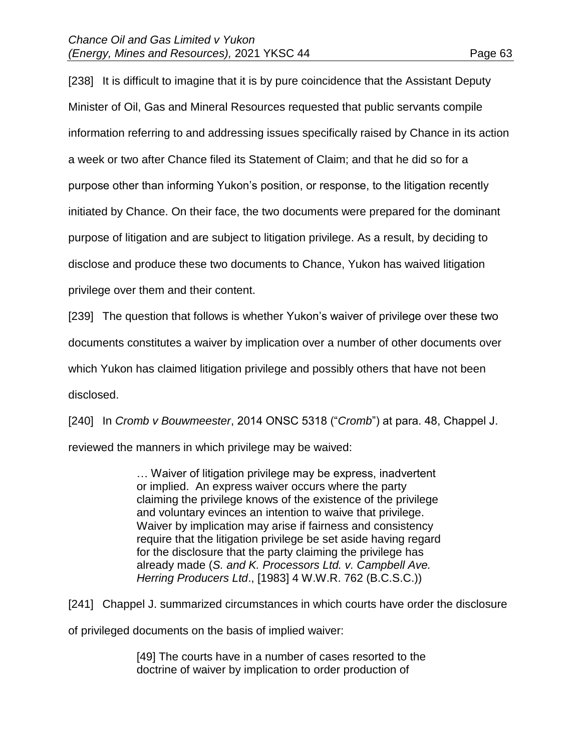[238] It is difficult to imagine that it is by pure coincidence that the Assistant Deputy Minister of Oil, Gas and Mineral Resources requested that public servants compile information referring to and addressing issues specifically raised by Chance in its action a week or two after Chance filed its Statement of Claim; and that he did so for a purpose other than informing Yukon's position, or response, to the litigation recently initiated by Chance. On their face, the two documents were prepared for the dominant purpose of litigation and are subject to litigation privilege. As a result, by deciding to disclose and produce these two documents to Chance, Yukon has waived litigation privilege over them and their content.

[239] The question that follows is whether Yukon's waiver of privilege over these two documents constitutes a waiver by implication over a number of other documents over which Yukon has claimed litigation privilege and possibly others that have not been disclosed.

[240] In *Cromb v Bouwmeester*, 2014 ONSC 5318 ("*Cromb*") at para. 48, Chappel J. reviewed the manners in which privilege may be waived:

> … Waiver of litigation privilege may be express, inadvertent or implied. An express waiver occurs where the party claiming the privilege knows of the existence of the privilege and voluntary evinces an intention to waive that privilege. Waiver by implication may arise if fairness and consistency require that the litigation privilege be set aside having regard for the disclosure that the party claiming the privilege has already made (*S. and K. Processors Ltd. v. Campbell Ave. Herring Producers Ltd*., [1983] 4 W.W.R. 762 (B.C.S.C.))

[241] Chappel J. summarized circumstances in which courts have order the disclosure

of privileged documents on the basis of implied waiver:

[49] The courts have in a number of cases resorted to the doctrine of waiver by implication to order production of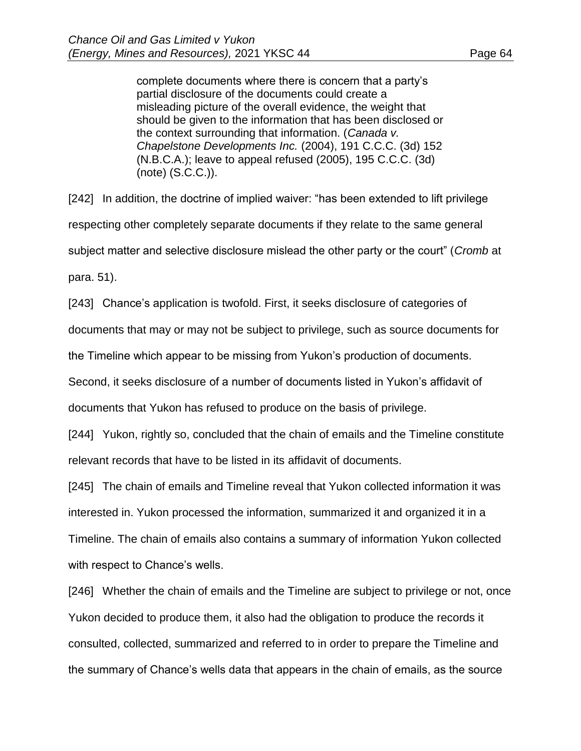complete documents where there is concern that a party's partial disclosure of the documents could create a misleading picture of the overall evidence, the weight that should be given to the information that has been disclosed or the context surrounding that information. (*Canada v. Chapelstone Developments Inc.* (2004), 191 C.C.C. (3d) 152 (N.B.C.A.); leave to appeal refused (2005), 195 C.C.C. (3d) (note) (S.C.C.)).

[242] In addition, the doctrine of implied waiver: "has been extended to lift privilege respecting other completely separate documents if they relate to the same general subject matter and selective disclosure mislead the other party or the court" (*Cromb* at para. 51).

[243] Chance's application is twofold. First, it seeks disclosure of categories of

documents that may or may not be subject to privilege, such as source documents for

the Timeline which appear to be missing from Yukon's production of documents.

Second, it seeks disclosure of a number of documents listed in Yukon's affidavit of

documents that Yukon has refused to produce on the basis of privilege.

[244] Yukon, rightly so, concluded that the chain of emails and the Timeline constitute relevant records that have to be listed in its affidavit of documents.

[245] The chain of emails and Timeline reveal that Yukon collected information it was interested in. Yukon processed the information, summarized it and organized it in a Timeline. The chain of emails also contains a summary of information Yukon collected with respect to Chance's wells.

[246] Whether the chain of emails and the Timeline are subject to privilege or not, once Yukon decided to produce them, it also had the obligation to produce the records it consulted, collected, summarized and referred to in order to prepare the Timeline and the summary of Chance's wells data that appears in the chain of emails, as the source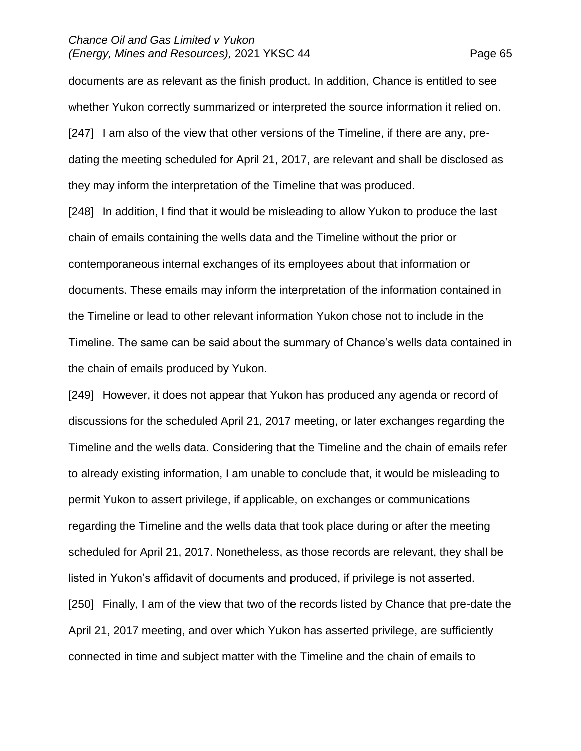documents are as relevant as the finish product. In addition, Chance is entitled to see whether Yukon correctly summarized or interpreted the source information it relied on. [247] I am also of the view that other versions of the Timeline, if there are any, predating the meeting scheduled for April 21, 2017, are relevant and shall be disclosed as they may inform the interpretation of the Timeline that was produced.

[248] In addition, I find that it would be misleading to allow Yukon to produce the last chain of emails containing the wells data and the Timeline without the prior or contemporaneous internal exchanges of its employees about that information or documents. These emails may inform the interpretation of the information contained in the Timeline or lead to other relevant information Yukon chose not to include in the Timeline. The same can be said about the summary of Chance's wells data contained in the chain of emails produced by Yukon.

[249] However, it does not appear that Yukon has produced any agenda or record of discussions for the scheduled April 21, 2017 meeting, or later exchanges regarding the Timeline and the wells data. Considering that the Timeline and the chain of emails refer to already existing information, I am unable to conclude that, it would be misleading to permit Yukon to assert privilege, if applicable, on exchanges or communications regarding the Timeline and the wells data that took place during or after the meeting scheduled for April 21, 2017. Nonetheless, as those records are relevant, they shall be listed in Yukon's affidavit of documents and produced, if privilege is not asserted. [250] Finally, I am of the view that two of the records listed by Chance that pre-date the April 21, 2017 meeting, and over which Yukon has asserted privilege, are sufficiently connected in time and subject matter with the Timeline and the chain of emails to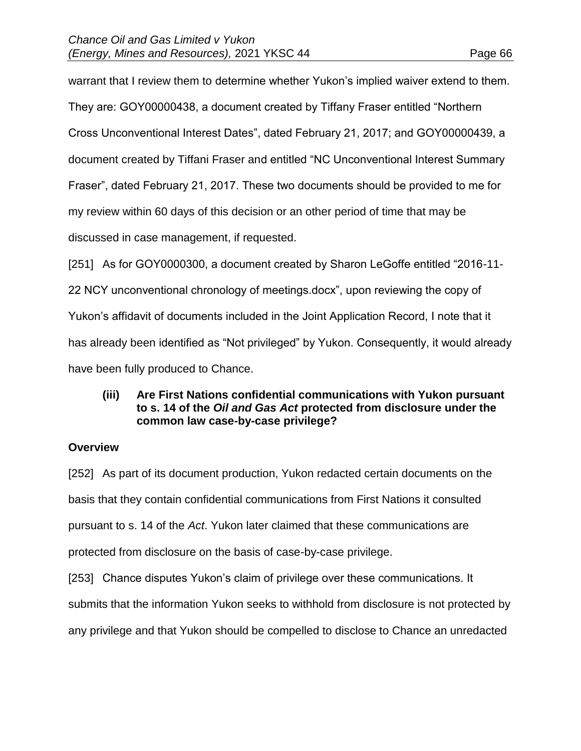warrant that I review them to determine whether Yukon's implied waiver extend to them. They are: GOY00000438, a document created by Tiffany Fraser entitled "Northern Cross Unconventional Interest Dates", dated February 21, 2017; and GOY00000439, a document created by Tiffani Fraser and entitled "NC Unconventional Interest Summary Fraser", dated February 21, 2017. These two documents should be provided to me for my review within 60 days of this decision or an other period of time that may be discussed in case management, if requested.

[251] As for GOY0000300, a document created by Sharon LeGoffe entitled "2016-11- 22 NCY unconventional chronology of meetings.docx", upon reviewing the copy of Yukon's affidavit of documents included in the Joint Application Record, I note that it has already been identified as "Not privileged" by Yukon. Consequently, it would already have been fully produced to Chance.

### **(iii) Are First Nations confidential communications with Yukon pursuant to s. 14 of the** *Oil and Gas Act* **protected from disclosure under the common law case-by-case privilege?**

### **Overview**

[252] As part of its document production, Yukon redacted certain documents on the basis that they contain confidential communications from First Nations it consulted pursuant to s. 14 of the *Act*. Yukon later claimed that these communications are protected from disclosure on the basis of case-by-case privilege.

[253] Chance disputes Yukon's claim of privilege over these communications. It submits that the information Yukon seeks to withhold from disclosure is not protected by any privilege and that Yukon should be compelled to disclose to Chance an unredacted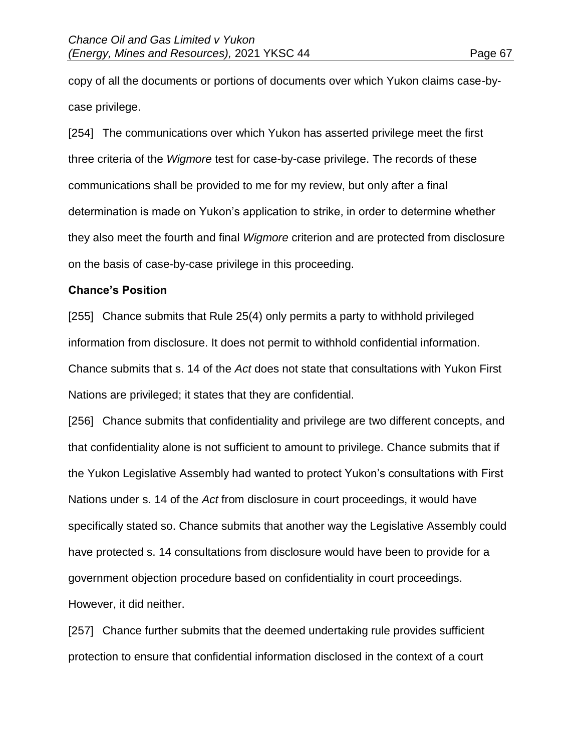copy of all the documents or portions of documents over which Yukon claims case-bycase privilege.

[254] The communications over which Yukon has asserted privilege meet the first three criteria of the *Wigmore* test for case-by-case privilege. The records of these communications shall be provided to me for my review, but only after a final determination is made on Yukon's application to strike, in order to determine whether they also meet the fourth and final *Wigmore* criterion and are protected from disclosure on the basis of case-by-case privilege in this proceeding.

### **Chance's Position**

[255] Chance submits that Rule 25(4) only permits a party to withhold privileged information from disclosure. It does not permit to withhold confidential information. Chance submits that s. 14 of the *Act* does not state that consultations with Yukon First Nations are privileged; it states that they are confidential.

[256] Chance submits that confidentiality and privilege are two different concepts, and that confidentiality alone is not sufficient to amount to privilege. Chance submits that if the Yukon Legislative Assembly had wanted to protect Yukon's consultations with First Nations under s. 14 of the *Act* from disclosure in court proceedings, it would have specifically stated so. Chance submits that another way the Legislative Assembly could have protected s. 14 consultations from disclosure would have been to provide for a government objection procedure based on confidentiality in court proceedings. However, it did neither.

[257] Chance further submits that the deemed undertaking rule provides sufficient protection to ensure that confidential information disclosed in the context of a court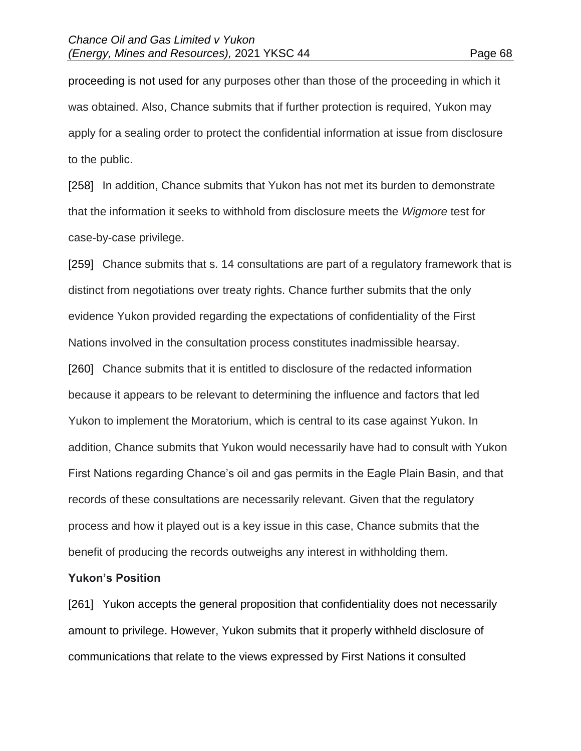proceeding is not used for any purposes other than those of the proceeding in which it was obtained. Also, Chance submits that if further protection is required, Yukon may apply for a sealing order to protect the confidential information at issue from disclosure to the public.

[258] In addition, Chance submits that Yukon has not met its burden to demonstrate that the information it seeks to withhold from disclosure meets the *Wigmore* test for case-by-case privilege.

[259] Chance submits that s. 14 consultations are part of a regulatory framework that is distinct from negotiations over treaty rights. Chance further submits that the only evidence Yukon provided regarding the expectations of confidentiality of the First Nations involved in the consultation process constitutes inadmissible hearsay. [260] Chance submits that it is entitled to disclosure of the redacted information because it appears to be relevant to determining the influence and factors that led Yukon to implement the Moratorium, which is central to its case against Yukon. In addition, Chance submits that Yukon would necessarily have had to consult with Yukon First Nations regarding Chance's oil and gas permits in the Eagle Plain Basin, and that records of these consultations are necessarily relevant. Given that the regulatory process and how it played out is a key issue in this case, Chance submits that the benefit of producing the records outweighs any interest in withholding them.

### **Yukon's Position**

[261] Yukon accepts the general proposition that confidentiality does not necessarily amount to privilege. However, Yukon submits that it properly withheld disclosure of communications that relate to the views expressed by First Nations it consulted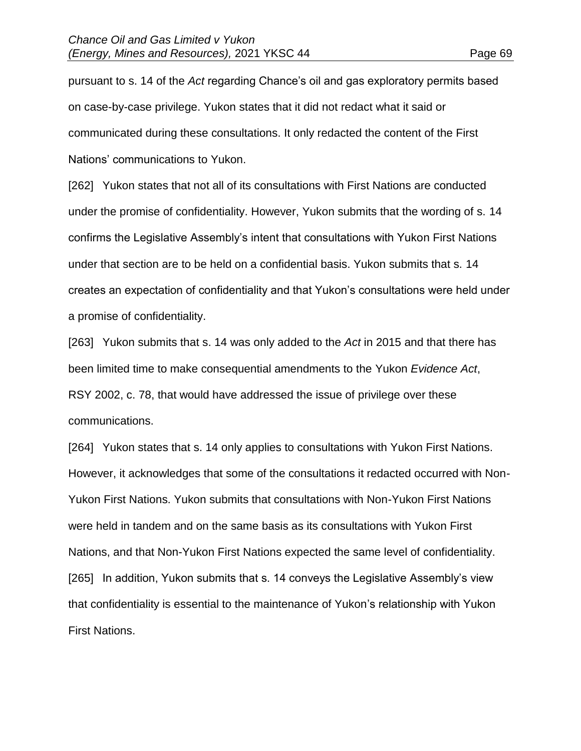pursuant to s. 14 of the *Act* regarding Chance's oil and gas exploratory permits based on case-by-case privilege. Yukon states that it did not redact what it said or communicated during these consultations. It only redacted the content of the First Nations' communications to Yukon.

[262] Yukon states that not all of its consultations with First Nations are conducted under the promise of confidentiality. However, Yukon submits that the wording of s. 14 confirms the Legislative Assembly's intent that consultations with Yukon First Nations under that section are to be held on a confidential basis. Yukon submits that s. 14 creates an expectation of confidentiality and that Yukon's consultations were held under a promise of confidentiality.

[263] Yukon submits that s. 14 was only added to the *Act* in 2015 and that there has been limited time to make consequential amendments to the Yukon *Evidence Act*, RSY 2002, c. 78, that would have addressed the issue of privilege over these communications.

[264] Yukon states that s. 14 only applies to consultations with Yukon First Nations. However, it acknowledges that some of the consultations it redacted occurred with Non-Yukon First Nations. Yukon submits that consultations with Non-Yukon First Nations were held in tandem and on the same basis as its consultations with Yukon First Nations, and that Non-Yukon First Nations expected the same level of confidentiality. [265] In addition, Yukon submits that s. 14 conveys the Legislative Assembly's view that confidentiality is essential to the maintenance of Yukon's relationship with Yukon First Nations.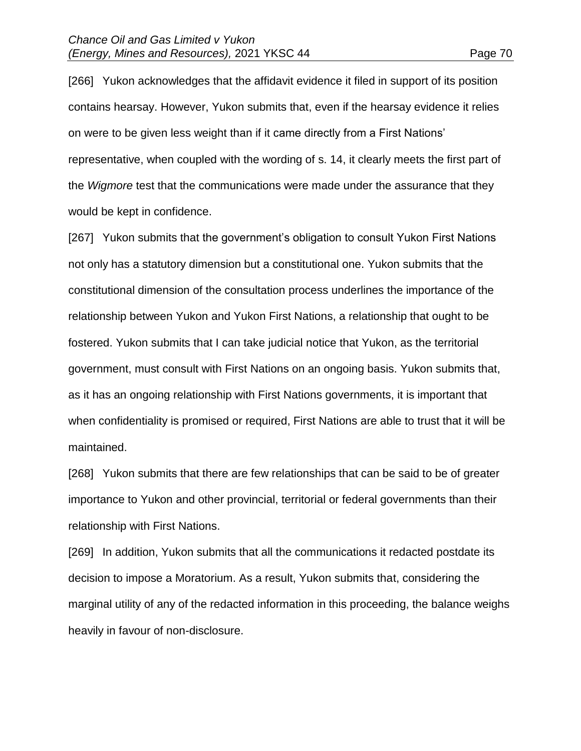[266] Yukon acknowledges that the affidavit evidence it filed in support of its position contains hearsay. However, Yukon submits that, even if the hearsay evidence it relies on were to be given less weight than if it came directly from a First Nations' representative, when coupled with the wording of s. 14, it clearly meets the first part of the *Wigmore* test that the communications were made under the assurance that they would be kept in confidence.

[267] Yukon submits that the government's obligation to consult Yukon First Nations not only has a statutory dimension but a constitutional one. Yukon submits that the constitutional dimension of the consultation process underlines the importance of the relationship between Yukon and Yukon First Nations, a relationship that ought to be fostered. Yukon submits that I can take judicial notice that Yukon, as the territorial government, must consult with First Nations on an ongoing basis. Yukon submits that, as it has an ongoing relationship with First Nations governments, it is important that when confidentiality is promised or required, First Nations are able to trust that it will be maintained.

[268] Yukon submits that there are few relationships that can be said to be of greater importance to Yukon and other provincial, territorial or federal governments than their relationship with First Nations.

[269] In addition, Yukon submits that all the communications it redacted postdate its decision to impose a Moratorium. As a result, Yukon submits that, considering the marginal utility of any of the redacted information in this proceeding, the balance weighs heavily in favour of non-disclosure.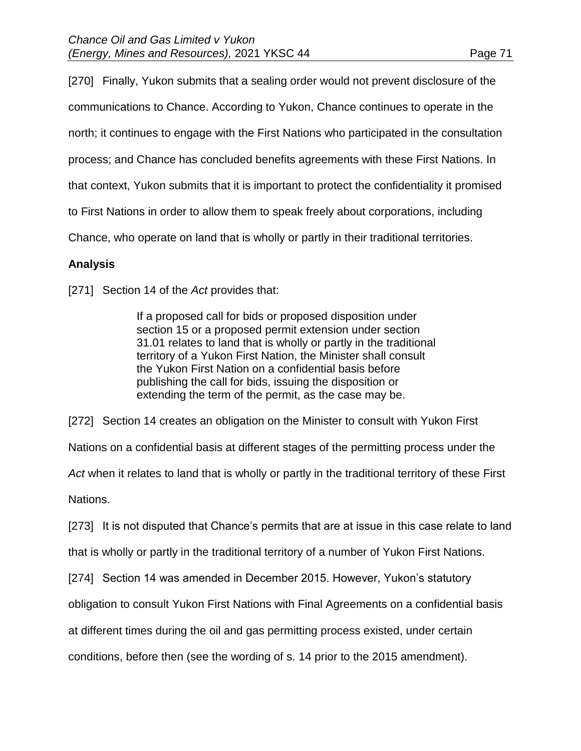[270] Finally, Yukon submits that a sealing order would not prevent disclosure of the communications to Chance. According to Yukon, Chance continues to operate in the north; it continues to engage with the First Nations who participated in the consultation process; and Chance has concluded benefits agreements with these First Nations. In that context, Yukon submits that it is important to protect the confidentiality it promised to First Nations in order to allow them to speak freely about corporations, including Chance, who operate on land that is wholly or partly in their traditional territories.

# **Analysis**

[271] Section 14 of the *Act* provides that:

If a proposed call for bids or proposed disposition under section 15 or a proposed permit extension under section 31.01 relates to land that is wholly or partly in the traditional territory of a Yukon First Nation, the Minister shall consult the Yukon First Nation on a confidential basis before publishing the call for bids, issuing the disposition or extending the term of the permit, as the case may be.

[272] Section 14 creates an obligation on the Minister to consult with Yukon First

Nations on a confidential basis at different stages of the permitting process under the

*Act* when it relates to land that is wholly or partly in the traditional territory of these First

Nations.

[273] It is not disputed that Chance's permits that are at issue in this case relate to land

that is wholly or partly in the traditional territory of a number of Yukon First Nations.

[274] Section 14 was amended in December 2015. However, Yukon's statutory

obligation to consult Yukon First Nations with Final Agreements on a confidential basis

at different times during the oil and gas permitting process existed, under certain

conditions, before then (see the wording of s. 14 prior to the 2015 amendment).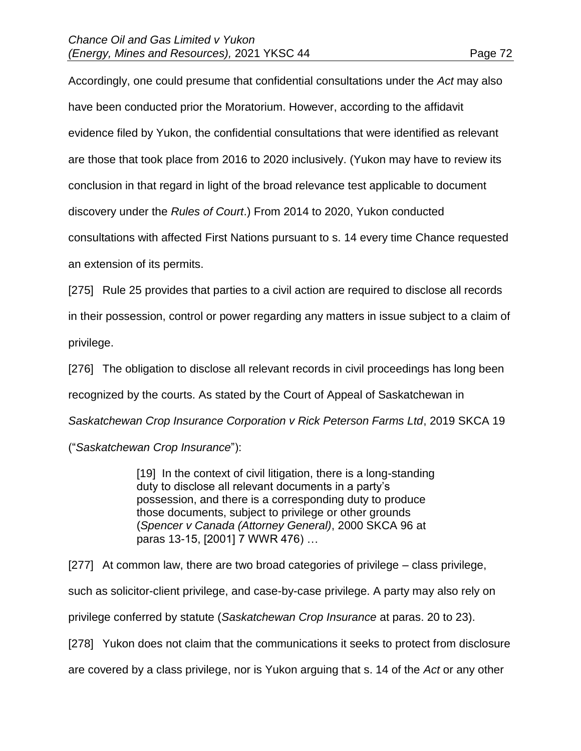Accordingly, one could presume that confidential consultations under the *Act* may also have been conducted prior the Moratorium. However, according to the affidavit evidence filed by Yukon, the confidential consultations that were identified as relevant are those that took place from 2016 to 2020 inclusively. (Yukon may have to review its conclusion in that regard in light of the broad relevance test applicable to document discovery under the *Rules of Court*.) From 2014 to 2020, Yukon conducted consultations with affected First Nations pursuant to s. 14 every time Chance requested an extension of its permits.

[275] Rule 25 provides that parties to a civil action are required to disclose all records in their possession, control or power regarding any matters in issue subject to a claim of privilege.

[276] The obligation to disclose all relevant records in civil proceedings has long been recognized by the courts. As stated by the Court of Appeal of Saskatchewan in *Saskatchewan Crop Insurance Corporation v Rick Peterson Farms Ltd*, 2019 SKCA 19 ("*Saskatchewan Crop Insurance*"):

> [19] In the context of civil litigation, there is a long-standing duty to disclose all relevant documents in a party's possession, and there is a corresponding duty to produce those documents, subject to privilege or other grounds (*Spencer v Canada (Attorney General)*, 2000 SKCA 96 at paras 13-15, [2001] 7 WWR 476) …

[277] At common law, there are two broad categories of privilege – class privilege, such as solicitor-client privilege, and case-by-case privilege. A party may also rely on privilege conferred by statute (*Saskatchewan Crop Insurance* at paras. 20 to 23). [278] Yukon does not claim that the communications it seeks to protect from disclosure

are covered by a class privilege, nor is Yukon arguing that s. 14 of the *Act* or any other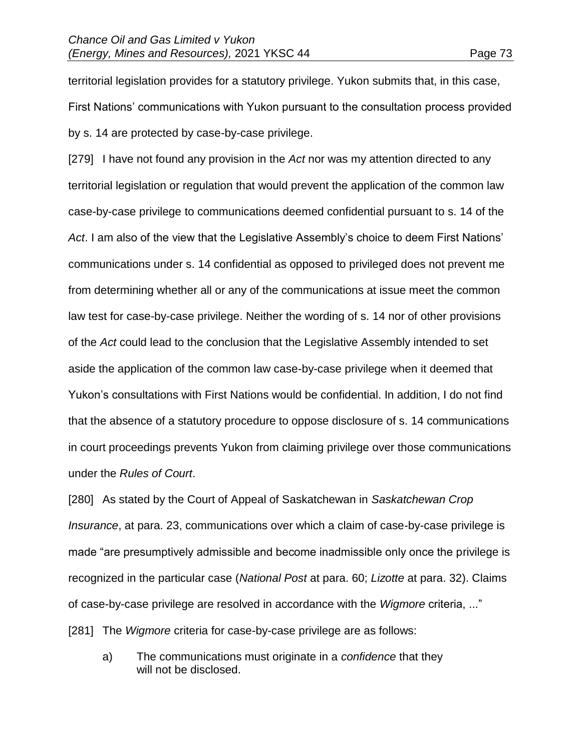territorial legislation provides for a statutory privilege. Yukon submits that, in this case, First Nations' communications with Yukon pursuant to the consultation process provided by s. 14 are protected by case-by-case privilege.

[279] I have not found any provision in the *Act* nor was my attention directed to any territorial legislation or regulation that would prevent the application of the common law case-by-case privilege to communications deemed confidential pursuant to s. 14 of the *Act*. I am also of the view that the Legislative Assembly's choice to deem First Nations' communications under s. 14 confidential as opposed to privileged does not prevent me from determining whether all or any of the communications at issue meet the common law test for case-by-case privilege. Neither the wording of s. 14 nor of other provisions of the *Act* could lead to the conclusion that the Legislative Assembly intended to set aside the application of the common law case-by-case privilege when it deemed that Yukon's consultations with First Nations would be confidential. In addition, I do not find that the absence of a statutory procedure to oppose disclosure of s. 14 communications in court proceedings prevents Yukon from claiming privilege over those communications under the *Rules of Court*.

[280] As stated by the Court of Appeal of Saskatchewan in *Saskatchewan Crop Insurance*, at para. 23, communications over which a claim of case-by-case privilege is made "are presumptively admissible and become inadmissible only once the privilege is recognized in the particular case (*National Post* at para. 60; *Lizotte* at para. 32). Claims of case-by-case privilege are resolved in accordance with the *Wigmore* criteria, ..." [281] The *Wigmore* criteria for case-by-case privilege are as follows:

a) The communications must originate in a *confidence* that they will not be disclosed.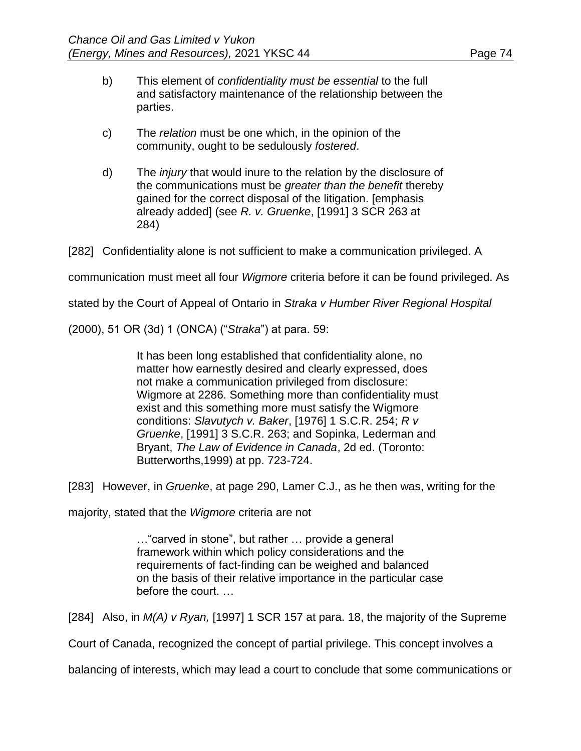- b) This element of *confidentiality must be essential* to the full and satisfactory maintenance of the relationship between the parties.
- c) The *relation* must be one which, in the opinion of the community, ought to be sedulously *fostered*.
- d) The *injury* that would inure to the relation by the disclosure of the communications must be *greater than the benefit* thereby gained for the correct disposal of the litigation. [emphasis already added] (see *R. v. Gruenke*, [1991] 3 SCR 263 at 284)

[282] Confidentiality alone is not sufficient to make a communication privileged. A

communication must meet all four *Wigmore* criteria before it can be found privileged. As

stated by the Court of Appeal of Ontario in *Straka v Humber River Regional Hospital* 

(2000), 51 OR (3d) 1 (ONCA) ("*Straka*") at para. 59:

It has been long established that confidentiality alone, no matter how earnestly desired and clearly expressed, does not make a communication privileged from disclosure: Wigmore at 2286. Something more than confidentiality must exist and this something more must satisfy the Wigmore conditions: *Slavutych v. Baker*, [1976] 1 S.C.R. 254; *R v Gruenke*, [1991] 3 S.C.R. 263; and Sopinka, Lederman and Bryant, *The Law of Evidence in Canada*, 2d ed. (Toronto: Butterworths,1999) at pp. 723-724.

[283] However, in *Gruenke*, at page 290, Lamer C.J., as he then was, writing for the

majority, stated that the *Wigmore* criteria are not

…"carved in stone", but rather … provide a general framework within which policy considerations and the requirements of fact-finding can be weighed and balanced on the basis of their relative importance in the particular case before the court. …

[284] Also, in *M(A) v Ryan,* [1997] 1 SCR 157 at para. 18, the majority of the Supreme

Court of Canada, recognized the concept of partial privilege. This concept involves a

balancing of interests, which may lead a court to conclude that some communications or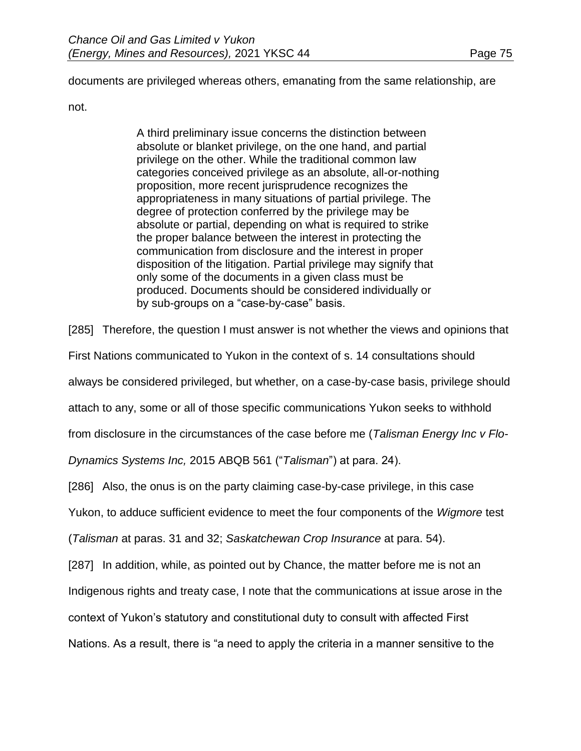documents are privileged whereas others, emanating from the same relationship, are

not.

A third preliminary issue concerns the distinction between absolute or blanket privilege, on the one hand, and partial privilege on the other. While the traditional common law categories conceived privilege as an absolute, all-or-nothing proposition, more recent jurisprudence recognizes the appropriateness in many situations of partial privilege. The degree of protection conferred by the privilege may be absolute or partial, depending on what is required to strike the proper balance between the interest in protecting the communication from disclosure and the interest in proper disposition of the litigation. Partial privilege may signify that only some of the documents in a given class must be produced. Documents should be considered individually or by sub-groups on a "case-by-case" basis.

[285] Therefore, the question I must answer is not whether the views and opinions that

First Nations communicated to Yukon in the context of s. 14 consultations should

always be considered privileged, but whether, on a case-by-case basis, privilege should

attach to any, some or all of those specific communications Yukon seeks to withhold

from disclosure in the circumstances of the case before me (*Talisman Energy Inc v Flo-*

*Dynamics Systems Inc,* 2015 ABQB 561 ("*Talisman*") at para. 24).

[286] Also, the onus is on the party claiming case-by-case privilege, in this case

Yukon, to adduce sufficient evidence to meet the four components of the *Wigmore* test

(*Talisman* at paras. 31 and 32; *Saskatchewan Crop Insurance* at para. 54).

[287] In addition, while, as pointed out by Chance, the matter before me is not an

Indigenous rights and treaty case, I note that the communications at issue arose in the

context of Yukon's statutory and constitutional duty to consult with affected First

Nations. As a result, there is "a need to apply the criteria in a manner sensitive to the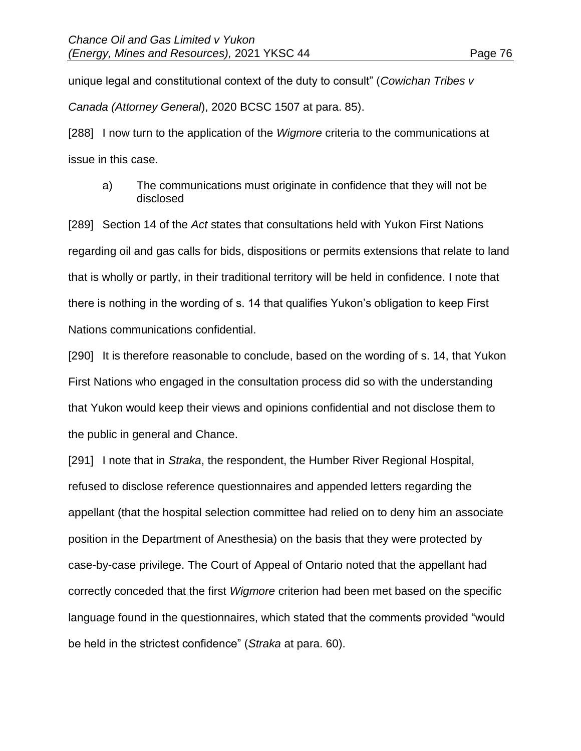unique legal and constitutional context of the duty to consult" (*Cowichan Tribes v Canada (Attorney General*), 2020 BCSC 1507 at para. 85).

[288] I now turn to the application of the *Wigmore* criteria to the communications at issue in this case.

a) The communications must originate in confidence that they will not be disclosed

[289] Section 14 of the *Act* states that consultations held with Yukon First Nations regarding oil and gas calls for bids, dispositions or permits extensions that relate to land that is wholly or partly, in their traditional territory will be held in confidence. I note that there is nothing in the wording of s. 14 that qualifies Yukon's obligation to keep First Nations communications confidential.

[290] It is therefore reasonable to conclude, based on the wording of s. 14, that Yukon First Nations who engaged in the consultation process did so with the understanding that Yukon would keep their views and opinions confidential and not disclose them to the public in general and Chance.

[291] I note that in *Straka*, the respondent, the Humber River Regional Hospital, refused to disclose reference questionnaires and appended letters regarding the appellant (that the hospital selection committee had relied on to deny him an associate position in the Department of Anesthesia) on the basis that they were protected by case-by-case privilege. The Court of Appeal of Ontario noted that the appellant had correctly conceded that the first *Wigmore* criterion had been met based on the specific language found in the questionnaires, which stated that the comments provided "would be held in the strictest confidence" (*Straka* at para. 60).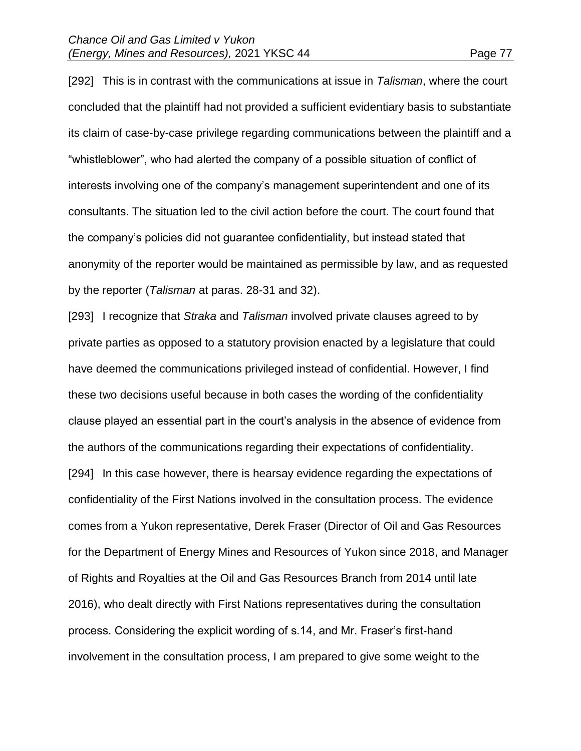[292] This is in contrast with the communications at issue in *Talisman*, where the court concluded that the plaintiff had not provided a sufficient evidentiary basis to substantiate its claim of case-by-case privilege regarding communications between the plaintiff and a "whistleblower", who had alerted the company of a possible situation of conflict of interests involving one of the company's management superintendent and one of its consultants. The situation led to the civil action before the court. The court found that the company's policies did not guarantee confidentiality, but instead stated that anonymity of the reporter would be maintained as permissible by law, and as requested by the reporter (*Talisman* at paras. 28-31 and 32).

[293] I recognize that *Straka* and *Talisman* involved private clauses agreed to by private parties as opposed to a statutory provision enacted by a legislature that could have deemed the communications privileged instead of confidential. However, I find these two decisions useful because in both cases the wording of the confidentiality clause played an essential part in the court's analysis in the absence of evidence from the authors of the communications regarding their expectations of confidentiality. [294] In this case however, there is hearsay evidence regarding the expectations of confidentiality of the First Nations involved in the consultation process. The evidence comes from a Yukon representative, Derek Fraser (Director of Oil and Gas Resources for the Department of Energy Mines and Resources of Yukon since 2018, and Manager of Rights and Royalties at the Oil and Gas Resources Branch from 2014 until late 2016), who dealt directly with First Nations representatives during the consultation process. Considering the explicit wording of s.14, and Mr. Fraser's first-hand involvement in the consultation process, I am prepared to give some weight to the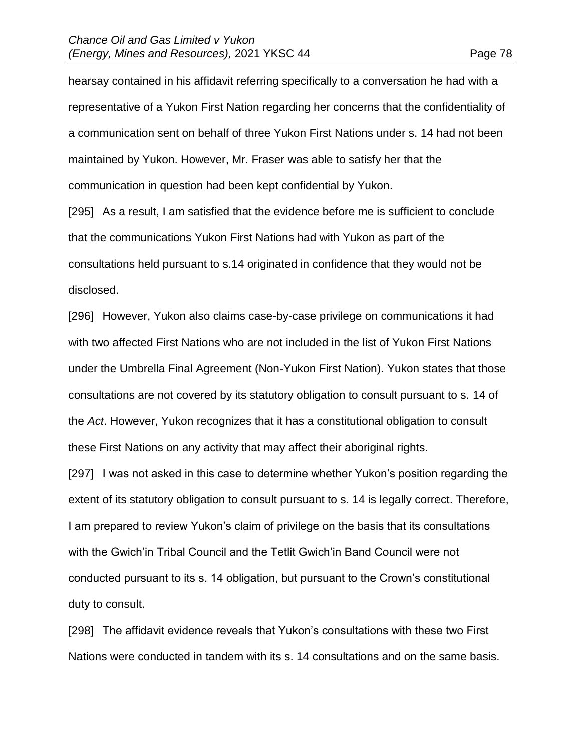hearsay contained in his affidavit referring specifically to a conversation he had with a representative of a Yukon First Nation regarding her concerns that the confidentiality of a communication sent on behalf of three Yukon First Nations under s. 14 had not been maintained by Yukon. However, Mr. Fraser was able to satisfy her that the communication in question had been kept confidential by Yukon.

[295] As a result, I am satisfied that the evidence before me is sufficient to conclude that the communications Yukon First Nations had with Yukon as part of the consultations held pursuant to s.14 originated in confidence that they would not be disclosed.

[296] However, Yukon also claims case-by-case privilege on communications it had with two affected First Nations who are not included in the list of Yukon First Nations under the Umbrella Final Agreement (Non-Yukon First Nation). Yukon states that those consultations are not covered by its statutory obligation to consult pursuant to s. 14 of the *Act*. However, Yukon recognizes that it has a constitutional obligation to consult these First Nations on any activity that may affect their aboriginal rights.

[297] I was not asked in this case to determine whether Yukon's position regarding the extent of its statutory obligation to consult pursuant to s. 14 is legally correct. Therefore, I am prepared to review Yukon's claim of privilege on the basis that its consultations with the Gwich'in Tribal Council and the Tetlit Gwich'in Band Council were not conducted pursuant to its s. 14 obligation, but pursuant to the Crown's constitutional duty to consult.

[298] The affidavit evidence reveals that Yukon's consultations with these two First Nations were conducted in tandem with its s. 14 consultations and on the same basis.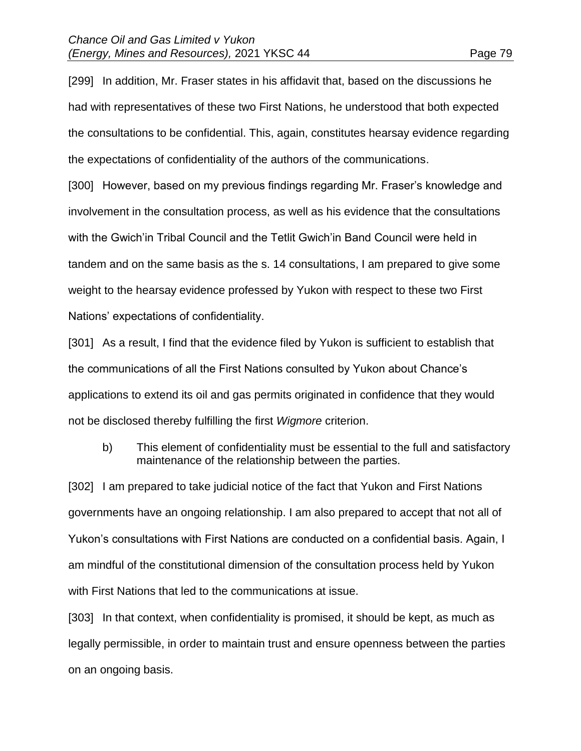[299] In addition, Mr. Fraser states in his affidavit that, based on the discussions he had with representatives of these two First Nations, he understood that both expected the consultations to be confidential. This, again, constitutes hearsay evidence regarding the expectations of confidentiality of the authors of the communications.

[300] However, based on my previous findings regarding Mr. Fraser's knowledge and involvement in the consultation process, as well as his evidence that the consultations with the Gwich'in Tribal Council and the Tetlit Gwich'in Band Council were held in tandem and on the same basis as the s. 14 consultations, I am prepared to give some weight to the hearsay evidence professed by Yukon with respect to these two First Nations' expectations of confidentiality.

[301] As a result, I find that the evidence filed by Yukon is sufficient to establish that the communications of all the First Nations consulted by Yukon about Chance's applications to extend its oil and gas permits originated in confidence that they would not be disclosed thereby fulfilling the first *Wigmore* criterion.

b) This element of confidentiality must be essential to the full and satisfactory maintenance of the relationship between the parties.

[302] I am prepared to take judicial notice of the fact that Yukon and First Nations governments have an ongoing relationship. I am also prepared to accept that not all of Yukon's consultations with First Nations are conducted on a confidential basis. Again, I am mindful of the constitutional dimension of the consultation process held by Yukon with First Nations that led to the communications at issue.

[303] In that context, when confidentiality is promised, it should be kept, as much as legally permissible, in order to maintain trust and ensure openness between the parties on an ongoing basis.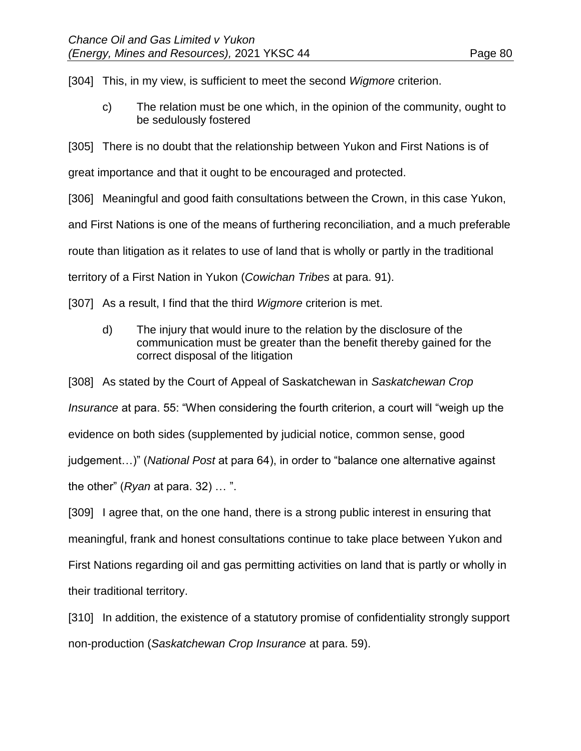[304] This, in my view, is sufficient to meet the second *Wigmore* criterion.

c) The relation must be one which, in the opinion of the community, ought to be sedulously fostered

[305] There is no doubt that the relationship between Yukon and First Nations is of

great importance and that it ought to be encouraged and protected.

[306] Meaningful and good faith consultations between the Crown, in this case Yukon,

and First Nations is one of the means of furthering reconciliation, and a much preferable

route than litigation as it relates to use of land that is wholly or partly in the traditional

territory of a First Nation in Yukon (*Cowichan Tribes* at para. 91).

[307] As a result, I find that the third *Wigmore* criterion is met.

d) The injury that would inure to the relation by the disclosure of the communication must be greater than the benefit thereby gained for the correct disposal of the litigation

[308] As stated by the Court of Appeal of Saskatchewan in *Saskatchewan Crop* 

*Insurance* at para. 55: "When considering the fourth criterion, a court will "weigh up the

evidence on both sides (supplemented by judicial notice, common sense, good

judgement…)" (*National Post* at para 64), in order to "balance one alternative against

the other" (*Ryan* at para. 32) … ".

[309] I agree that, on the one hand, there is a strong public interest in ensuring that meaningful, frank and honest consultations continue to take place between Yukon and First Nations regarding oil and gas permitting activities on land that is partly or wholly in their traditional territory.

[310] In addition, the existence of a statutory promise of confidentiality strongly support non-production (*Saskatchewan Crop Insurance* at para. 59).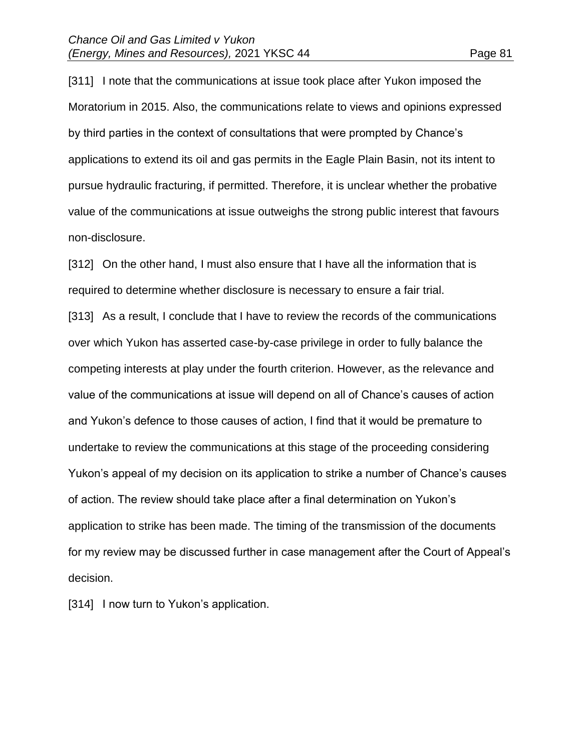[311] I note that the communications at issue took place after Yukon imposed the Moratorium in 2015. Also, the communications relate to views and opinions expressed by third parties in the context of consultations that were prompted by Chance's applications to extend its oil and gas permits in the Eagle Plain Basin, not its intent to pursue hydraulic fracturing, if permitted. Therefore, it is unclear whether the probative value of the communications at issue outweighs the strong public interest that favours non-disclosure.

[312] On the other hand, I must also ensure that I have all the information that is required to determine whether disclosure is necessary to ensure a fair trial.

[313] As a result, I conclude that I have to review the records of the communications over which Yukon has asserted case-by-case privilege in order to fully balance the competing interests at play under the fourth criterion. However, as the relevance and value of the communications at issue will depend on all of Chance's causes of action and Yukon's defence to those causes of action, I find that it would be premature to undertake to review the communications at this stage of the proceeding considering Yukon's appeal of my decision on its application to strike a number of Chance's causes of action. The review should take place after a final determination on Yukon's application to strike has been made. The timing of the transmission of the documents for my review may be discussed further in case management after the Court of Appeal's decision.

[314] I now turn to Yukon's application.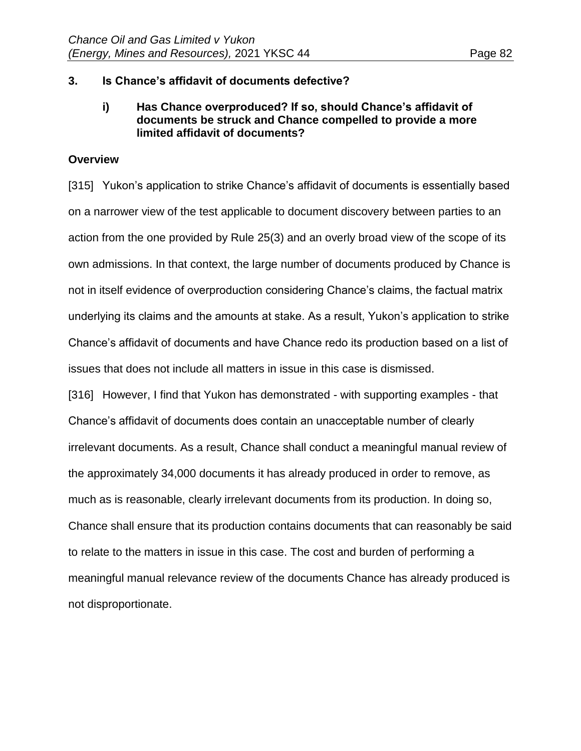# **3. Is Chance's affidavit of documents defective?**

# **i) Has Chance overproduced? If so, should Chance's affidavit of documents be struck and Chance compelled to provide a more limited affidavit of documents?**

## **Overview**

[315] Yukon's application to strike Chance's affidavit of documents is essentially based on a narrower view of the test applicable to document discovery between parties to an action from the one provided by Rule 25(3) and an overly broad view of the scope of its own admissions. In that context, the large number of documents produced by Chance is not in itself evidence of overproduction considering Chance's claims, the factual matrix underlying its claims and the amounts at stake. As a result, Yukon's application to strike Chance's affidavit of documents and have Chance redo its production based on a list of issues that does not include all matters in issue in this case is dismissed.

[316] However, I find that Yukon has demonstrated - with supporting examples - that Chance's affidavit of documents does contain an unacceptable number of clearly irrelevant documents. As a result, Chance shall conduct a meaningful manual review of the approximately 34,000 documents it has already produced in order to remove, as much as is reasonable, clearly irrelevant documents from its production. In doing so, Chance shall ensure that its production contains documents that can reasonably be said to relate to the matters in issue in this case. The cost and burden of performing a meaningful manual relevance review of the documents Chance has already produced is not disproportionate.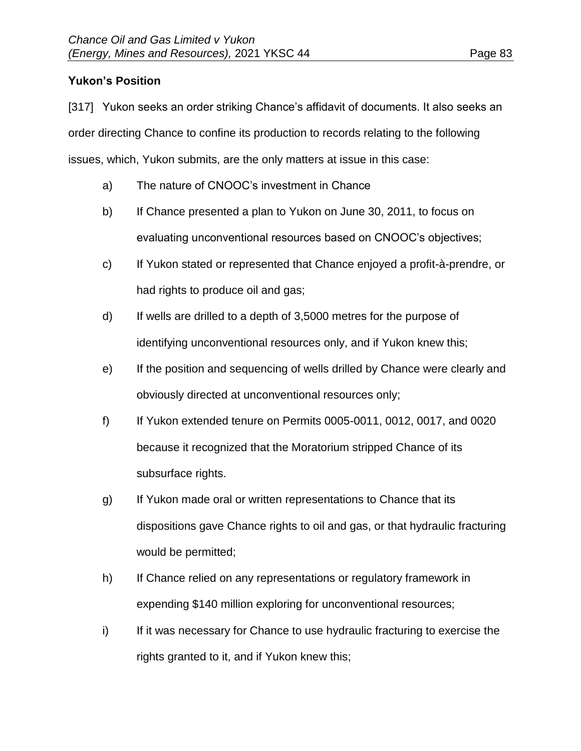# **Yukon's Position**

[317] Yukon seeks an order striking Chance's affidavit of documents. It also seeks an order directing Chance to confine its production to records relating to the following issues, which, Yukon submits, are the only matters at issue in this case:

- a) The nature of CNOOC's investment in Chance
- b) If Chance presented a plan to Yukon on June 30, 2011, to focus on evaluating unconventional resources based on CNOOC's objectives;
- c) If Yukon stated or represented that Chance enjoyed a profit-à-prendre, or had rights to produce oil and gas;
- d) If wells are drilled to a depth of 3,5000 metres for the purpose of identifying unconventional resources only, and if Yukon knew this;
- e) If the position and sequencing of wells drilled by Chance were clearly and obviously directed at unconventional resources only;
- f) If Yukon extended tenure on Permits 0005-0011, 0012, 0017, and 0020 because it recognized that the Moratorium stripped Chance of its subsurface rights.
- g) If Yukon made oral or written representations to Chance that its dispositions gave Chance rights to oil and gas, or that hydraulic fracturing would be permitted;
- h) If Chance relied on any representations or regulatory framework in expending \$140 million exploring for unconventional resources;
- i) If it was necessary for Chance to use hydraulic fracturing to exercise the rights granted to it, and if Yukon knew this;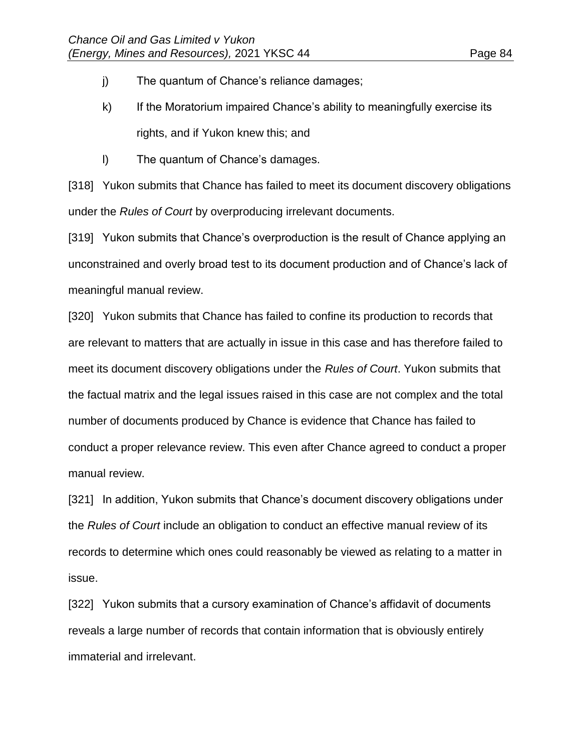- j) The quantum of Chance's reliance damages;
- k) If the Moratorium impaired Chance's ability to meaningfully exercise its rights, and if Yukon knew this; and
- l) The quantum of Chance's damages.

[318] Yukon submits that Chance has failed to meet its document discovery obligations under the *Rules of Court* by overproducing irrelevant documents.

[319] Yukon submits that Chance's overproduction is the result of Chance applying an unconstrained and overly broad test to its document production and of Chance's lack of meaningful manual review.

[320] Yukon submits that Chance has failed to confine its production to records that are relevant to matters that are actually in issue in this case and has therefore failed to meet its document discovery obligations under the *Rules of Court*. Yukon submits that the factual matrix and the legal issues raised in this case are not complex and the total number of documents produced by Chance is evidence that Chance has failed to conduct a proper relevance review. This even after Chance agreed to conduct a proper manual review.

[321] In addition, Yukon submits that Chance's document discovery obligations under the *Rules of Court* include an obligation to conduct an effective manual review of its records to determine which ones could reasonably be viewed as relating to a matter in issue.

[322] Yukon submits that a cursory examination of Chance's affidavit of documents reveals a large number of records that contain information that is obviously entirely immaterial and irrelevant.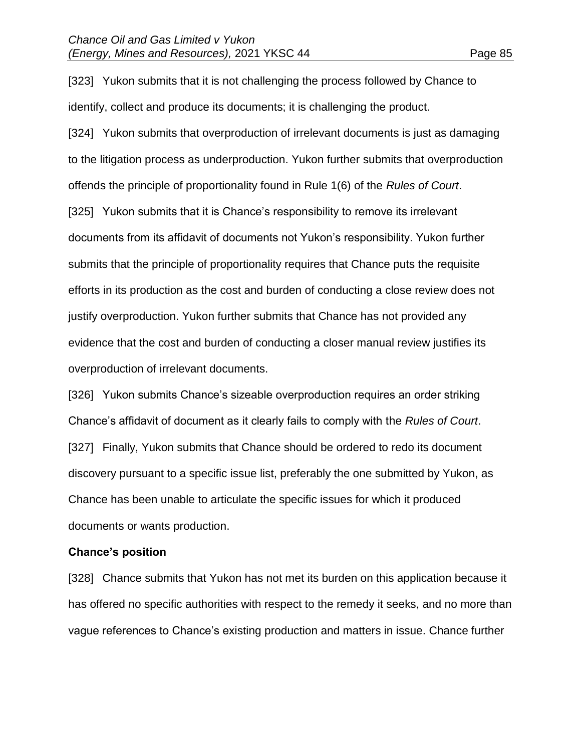[323] Yukon submits that it is not challenging the process followed by Chance to identify, collect and produce its documents; it is challenging the product.

[324] Yukon submits that overproduction of irrelevant documents is just as damaging to the litigation process as underproduction. Yukon further submits that overproduction offends the principle of proportionality found in Rule 1(6) of the *Rules of Court*. [325] Yukon submits that it is Chance's responsibility to remove its irrelevant documents from its affidavit of documents not Yukon's responsibility. Yukon further submits that the principle of proportionality requires that Chance puts the requisite efforts in its production as the cost and burden of conducting a close review does not justify overproduction. Yukon further submits that Chance has not provided any evidence that the cost and burden of conducting a closer manual review justifies its overproduction of irrelevant documents.

[326] Yukon submits Chance's sizeable overproduction requires an order striking Chance's affidavit of document as it clearly fails to comply with the *Rules of Court*. [327] Finally, Yukon submits that Chance should be ordered to redo its document discovery pursuant to a specific issue list, preferably the one submitted by Yukon, as Chance has been unable to articulate the specific issues for which it produced documents or wants production.

#### **Chance's position**

[328] Chance submits that Yukon has not met its burden on this application because it has offered no specific authorities with respect to the remedy it seeks, and no more than vague references to Chance's existing production and matters in issue. Chance further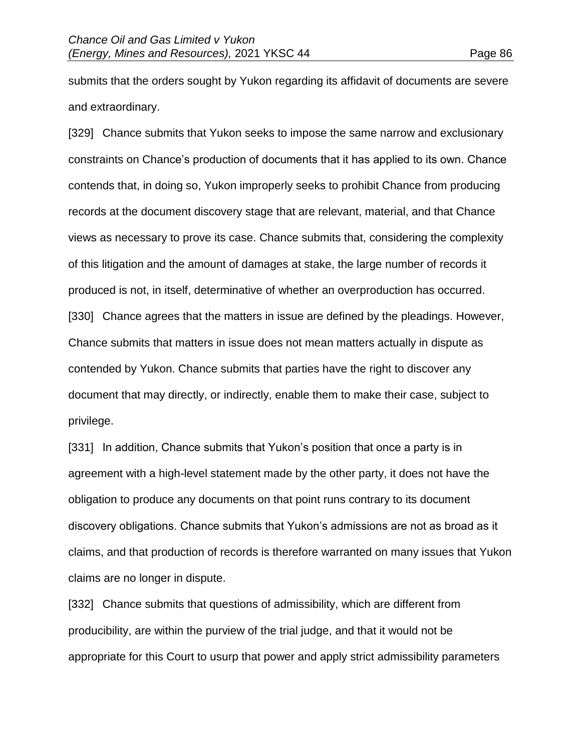submits that the orders sought by Yukon regarding its affidavit of documents are severe and extraordinary.

[329] Chance submits that Yukon seeks to impose the same narrow and exclusionary constraints on Chance's production of documents that it has applied to its own. Chance contends that, in doing so, Yukon improperly seeks to prohibit Chance from producing records at the document discovery stage that are relevant, material, and that Chance views as necessary to prove its case. Chance submits that, considering the complexity of this litigation and the amount of damages at stake, the large number of records it produced is not, in itself, determinative of whether an overproduction has occurred. [330] Chance agrees that the matters in issue are defined by the pleadings. However, Chance submits that matters in issue does not mean matters actually in dispute as contended by Yukon. Chance submits that parties have the right to discover any document that may directly, or indirectly, enable them to make their case, subject to privilege.

[331] In addition, Chance submits that Yukon's position that once a party is in agreement with a high-level statement made by the other party, it does not have the obligation to produce any documents on that point runs contrary to its document discovery obligations. Chance submits that Yukon's admissions are not as broad as it claims, and that production of records is therefore warranted on many issues that Yukon claims are no longer in dispute.

[332] Chance submits that questions of admissibility, which are different from producibility, are within the purview of the trial judge, and that it would not be appropriate for this Court to usurp that power and apply strict admissibility parameters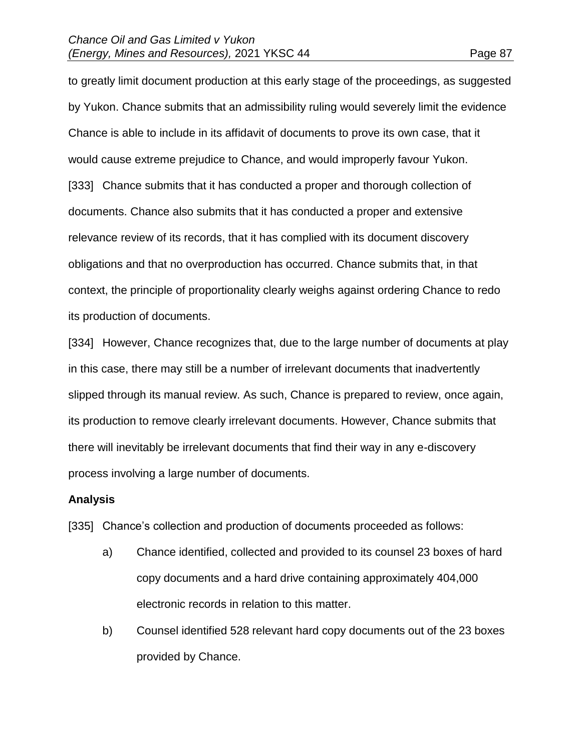to greatly limit document production at this early stage of the proceedings, as suggested by Yukon. Chance submits that an admissibility ruling would severely limit the evidence Chance is able to include in its affidavit of documents to prove its own case, that it would cause extreme prejudice to Chance, and would improperly favour Yukon. [333] Chance submits that it has conducted a proper and thorough collection of documents. Chance also submits that it has conducted a proper and extensive relevance review of its records, that it has complied with its document discovery obligations and that no overproduction has occurred. Chance submits that, in that context, the principle of proportionality clearly weighs against ordering Chance to redo its production of documents.

[334] However, Chance recognizes that, due to the large number of documents at play in this case, there may still be a number of irrelevant documents that inadvertently slipped through its manual review. As such, Chance is prepared to review, once again, its production to remove clearly irrelevant documents. However, Chance submits that there will inevitably be irrelevant documents that find their way in any e-discovery process involving a large number of documents.

### **Analysis**

[335] Chance's collection and production of documents proceeded as follows:

- a) Chance identified, collected and provided to its counsel 23 boxes of hard copy documents and a hard drive containing approximately 404,000 electronic records in relation to this matter.
- b) Counsel identified 528 relevant hard copy documents out of the 23 boxes provided by Chance.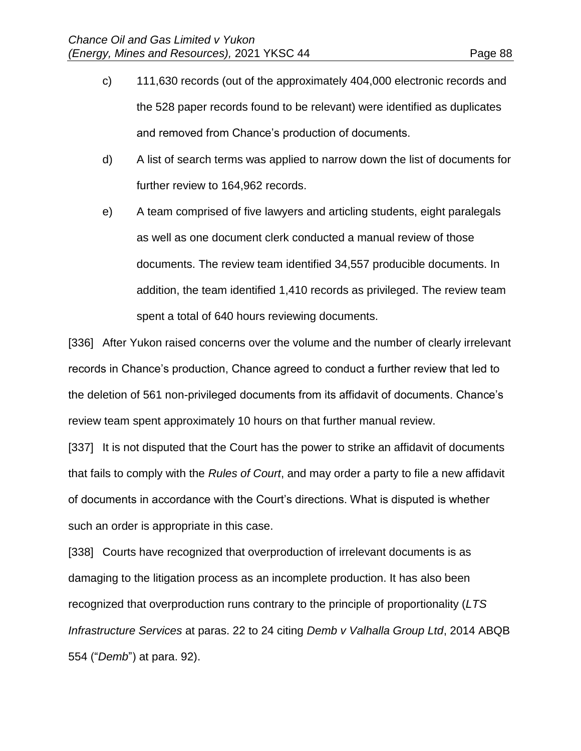- c) 111,630 records (out of the approximately 404,000 electronic records and the 528 paper records found to be relevant) were identified as duplicates and removed from Chance's production of documents.
- d) A list of search terms was applied to narrow down the list of documents for further review to 164,962 records.
- e) A team comprised of five lawyers and articling students, eight paralegals as well as one document clerk conducted a manual review of those documents. The review team identified 34,557 producible documents. In addition, the team identified 1,410 records as privileged. The review team spent a total of 640 hours reviewing documents.

[336] After Yukon raised concerns over the volume and the number of clearly irrelevant records in Chance's production, Chance agreed to conduct a further review that led to the deletion of 561 non-privileged documents from its affidavit of documents. Chance's review team spent approximately 10 hours on that further manual review.

[337] It is not disputed that the Court has the power to strike an affidavit of documents that fails to comply with the *Rules of Court*, and may order a party to file a new affidavit of documents in accordance with the Court's directions. What is disputed is whether such an order is appropriate in this case.

[338] Courts have recognized that overproduction of irrelevant documents is as damaging to the litigation process as an incomplete production. It has also been recognized that overproduction runs contrary to the principle of proportionality (*LTS Infrastructure Services* at paras. 22 to 24 citing *Demb v Valhalla Group Ltd*, 2014 ABQB 554 ("*Demb*") at para. 92).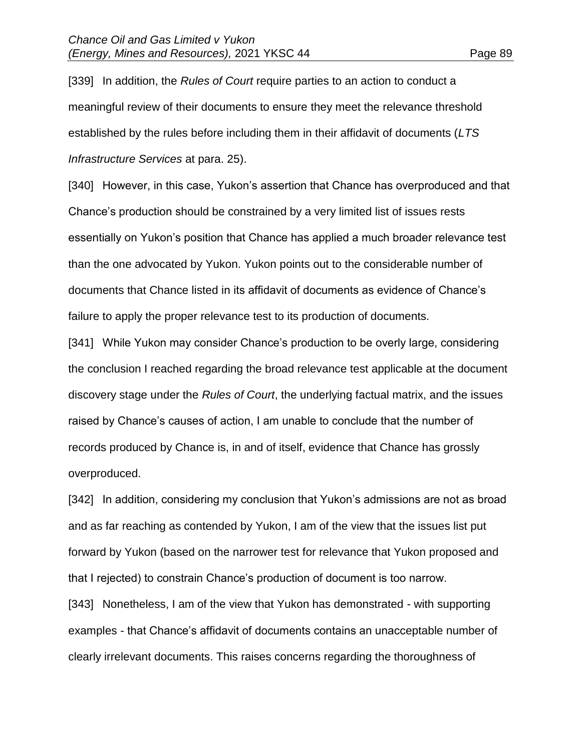[339] In addition, the *Rules of Court* require parties to an action to conduct a meaningful review of their documents to ensure they meet the relevance threshold established by the rules before including them in their affidavit of documents (*LTS Infrastructure Services* at para. 25).

[340] However, in this case, Yukon's assertion that Chance has overproduced and that Chance's production should be constrained by a very limited list of issues rests essentially on Yukon's position that Chance has applied a much broader relevance test than the one advocated by Yukon. Yukon points out to the considerable number of documents that Chance listed in its affidavit of documents as evidence of Chance's failure to apply the proper relevance test to its production of documents.

[341] While Yukon may consider Chance's production to be overly large, considering the conclusion I reached regarding the broad relevance test applicable at the document discovery stage under the *Rules of Court*, the underlying factual matrix, and the issues raised by Chance's causes of action, I am unable to conclude that the number of records produced by Chance is, in and of itself, evidence that Chance has grossly overproduced.

[342] In addition, considering my conclusion that Yukon's admissions are not as broad and as far reaching as contended by Yukon, I am of the view that the issues list put forward by Yukon (based on the narrower test for relevance that Yukon proposed and that I rejected) to constrain Chance's production of document is too narrow.

[343] Nonetheless, I am of the view that Yukon has demonstrated - with supporting examples - that Chance's affidavit of documents contains an unacceptable number of clearly irrelevant documents. This raises concerns regarding the thoroughness of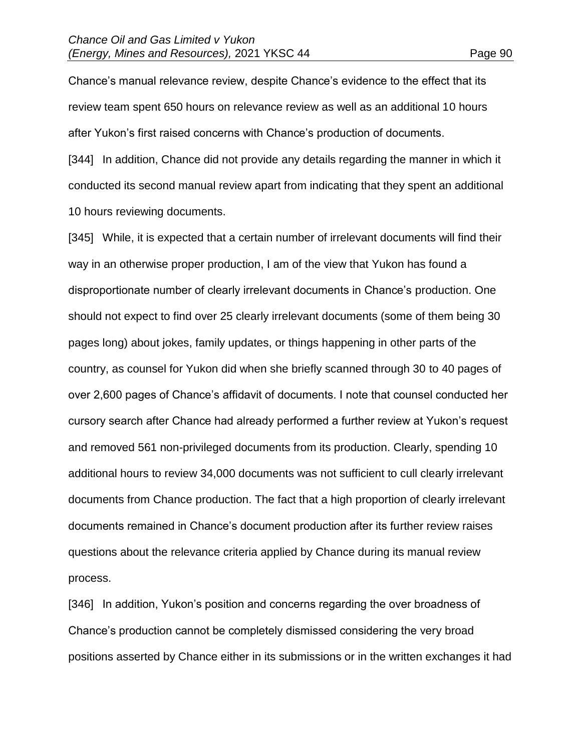Chance's manual relevance review, despite Chance's evidence to the effect that its review team spent 650 hours on relevance review as well as an additional 10 hours after Yukon's first raised concerns with Chance's production of documents.

[344] In addition, Chance did not provide any details regarding the manner in which it conducted its second manual review apart from indicating that they spent an additional 10 hours reviewing documents.

[345] While, it is expected that a certain number of irrelevant documents will find their way in an otherwise proper production, I am of the view that Yukon has found a disproportionate number of clearly irrelevant documents in Chance's production. One should not expect to find over 25 clearly irrelevant documents (some of them being 30 pages long) about jokes, family updates, or things happening in other parts of the country, as counsel for Yukon did when she briefly scanned through 30 to 40 pages of over 2,600 pages of Chance's affidavit of documents. I note that counsel conducted her cursory search after Chance had already performed a further review at Yukon's request and removed 561 non-privileged documents from its production. Clearly, spending 10 additional hours to review 34,000 documents was not sufficient to cull clearly irrelevant documents from Chance production. The fact that a high proportion of clearly irrelevant documents remained in Chance's document production after its further review raises questions about the relevance criteria applied by Chance during its manual review process.

[346] In addition, Yukon's position and concerns regarding the over broadness of Chance's production cannot be completely dismissed considering the very broad positions asserted by Chance either in its submissions or in the written exchanges it had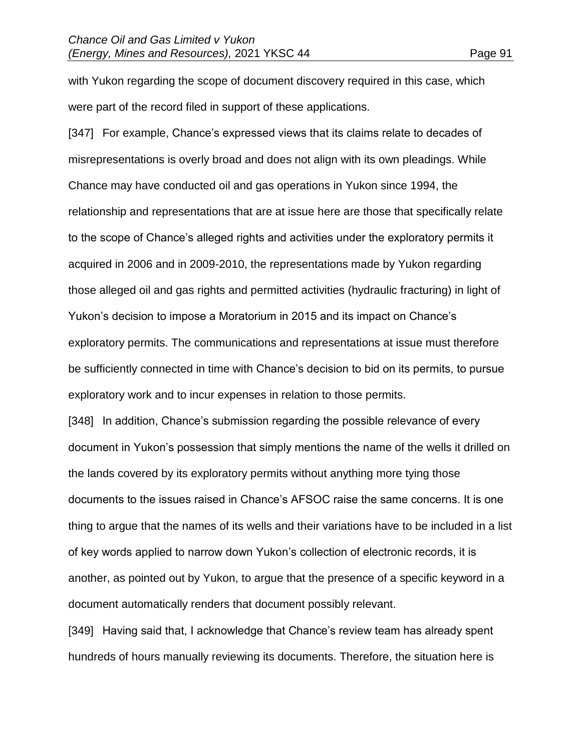with Yukon regarding the scope of document discovery required in this case, which were part of the record filed in support of these applications.

[347] For example, Chance's expressed views that its claims relate to decades of misrepresentations is overly broad and does not align with its own pleadings. While Chance may have conducted oil and gas operations in Yukon since 1994, the relationship and representations that are at issue here are those that specifically relate to the scope of Chance's alleged rights and activities under the exploratory permits it acquired in 2006 and in 2009-2010, the representations made by Yukon regarding those alleged oil and gas rights and permitted activities (hydraulic fracturing) in light of Yukon's decision to impose a Moratorium in 2015 and its impact on Chance's exploratory permits. The communications and representations at issue must therefore be sufficiently connected in time with Chance's decision to bid on its permits, to pursue exploratory work and to incur expenses in relation to those permits.

[348] In addition, Chance's submission regarding the possible relevance of every document in Yukon's possession that simply mentions the name of the wells it drilled on the lands covered by its exploratory permits without anything more tying those documents to the issues raised in Chance's AFSOC raise the same concerns. It is one thing to argue that the names of its wells and their variations have to be included in a list of key words applied to narrow down Yukon's collection of electronic records, it is another, as pointed out by Yukon, to argue that the presence of a specific keyword in a document automatically renders that document possibly relevant.

[349] Having said that, I acknowledge that Chance's review team has already spent hundreds of hours manually reviewing its documents. Therefore, the situation here is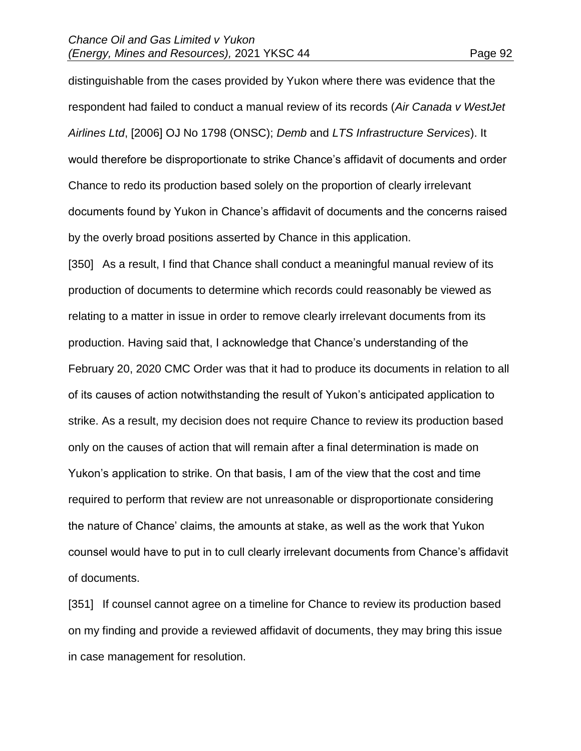distinguishable from the cases provided by Yukon where there was evidence that the respondent had failed to conduct a manual review of its records (*Air Canada v WestJet Airlines Ltd*, [2006] OJ No 1798 (ONSC); *Demb* and *LTS Infrastructure Services*). It would therefore be disproportionate to strike Chance's affidavit of documents and order Chance to redo its production based solely on the proportion of clearly irrelevant documents found by Yukon in Chance's affidavit of documents and the concerns raised by the overly broad positions asserted by Chance in this application.

[350] As a result, I find that Chance shall conduct a meaningful manual review of its production of documents to determine which records could reasonably be viewed as relating to a matter in issue in order to remove clearly irrelevant documents from its production. Having said that, I acknowledge that Chance's understanding of the February 20, 2020 CMC Order was that it had to produce its documents in relation to all of its causes of action notwithstanding the result of Yukon's anticipated application to strike. As a result, my decision does not require Chance to review its production based only on the causes of action that will remain after a final determination is made on Yukon's application to strike. On that basis, I am of the view that the cost and time required to perform that review are not unreasonable or disproportionate considering the nature of Chance' claims, the amounts at stake, as well as the work that Yukon counsel would have to put in to cull clearly irrelevant documents from Chance's affidavit of documents.

[351] If counsel cannot agree on a timeline for Chance to review its production based on my finding and provide a reviewed affidavit of documents, they may bring this issue in case management for resolution.